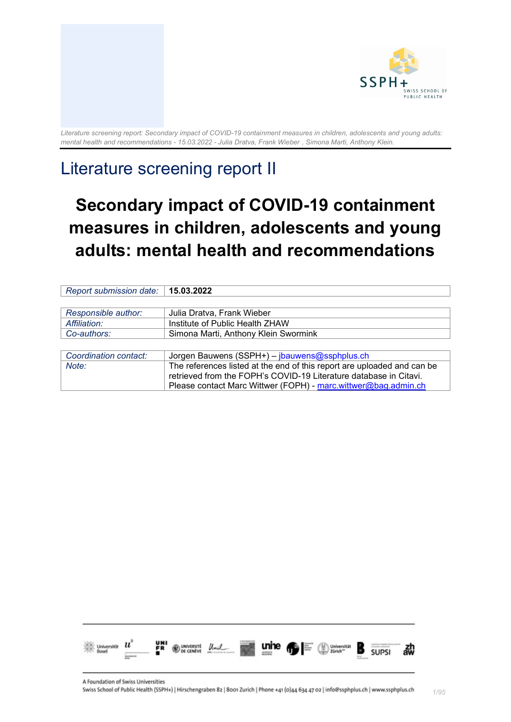

# Literature screening report II

# **Secondary impact of COVID-19 containment measures in children, adolescents and young adults: mental health and recommendations**

| Report submission date: | 15.03.2022                                                              |
|-------------------------|-------------------------------------------------------------------------|
|                         |                                                                         |
| Responsible author:     | Julia Dratva, Frank Wieber                                              |
| Affiliation:            | Institute of Public Health ZHAW                                         |
| Co-authors:             | Simona Marti, Anthony Klein Swormink                                    |
|                         |                                                                         |
| Coordination contact:   | Jorgen Bauwens (SSPH+) - jbauwens@ssphplus.ch                           |
| Note:                   | The references listed at the end of this report are uploaded and can be |
|                         | retrieved from the FOPH's COVID-19 Literature database in Citavi.       |
|                         | Please contact Marc Wittwer (FOPH) - marc.wittwer@bag.admin.ch          |

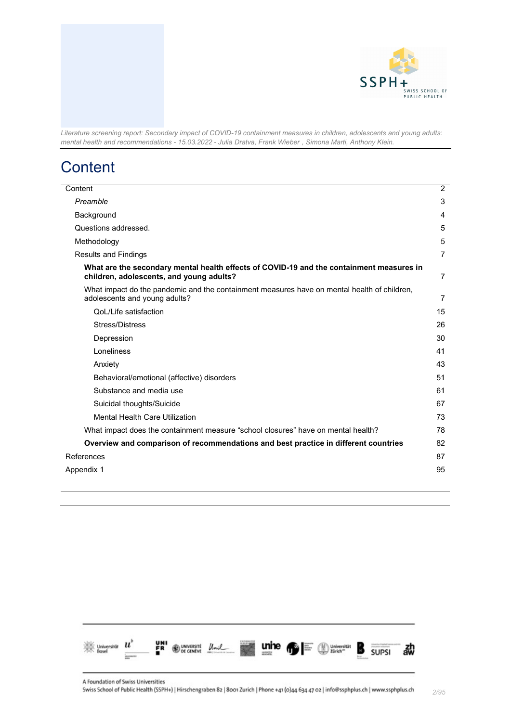

# <span id="page-1-0"></span>**Content**

| Content                                                                                                                              | $\overline{2}$ |
|--------------------------------------------------------------------------------------------------------------------------------------|----------------|
| Preamble                                                                                                                             |                |
| Background                                                                                                                           | 4              |
| Questions addressed.                                                                                                                 | 5              |
| Methodology                                                                                                                          | 5              |
| <b>Results and Findings</b>                                                                                                          | 7              |
| What are the secondary mental health effects of COVID-19 and the containment measures in<br>children, adolescents, and young adults? | $\overline{7}$ |
| What impact do the pandemic and the containment measures have on mental health of children,<br>adolescents and young adults?         | 7              |
| QoL/Life satisfaction                                                                                                                | 15             |
| Stress/Distress                                                                                                                      | 26             |
| Depression                                                                                                                           | 30             |
| Loneliness                                                                                                                           | 41             |
| Anxiety                                                                                                                              | 43             |
| Behavioral/emotional (affective) disorders                                                                                           | 51             |
| Substance and media use                                                                                                              | 61             |
| Suicidal thoughts/Suicide                                                                                                            | 67             |
| <b>Mental Health Care Utilization</b>                                                                                                | 73             |
| What impact does the containment measure "school closures" have on mental health?                                                    | 78             |
| Overview and comparison of recommendations and best practice in different countries                                                  | 82             |
| References                                                                                                                           |                |
| Appendix 1                                                                                                                           |                |
|                                                                                                                                      |                |

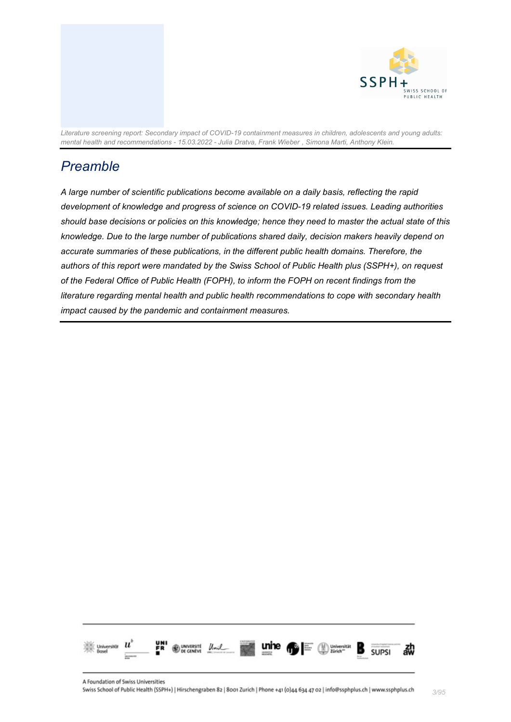



## <span id="page-2-0"></span>*Preamble*

*A large number of scientific publications become available on a daily basis, reflecting the rapid development of knowledge and progress of science on COVID-19 related issues. Leading authorities should base decisions or policies on this knowledge; hence they need to master the actual state of this knowledge. Due to the large number of publications shared daily, decision makers heavily depend on accurate summaries of these publications, in the different public health domains. Therefore, the authors of this report were mandated by the Swiss School of Public Health plus (SSPH+), on request of the Federal Office of Public Health (FOPH), to inform the FOPH on recent findings from the literature regarding mental health and public health recommendations to cope with secondary health impact caused by the pandemic and containment measures.*

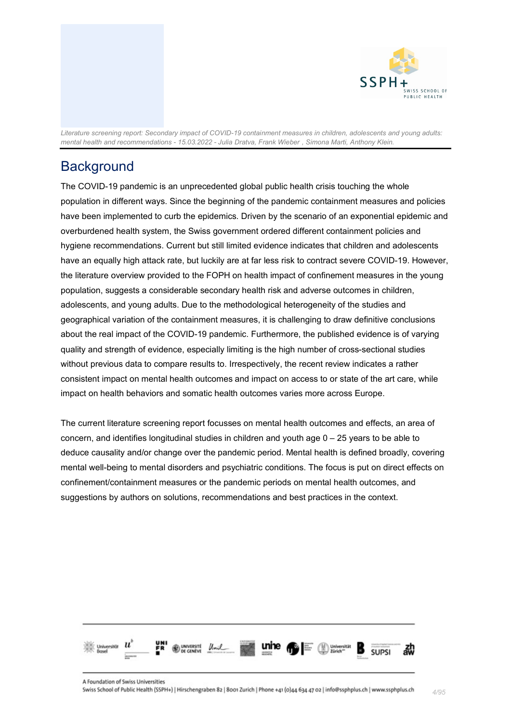

# <span id="page-3-0"></span>**Background**

The COVID-19 pandemic is an unprecedented global public health crisis touching the whole population in different ways. Since the beginning of the pandemic containment measures and policies have been implemented to curb the epidemics. Driven by the scenario of an exponential epidemic and overburdened health system, the Swiss government ordered different containment policies and hygiene recommendations. Current but still limited evidence indicates that children and adolescents have an equally high attack rate, but luckily are at far less risk to contract severe COVID-19. However, the literature overview provided to the FOPH on health impact of confinement measures in the young population, suggests a considerable secondary health risk and adverse outcomes in children, adolescents, and young adults. Due to the methodological heterogeneity of the studies and geographical variation of the containment measures, it is challenging to draw definitive conclusions about the real impact of the COVID-19 pandemic. Furthermore, the published evidence is of varying quality and strength of evidence, especially limiting is the high number of cross-sectional studies without previous data to compare results to. Irrespectively, the recent review indicates a rather consistent impact on mental health outcomes and impact on access to or state of the art care, while impact on health behaviors and somatic health outcomes varies more across Europe.

The current literature screening report focusses on mental health outcomes and effects, an area of concern, and identifies longitudinal studies in children and youth age 0 – 25 years to be able to deduce causality and/or change over the pandemic period. Mental health is defined broadly, covering mental well-being to mental disorders and psychiatric conditions. The focus is put on direct effects on confinement/containment measures or the pandemic periods on mental health outcomes, and suggestions by authors on solutions, recommendations and best practices in the context.

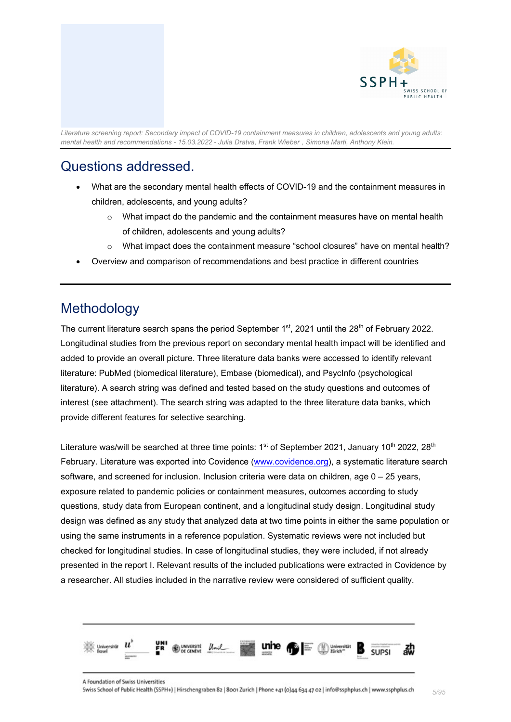

## <span id="page-4-0"></span>Questions addressed.

- What are the secondary mental health effects of COVID-19 and the containment measures in children, adolescents, and young adults?
	- $\circ$  What impact do the pandemic and the containment measures have on mental health of children, adolescents and young adults?
	- o What impact does the containment measure "school closures" have on mental health?
- Overview and comparison of recommendations and best practice in different countries

### <span id="page-4-1"></span>Methodology

The current literature search spans the period September  $1<sup>st</sup>$ , 2021 until the 28<sup>th</sup> of February 2022. Longitudinal studies from the previous report on secondary mental health impact will be identified and added to provide an overall picture. Three literature data banks were accessed to identify relevant literature: PubMed (biomedical literature), Embase (biomedical), and PsycInfo (psychological literature). A search string was defined and tested based on the study questions and outcomes of interest (see attachment). The search string was adapted to the three literature data banks, which provide different features for selective searching.

Literature was/will be searched at three time points:  $1<sup>st</sup>$  of September 2021, January 10<sup>th</sup> 2022, 28<sup>th</sup> February. Literature was exported into Covidence [\(www.covidence.org\)](https://www.covidence.org/), a systematic literature search software, and screened for inclusion. Inclusion criteria were data on children, age 0 – 25 years, exposure related to pandemic policies or containment measures, outcomes according to study questions, study data from European continent, and a longitudinal study design. Longitudinal study design was defined as any study that analyzed data at two time points in either the same population or using the same instruments in a reference population. Systematic reviews were not included but checked for longitudinal studies. In case of longitudinal studies, they were included, if not already presented in the report I. Relevant results of the included publications were extracted in Covidence by a researcher. All studies included in the narrative review were considered of sufficient quality.

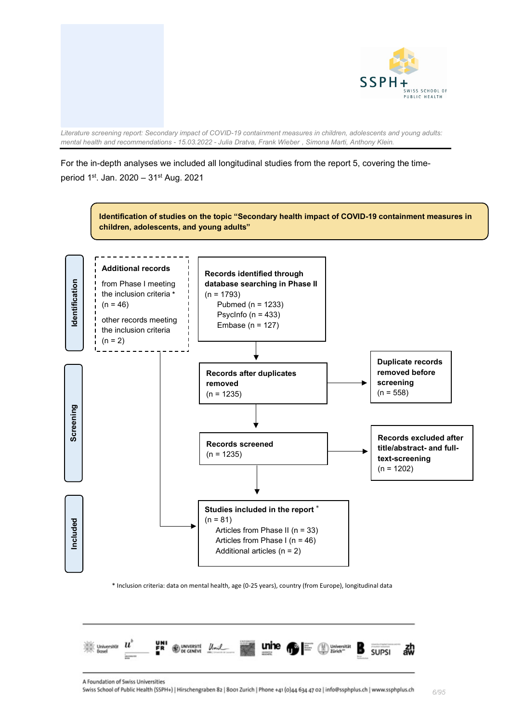

### For the in-depth analyses we included all longitudinal studies from the report 5, covering the timeperiod 1st. Jan. 2020 – 31st Aug. 2021



\* Inclusion criteria: data on mental health, age (0-25 years), country (from Europe), longitudinal data



*6/95*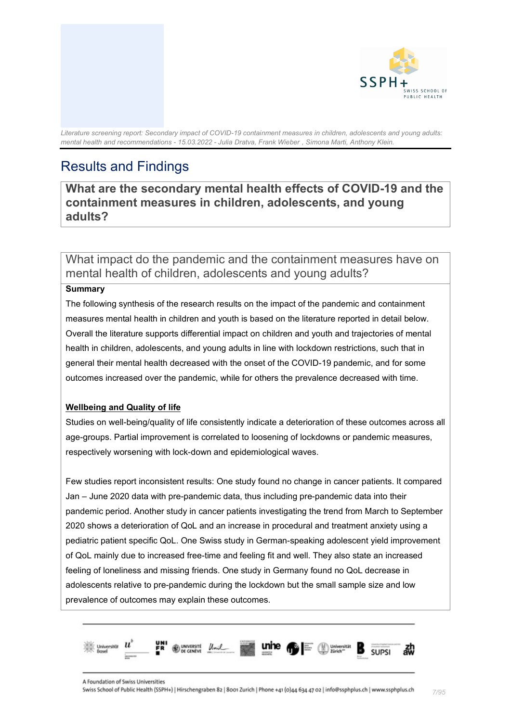

# <span id="page-6-0"></span>Results and Findings

<span id="page-6-1"></span>**What are the secondary mental health effects of COVID-19 and the containment measures in children, adolescents, and young adults?**

<span id="page-6-2"></span>What impact do the pandemic and the containment measures have on mental health of children, adolescents and young adults?

#### **Summary**

The following synthesis of the research results on the impact of the pandemic and containment measures mental health in children and youth is based on the literature reported in detail below. Overall the literature supports differential impact on children and youth and trajectories of mental health in children, adolescents, and young adults in line with lockdown restrictions, such that in general their mental health decreased with the onset of the COVID-19 pandemic, and for some outcomes increased over the pandemic, while for others the prevalence decreased with time.

### **Wellbeing and Quality of life**

Studies on well-being/quality of life consistently indicate a deterioration of these outcomes across all age-groups. Partial improvement is correlated to loosening of lockdowns or pandemic measures, respectively worsening with lock-down and epidemiological waves.

Few studies report inconsistent results: One study found no change in cancer patients. It compared Jan – June 2020 data with pre-pandemic data, thus including pre-pandemic data into their pandemic period. Another study in cancer patients investigating the trend from March to September 2020 shows a deterioration of QoL and an increase in procedural and treatment anxiety using a pediatric patient specific QoL. One Swiss study in German-speaking adolescent yield improvement of QoL mainly due to increased free-time and feeling fit and well. They also state an increased feeling of loneliness and missing friends. One study in Germany found no QoL decrease in adolescents relative to pre-pandemic during the lockdown but the small sample size and low prevalence of outcomes may explain these outcomes.

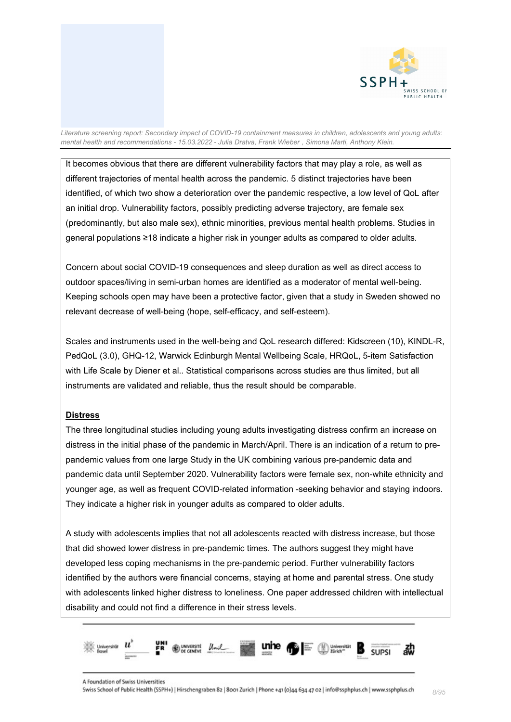

It becomes obvious that there are different vulnerability factors that may play a role, as well as different trajectories of mental health across the pandemic. 5 distinct trajectories have been identified, of which two show a deterioration over the pandemic respective, a low level of QoL after an initial drop. Vulnerability factors, possibly predicting adverse trajectory, are female sex (predominantly, but also male sex), ethnic minorities, previous mental health problems. Studies in general populations ≥18 indicate a higher risk in younger adults as compared to older adults.

Concern about social COVID-19 consequences and sleep duration as well as direct access to outdoor spaces/living in semi-urban homes are identified as a moderator of mental well-being. Keeping schools open may have been a protective factor, given that a study in Sweden showed no relevant decrease of well-being (hope, self-efficacy, and self-esteem).

Scales and instruments used in the well-being and QoL research differed: Kidscreen (10), KINDL-R, PedQoL (3.0), GHQ-12, Warwick Edinburgh Mental Wellbeing Scale, HRQoL, 5-item Satisfaction with Life Scale by Diener et al.. Statistical comparisons across studies are thus limited, but all instruments are validated and reliable, thus the result should be comparable.

#### **Distress**

The three longitudinal studies including young adults investigating distress confirm an increase on distress in the initial phase of the pandemic in March/April. There is an indication of a return to prepandemic values from one large Study in the UK combining various pre-pandemic data and pandemic data until September 2020. Vulnerability factors were female sex, non-white ethnicity and younger age, as well as frequent COVID-related information -seeking behavior and staying indoors. They indicate a higher risk in younger adults as compared to older adults.

A study with adolescents implies that not all adolescents reacted with distress increase, but those that did showed lower distress in pre-pandemic times. The authors suggest they might have developed less coping mechanisms in the pre-pandemic period. Further vulnerability factors identified by the authors were financial concerns, staying at home and parental stress. One study with adolescents linked higher distress to loneliness. One paper addressed children with intellectual disability and could not find a difference in their stress levels.

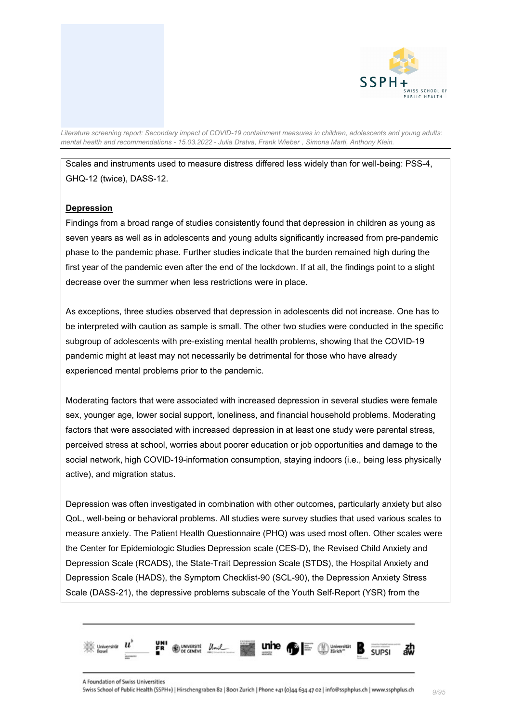

Scales and instruments used to measure distress differed less widely than for well-being: PSS-4, GHQ-12 (twice), DASS-12.

#### **Depression**

Findings from a broad range of studies consistently found that depression in children as young as seven years as well as in adolescents and young adults significantly increased from pre-pandemic phase to the pandemic phase. Further studies indicate that the burden remained high during the first year of the pandemic even after the end of the lockdown. If at all, the findings point to a slight decrease over the summer when less restrictions were in place.

As exceptions, three studies observed that depression in adolescents did not increase. One has to be interpreted with caution as sample is small. The other two studies were conducted in the specific subgroup of adolescents with pre-existing mental health problems, showing that the COVID-19 pandemic might at least may not necessarily be detrimental for those who have already experienced mental problems prior to the pandemic.

Moderating factors that were associated with increased depression in several studies were female sex, younger age, lower social support, loneliness, and financial household problems. Moderating factors that were associated with increased depression in at least one study were parental stress, perceived stress at school, worries about poorer education or job opportunities and damage to the social network, high COVID-19-information consumption, staying indoors (i.e., being less physically active), and migration status.

Depression was often investigated in combination with other outcomes, particularly anxiety but also QoL, well-being or behavioral problems. All studies were survey studies that used various scales to measure anxiety. The Patient Health Questionnaire (PHQ) was used most often. Other scales were the Center for Epidemiologic Studies Depression scale (CES-D), the Revised Child Anxiety and Depression Scale (RCADS), the State-Trait Depression Scale (STDS), the Hospital Anxiety and Depression Scale (HADS), the Symptom Checklist-90 (SCL-90), the Depression Anxiety Stress Scale (DASS-21), the depressive problems subscale of the Youth Self-Report (YSR) from the

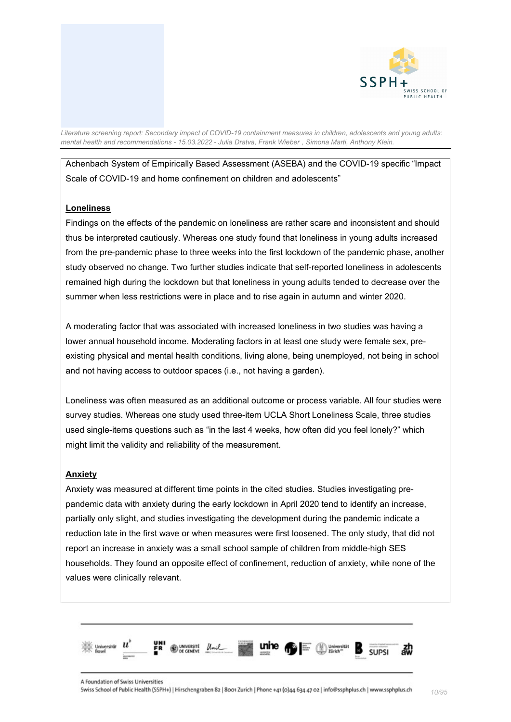

Achenbach System of Empirically Based Assessment (ASEBA) and the COVID-19 specific "Impact Scale of COVID-19 and home confinement on children and adolescents"

#### **Loneliness**

Findings on the effects of the pandemic on loneliness are rather scare and inconsistent and should thus be interpreted cautiously. Whereas one study found that loneliness in young adults increased from the pre-pandemic phase to three weeks into the first lockdown of the pandemic phase, another study observed no change. Two further studies indicate that self-reported loneliness in adolescents remained high during the lockdown but that loneliness in young adults tended to decrease over the summer when less restrictions were in place and to rise again in autumn and winter 2020.

A moderating factor that was associated with increased loneliness in two studies was having a lower annual household income. Moderating factors in at least one study were female sex, preexisting physical and mental health conditions, living alone, being unemployed, not being in school and not having access to outdoor spaces (i.e., not having a garden).

Loneliness was often measured as an additional outcome or process variable. All four studies were survey studies. Whereas one study used three-item UCLA Short Loneliness Scale, three studies used single-items questions such as "in the last 4 weeks, how often did you feel lonely?" which might limit the validity and reliability of the measurement.

#### **Anxiety**

Anxiety was measured at different time points in the cited studies. Studies investigating prepandemic data with anxiety during the early lockdown in April 2020 tend to identify an increase, partially only slight, and studies investigating the development during the pandemic indicate a reduction late in the first wave or when measures were first loosened. The only study, that did not report an increase in anxiety was a small school sample of children from middle-high SES households. They found an opposite effect of confinement, reduction of anxiety, while none of the values were clinically relevant.

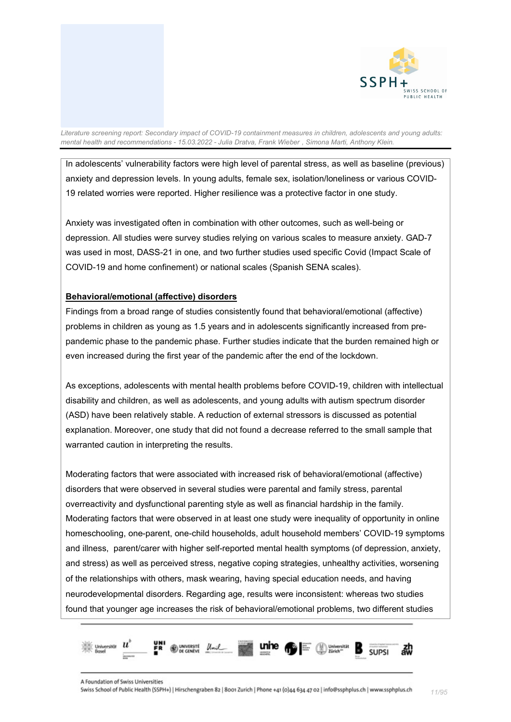

In adolescents' vulnerability factors were high level of parental stress, as well as baseline (previous) anxiety and depression levels. In young adults, female sex, isolation/loneliness or various COVID-19 related worries were reported. Higher resilience was a protective factor in one study.

Anxiety was investigated often in combination with other outcomes, such as well-being or depression. All studies were survey studies relying on various scales to measure anxiety. GAD-7 was used in most, DASS-21 in one, and two further studies used specific Covid (Impact Scale of COVID-19 and home confinement) or national scales (Spanish SENA scales).

#### **Behavioral/emotional (affective) disorders**

Findings from a broad range of studies consistently found that behavioral/emotional (affective) problems in children as young as 1.5 years and in adolescents significantly increased from prepandemic phase to the pandemic phase. Further studies indicate that the burden remained high or even increased during the first year of the pandemic after the end of the lockdown.

As exceptions, adolescents with mental health problems before COVID-19, children with intellectual disability and children, as well as adolescents, and young adults with autism spectrum disorder (ASD) have been relatively stable. A reduction of external stressors is discussed as potential explanation. Moreover, one study that did not found a decrease referred to the small sample that warranted caution in interpreting the results.

Moderating factors that were associated with increased risk of behavioral/emotional (affective) disorders that were observed in several studies were parental and family stress, parental overreactivity and dysfunctional parenting style as well as financial hardship in the family. Moderating factors that were observed in at least one study were inequality of opportunity in online homeschooling, one-parent, one-child households, adult household members' COVID-19 symptoms and illness, parent/carer with higher self-reported mental health symptoms (of depression, anxiety, and stress) as well as perceived stress, negative coping strategies, unhealthy activities, worsening of the relationships with others, mask wearing, having special education needs, and having neurodevelopmental disorders. Regarding age, results were inconsistent: whereas two studies found that younger age increases the risk of behavioral/emotional problems, two different studies

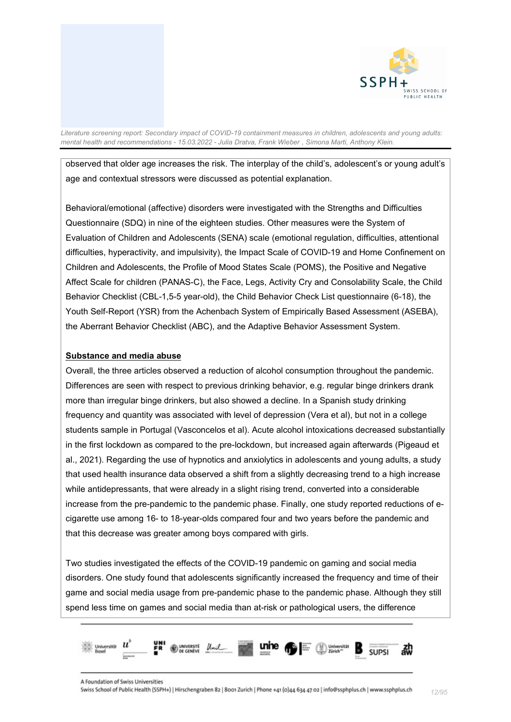

observed that older age increases the risk. The interplay of the child's, adolescent's or young adult's age and contextual stressors were discussed as potential explanation.

Behavioral/emotional (affective) disorders were investigated with the Strengths and Difficulties Questionnaire (SDQ) in nine of the eighteen studies. Other measures were the System of Evaluation of Children and Adolescents (SENA) scale (emotional regulation, difficulties, attentional difficulties, hyperactivity, and impulsivity), the Impact Scale of COVID-19 and Home Confinement on Children and Adolescents, the Profile of Mood States Scale (POMS), the Positive and Negative Affect Scale for children (PANAS-C), the Face, Legs, Activity Cry and Consolability Scale, the Child Behavior Checklist (CBL-1,5-5 year-old), the Child Behavior Check List questionnaire (6-18), the Youth Self-Report (YSR) from the Achenbach System of Empirically Based Assessment (ASEBA), the Aberrant Behavior Checklist (ABC), and the Adaptive Behavior Assessment System.

#### **Substance and media abuse**

Overall, the three articles observed a reduction of alcohol consumption throughout the pandemic. Differences are seen with respect to previous drinking behavior, e.g. regular binge drinkers drank more than irregular binge drinkers, but also showed a decline. In a Spanish study drinking frequency and quantity was associated with level of depression (Vera et al), but not in a college students sample in Portugal (Vasconcelos et al). Acute alcohol intoxications decreased substantially in the first lockdown as compared to the pre-lockdown, but increased again afterwards (Pigeaud et al., 2021). Regarding the use of hypnotics and anxiolytics in adolescents and young adults, a study that used health insurance data observed a shift from a slightly decreasing trend to a high increase while antidepressants, that were already in a slight rising trend, converted into a considerable increase from the pre-pandemic to the pandemic phase. Finally, one study reported reductions of ecigarette use among 16- to 18-year-olds compared four and two years before the pandemic and that this decrease was greater among boys compared with girls.

Two studies investigated the effects of the COVID-19 pandemic on gaming and social media disorders. One study found that adolescents significantly increased the frequency and time of their game and social media usage from pre-pandemic phase to the pandemic phase. Although they still spend less time on games and social media than at-risk or pathological users, the difference

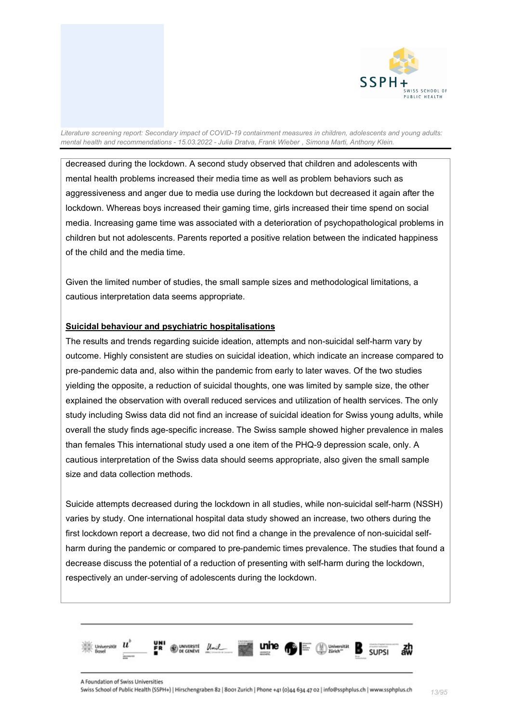

decreased during the lockdown. A second study observed that children and adolescents with mental health problems increased their media time as well as problem behaviors such as aggressiveness and anger due to media use during the lockdown but decreased it again after the lockdown. Whereas boys increased their gaming time, girls increased their time spend on social media. Increasing game time was associated with a deterioration of psychopathological problems in children but not adolescents. Parents reported a positive relation between the indicated happiness of the child and the media time.

Given the limited number of studies, the small sample sizes and methodological limitations, a cautious interpretation data seems appropriate.

#### **Suicidal behaviour and psychiatric hospitalisations**

The results and trends regarding suicide ideation, attempts and non-suicidal self-harm vary by outcome. Highly consistent are studies on suicidal ideation, which indicate an increase compared to pre-pandemic data and, also within the pandemic from early to later waves. Of the two studies yielding the opposite, a reduction of suicidal thoughts, one was limited by sample size, the other explained the observation with overall reduced services and utilization of health services. The only study including Swiss data did not find an increase of suicidal ideation for Swiss young adults, while overall the study finds age-specific increase. The Swiss sample showed higher prevalence in males than females This international study used a one item of the PHQ-9 depression scale, only. A cautious interpretation of the Swiss data should seems appropriate, also given the small sample size and data collection methods.

Suicide attempts decreased during the lockdown in all studies, while non-suicidal self-harm (NSSH) varies by study. One international hospital data study showed an increase, two others during the first lockdown report a decrease, two did not find a change in the prevalence of non-suicidal selfharm during the pandemic or compared to pre-pandemic times prevalence. The studies that found a decrease discuss the potential of a reduction of presenting with self-harm during the lockdown, respectively an under-serving of adolescents during the lockdown.

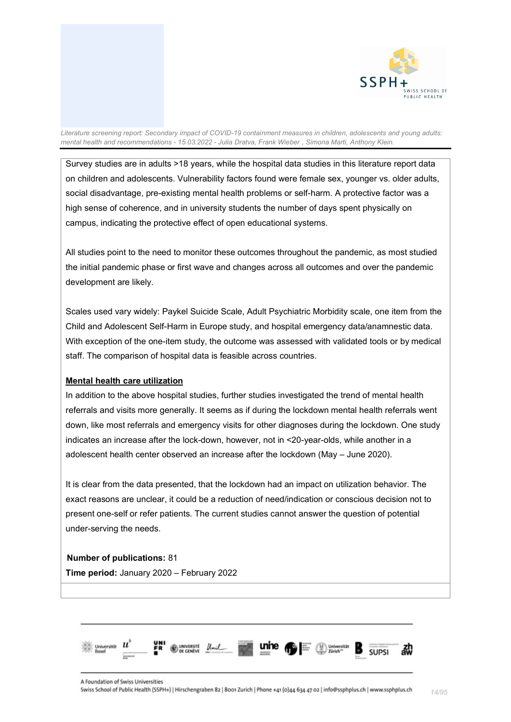

Survey studies are in adults >18 years, while the hospital data studies in this literature report data on children and adolescents. Vulnerability factors found were female sex, younger vs. older adults, social disadvantage, pre-existing mental health problems or self-harm. A protective factor was a high sense of coherence, and in university students the number of days spent physically on campus, indicating the protective effect of open educational systems.

All studies point to the need to monitor these outcomes throughout the pandemic, as most studied the initial pandemic phase or first wave and changes across all outcomes and over the pandemic development are likely.

Scales used vary widely: Paykel Suicide Scale, Adult Psychiatric Morbidity scale, one item from the Child and Adolescent Self-Harm in Europe study, and hospital emergency data/anamnestic data. With exception of the one-item study, the outcome was assessed with validated tools or by medical staff. The comparison of hospital data is feasible across countries.

#### **Mental health care utilization**

In addition to the above hospital studies, further studies investigated the trend of mental health referrals and visits more generally. It seems as if during the lockdown mental health referrals went down, like most referrals and emergency visits for other diagnoses during the lockdown. One study indicates an increase after the lock-down, however, not in <20-year-olds, while another in a adolescent health center observed an increase after the lockdown (May – June 2020).

It is clear from the data presented, that the lockdown had an impact on utilization behavior. The exact reasons are unclear, it could be a reduction of need/indication or conscious decision not to present one-self or refer patients. The current studies cannot answer the question of potential under-serving the needs.

#### **Number of publications:** 81

**Time period:** January 2020 – February 2022

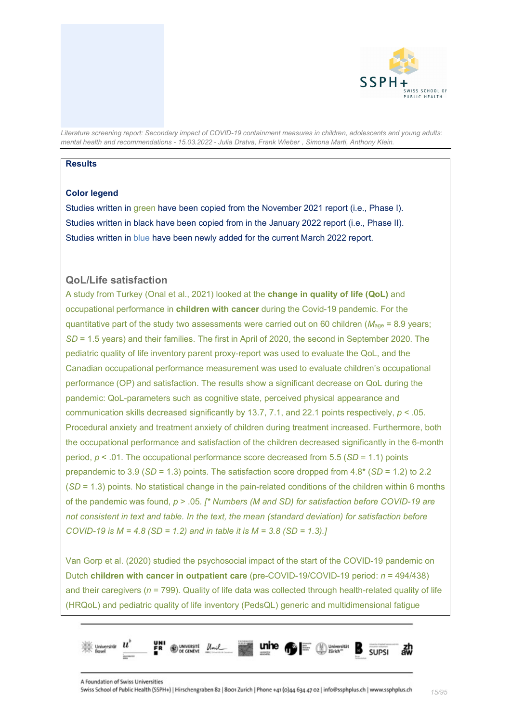

#### **Results**

### **Color legend**

Studies written in green have been copied from the November 2021 report (i.e., Phase I). Studies written in black have been copied from in the January 2022 report (i.e., Phase II). Studies written in blue have been newly added for the current March 2022 report.

#### <span id="page-14-0"></span>**QoL/Life satisfaction**

A study from Turkey (Onal et al., 2021) looked at the **change in quality of life (QoL)** and occupational performance in **children with cancer** during the Covid-19 pandemic. For the quantitative part of the study two assessments were carried out on 60 children ( $M_{\text{age}}$  = 8.9 years; *SD* = 1.5 years) and their families. The first in April of 2020, the second in September 2020. The pediatric quality of life inventory parent proxy-report was used to evaluate the QoL, and the Canadian occupational performance measurement was used to evaluate children's occupational performance (OP) and satisfaction. The results show a significant decrease on QoL during the pandemic: QoL-parameters such as cognitive state, perceived physical appearance and communication skills decreased significantly by 13.7, 7.1, and 22.1 points respectively, *p* < .05. Procedural anxiety and treatment anxiety of children during treatment increased. Furthermore, both the occupational performance and satisfaction of the children decreased significantly in the 6-month period, *p* < .01. The occupational performance score decreased from 5.5 (*SD* = 1.1) points prepandemic to 3.9 (*SD* = 1.3) points. The satisfaction score dropped from 4.8\* (*SD* = 1.2) to 2.2 (*SD* = 1.3) points. No statistical change in the pain-related conditions of the children within 6 months of the pandemic was found, *p* > .05*. [\* Numbers (M and SD) for satisfaction before COVID-19 are not consistent in text and table. In the text, the mean (standard deviation) for satisfaction before COVID-19 is M = 4.8 (SD = 1.2) and in table it is M = 3.8 (SD = 1.3).]*

Van Gorp et al. (2020) studied the psychosocial impact of the start of the COVID-19 pandemic on Dutch **children with cancer in outpatient care** (pre-COVID-19/COVID-19 period: *n* = 494/438) and their caregivers (*n* = 799). Quality of life data was collected through health-related quality of life (HRQoL) and pediatric quality of life inventory (PedsQL) generic and multidimensional fatigue

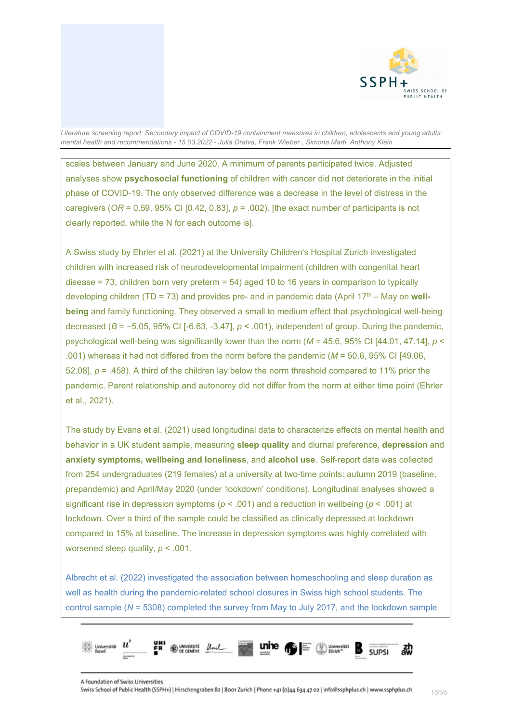

scales between January and June 2020. A minimum of parents participated twice. Adjusted analyses show **psychosocial functioning** of children with cancer did not deteriorate in the initial phase of COVID-19. The only observed difference was a decrease in the level of distress in the caregivers ( $OR = 0.59$ ,  $95\%$  CI [0.42, 0.83],  $p = .002$ ). [the exact number of participants is not clearly reported, while the N for each outcome is].

A Swiss study by Ehrler et al. (2021) at the University Children's Hospital Zurich investigated children with increased risk of neurodevelopmental impairment (children with congenital heart disease  $= 73$ , children born very preterm  $= 54$ ) aged 10 to 16 years in comparison to typically developing children (TD = 73) and provides pre- and in pandemic data (April 17th – May on **wellbeing** and family functioning. They observed a small to medium effect that psychological well-being decreased (*B* = −5.05, 95% CI [-6.63, -3.47], *p* < .001), independent of group. During the pandemic, psychological well-being was significantly lower than the norm (*M* = 45.6, 95% CI [44.01, 47.14], *p* < .001) whereas it had not differed from the norm before the pandemic (*M* = 50.6, 95% CI [49.06, 52.08], *p* = .458). A third of the children lay below the norm threshold compared to 11% prior the pandemic. Parent relationship and autonomy did not differ from the norm at either time point (Ehrler et al., 2021).

The study by Evans et al. (2021) used longitudinal data to characterize effects on mental health and behavior in a UK student sample, measuring **sleep quality** and diurnal preference, **depressio**n and **anxiety symptoms, wellbeing and loneliness**, and **alcohol use**. Self-report data was collected from 254 undergraduates (219 females) at a university at two-time points: autumn 2019 (baseline, prepandemic) and April/May 2020 (under 'lockdown' conditions). Longitudinal analyses showed a significant rise in depression symptoms (*p* < .001) and a reduction in wellbeing (*p* < .001) at lockdown. Over a third of the sample could be classified as clinically depressed at lockdown compared to 15% at baseline. The increase in depression symptoms was highly correlated with worsened sleep quality, *p* < .001.

Albrecht et al. (2022) investigated the association between homeschooling and sleep duration as well as health during the pandemic-related school closures in Swiss high school students. The control sample (*N* = 5308) completed the survey from May to July 2017, and the lockdown sample

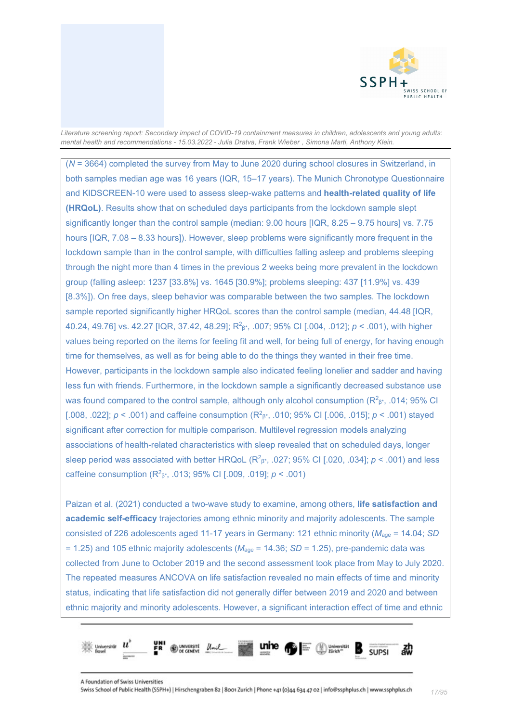

(*N* = 3664) completed the survey from May to June 2020 during school closures in Switzerland, in both samples median age was 16 years (IQR, 15–17 years). The Munich Chronotype Questionnaire and KIDSCREEN-10 were used to assess sleep-wake patterns and **health-related quality of life (HRQoL)**. Results show that on scheduled days participants from the lockdown sample slept significantly longer than the control sample (median: 9.00 hours [IQR, 8.25 – 9.75 hours] vs. 7.75 hours [IQR, 7.08 – 8.33 hours]). However, sleep problems were significantly more frequent in the lockdown sample than in the control sample, with difficulties falling asleep and problems sleeping through the night more than 4 times in the previous 2 weeks being more prevalent in the lockdown group (falling asleep: 1237 [33.8%] vs. 1645 [30.9%]; problems sleeping: 437 [11.9%] vs. 439 [8.3%]). On free days, sleep behavior was comparable between the two samples. The lockdown sample reported significantly higher HRQoL scores than the control sample (median, 44.48 [IQR, 40.24, 49.76] vs. 42.27 [IQR, 37.42, 48.29]; R2 β\*, .007; 95% CI [.004, .012]; *p* < .001), with higher values being reported on the items for feeling fit and well, for being full of energy, for having enough time for themselves, as well as for being able to do the things they wanted in their free time. However, participants in the lockdown sample also indicated feeling lonelier and sadder and having less fun with friends. Furthermore, in the lockdown sample a significantly decreased substance use was found compared to the control sample, although only alcohol consumption (R $^{2}_{5}$ \*, .014; 95% CI [.008, .022]; *p* < .001) and caffeine consumption (R<sup>2</sup><sub>β\*</sub>, .010; 95% CI [.006, .015]; *p* < .001) stayed significant after correction for multiple comparison. Multilevel regression models analyzing associations of health-related characteristics with sleep revealed that on scheduled days, longer sleep period was associated with better HRQoL (R<sup>2</sup> $\beta$ \*, .027; 95% CI [.020, .034];  $p < .001$ ) and less caffeine consumption (R2 β\*, .013; 95% CI [.009, .019]; *p* < .001)

Paizan et al. (2021) conducted a two-wave study to examine, among others, **life satisfaction and academic self-efficacy** trajectories among ethnic minority and majority adolescents. The sample consisted of 226 adolescents aged 11-17 years in Germany: 121 ethnic minority (*M*age = 14.04; *SD* = 1.25) and 105 ethnic majority adolescents (*M*age = 14.36; *SD* = 1.25), pre-pandemic data was collected from June to October 2019 and the second assessment took place from May to July 2020. The repeated measures ANCOVA on life satisfaction revealed no main effects of time and minority status, indicating that life satisfaction did not generally differ between 2019 and 2020 and between ethnic majority and minority adolescents. However, a significant interaction effect of time and ethnic

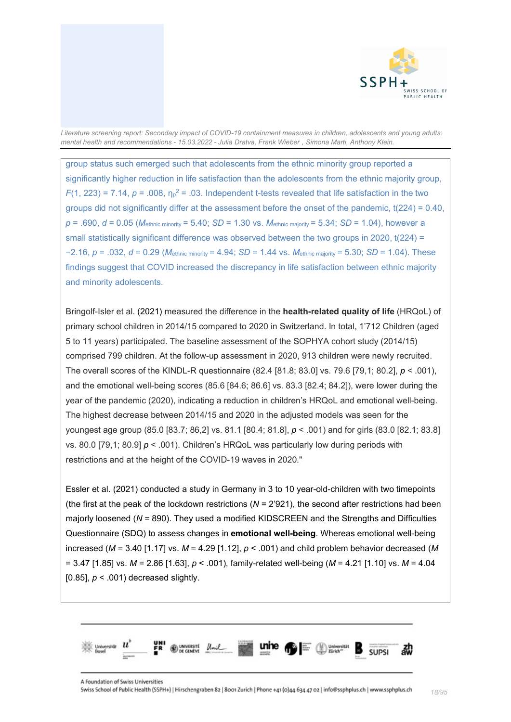

group status such emerged such that adolescents from the ethnic minority group reported a significantly higher reduction in life satisfaction than the adolescents from the ethnic majority group,  $F(1, 223) = 7.14$ ,  $p = .008$ ,  $\eta_p^2 = .03$ . Independent t-tests revealed that life satisfaction in the two groups did not significantly differ at the assessment before the onset of the pandemic, t(224) = 0.40, *p* = .690, *d* = 0.05 (*M*ethnic minority = 5.40; *SD* = 1.30 vs. *M*ethnic majority = 5.34; *SD* = 1.04), however a small statistically significant difference was observed between the two groups in 2020,  $t(224) =$ −2.16, *p* = .032, *d* = 0.29 (*M*ethnic minority = 4.94; *SD* = 1.44 vs. *M*ethnic majority = 5.30; *SD* = 1.04). These findings suggest that COVID increased the discrepancy in life satisfaction between ethnic majority and minority adolescents.

Bringolf-Isler et al. (2021) measured the difference in the **health-related quality of life** (HRQoL) of primary school children in 2014/15 compared to 2020 in Switzerland. In total, 1'712 Children (aged 5 to 11 years) participated. The baseline assessment of the SOPHYA cohort study (2014/15) comprised 799 children. At the follow-up assessment in 2020, 913 children were newly recruited. The overall scores of the KINDL-R questionnaire (82.4 [81.8; 83.0] vs. 79.6 [79,1; 80.2], *p* < .001), and the emotional well-being scores (85.6 [84.6; 86.6] vs. 83.3 [82.4; 84.2]), were lower during the year of the pandemic (2020), indicating a reduction in children's HRQoL and emotional well-being. The highest decrease between 2014/15 and 2020 in the adjusted models was seen for the youngest age group (85.0 [83.7; 86,2] vs. 81.1 [80.4; 81.8], *p* < .001) and for girls (83.0 [82.1; 83.8] vs. 80.0 [79,1; 80.9] *p* < .001). Children's HRQoL was particularly low during periods with restrictions and at the height of the COVID-19 waves in 2020."

Essler et al. (2021) conducted a study in Germany in 3 to 10 year-old-children with two timepoints (the first at the peak of the lockdown restrictions (*N* = 2'921), the second after restrictions had been majorly loosened (*N* = 890). They used a modified KIDSCREEN and the Strengths and Difficulties Questionnaire (SDQ) to assess changes in **emotional well-being**. Whereas emotional well-being increased (*M* = 3.40 [1.17] vs. *M* = 4.29 [1.12], *p* < .001) and child problem behavior decreased (*M* = 3.47 [1.85] vs. *M* = 2.86 [1.63], *p* < .001), family-related well-being (*M* = 4.21 [1.10] vs. *M* = 4.04 [0.85], *p* < .001) decreased slightly.

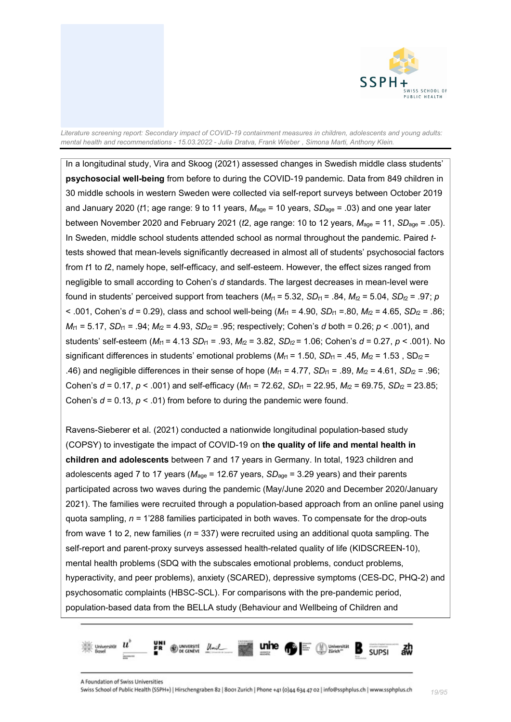

In a longitudinal study, Vira and Skoog (2021) assessed changes in Swedish middle class students' **psychosocial well-being** from before to during the COVID-19 pandemic. Data from 849 children in 30 middle schools in western Sweden were collected via self-report surveys between October 2019 and January 2020 (*t*1; age range: 9 to 11 years, *M*age = 10 years, *SD*age = .03) and one year later between November 2020 and February 2021 (*t*2, age range: 10 to 12 years, *M*age = 11, *SD*age = .05). In Sweden, middle school students attended school as normal throughout the pandemic. Paired *t*tests showed that mean-levels significantly decreased in almost all of students' psychosocial factors from *t*1 to *t*2, namely hope, self-efficacy, and self-esteem. However, the effect sizes ranged from negligible to small according to Cohen's *d* standards. The largest decreases in mean-level were found in students' perceived support from teachers  $(M<sub>t1</sub> = 5.32, SD<sub>t1</sub> = .84, M<sub>t2</sub> = 5.04, SD<sub>t2</sub> = .97; p$  $<$  0.01, Cohen's *d* = 0.29), class and school well-being (*M*<sub>t1</sub> = 4.90, *SD*<sub>t1</sub> = 80, *M*<sub>t2</sub> = 4.65, *SD*<sub>t2</sub> = .86;  $M_{t1}$  = 5.17, *SD*<sub>t1</sub> = .94;  $M_{t2}$  = 4.93, *SD*<sub>t2</sub> = .95; respectively; Cohen's *d* both = 0.26; *p* < .001), and students' self-esteem  $(M_{t1} = 4.13$  *SD*<sub>t1</sub> = .93,  $M_{t2} = 3.82$ , *SD*<sub>t2</sub> = 1.06; Cohen's  $d = 0.27$ ,  $p < .001$ ). No significant differences in students' emotional problems ( $M_{t1}$  = 1.50, *SD<sub>t1</sub>* = .45,  $M_{t2}$  = 1.53, *SD<sub>t2</sub>* = .46) and negligible differences in their sense of hope  $(M_{t1} = 4.77, SD_{t1} = .89, M_{t2} = 4.61, SD_{t2} = .96;$ Cohen's  $d = 0.17$ ,  $p < .001$ ) and self-efficacy ( $M_{t1} = 72.62$ ,  $SD_{t1} = 22.95$ ,  $M_{t2} = 69.75$ ,  $SD_{t2} = 23.85$ ; Cohen's  $d = 0.13$ ,  $p < .01$  from before to during the pandemic were found.

Ravens-Sieberer et al. (2021) conducted a nationwide longitudinal population-based study (COPSY) to investigate the impact of COVID-19 on **the quality of life and mental health in children and adolescents** between 7 and 17 years in Germany. In total, 1923 children and adolescents aged 7 to 17 years ( $M_{\text{aqe}}$  = 12.67 years, *SD*<sub>age</sub> = 3.29 years) and their parents participated across two waves during the pandemic (May/June 2020 and December 2020/January 2021). The families were recruited through a population-based approach from an online panel using quota sampling, *n* = 1'288 families participated in both waves. To compensate for the drop-outs from wave 1 to 2, new families (*n* = 337) were recruited using an additional quota sampling. The self-report and parent-proxy surveys assessed health-related quality of life (KIDSCREEN-10), mental health problems (SDQ with the subscales emotional problems, conduct problems, hyperactivity, and peer problems), anxiety (SCARED), depressive symptoms (CES-DC, PHQ-2) and psychosomatic complaints (HBSC-SCL). For comparisons with the pre-pandemic period, population-based data from the BELLA study (Behaviour and Wellbeing of Children and

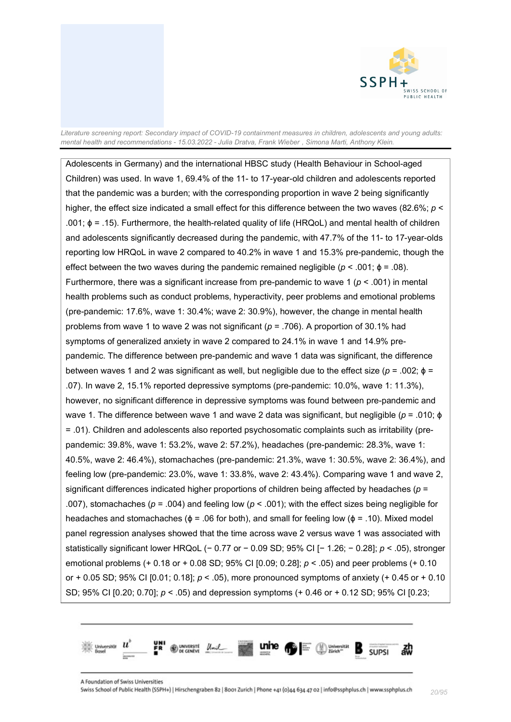

Adolescents in Germany) and the international HBSC study (Health Behaviour in School-aged Children) was used. In wave 1, 69.4% of the 11- to 17-year-old children and adolescents reported that the pandemic was a burden; with the corresponding proportion in wave 2 being significantly higher, the effect size indicated a small effect for this difference between the two waves (82.6%; *p* < .001; ϕ = .15). Furthermore, the health-related quality of life (HRQoL) and mental health of children and adolescents significantly decreased during the pandemic, with 47.7% of the 11- to 17-year-olds reporting low HRQoL in wave 2 compared to 40.2% in wave 1 and 15.3% pre-pandemic, though the effect between the two waves during the pandemic remained negligible ( $p < .001$ ;  $\phi = .08$ ). Furthermore, there was a significant increase from pre-pandemic to wave 1 ( $p < .001$ ) in mental health problems such as conduct problems, hyperactivity, peer problems and emotional problems (pre-pandemic: 17.6%, wave 1: 30.4%; wave 2: 30.9%), however, the change in mental health problems from wave 1 to wave 2 was not significant (*p* = .706). A proportion of 30.1% had symptoms of generalized anxiety in wave 2 compared to 24.1% in wave 1 and 14.9% prepandemic. The difference between pre-pandemic and wave 1 data was significant, the difference between waves 1 and 2 was significant as well, but negligible due to the effect size ( $p = .002$ ;  $\phi =$ .07). In wave 2, 15.1% reported depressive symptoms (pre-pandemic: 10.0%, wave 1: 11.3%), however, no significant difference in depressive symptoms was found between pre-pandemic and wave 1. The difference between wave 1 and wave 2 data was significant, but negligible (*p* = .010; ϕ = .01). Children and adolescents also reported psychosomatic complaints such as irritability (prepandemic: 39.8%, wave 1: 53.2%, wave 2: 57.2%), headaches (pre-pandemic: 28.3%, wave 1: 40.5%, wave 2: 46.4%), stomachaches (pre-pandemic: 21.3%, wave 1: 30.5%, wave 2: 36.4%), and feeling low (pre-pandemic: 23.0%, wave 1: 33.8%, wave 2: 43.4%). Comparing wave 1 and wave 2, significant differences indicated higher proportions of children being affected by headaches (*p* = .007), stomachaches (*p* = .004) and feeling low (*p* < .001); with the effect sizes being negligible for headaches and stomachaches ( $\phi$  = .06 for both), and small for feeling low ( $\phi$  = .10). Mixed model panel regression analyses showed that the time across wave 2 versus wave 1 was associated with statistically significant lower HRQoL (− 0.77 or − 0.09 SD; 95% CI [− 1.26; − 0.28]; *p* < .05), stronger emotional problems (+ 0.18 or + 0.08 SD; 95% CI [0.09; 0.28]; *p* < .05) and peer problems (+ 0.10 or + 0.05 SD; 95% CI [0.01; 0.18]; *p* < .05), more pronounced symptoms of anxiety (+ 0.45 or + 0.10 SD; 95% CI [0.20; 0.70]; *p* < .05) and depression symptoms (+ 0.46 or + 0.12 SD; 95% CI [0.23;

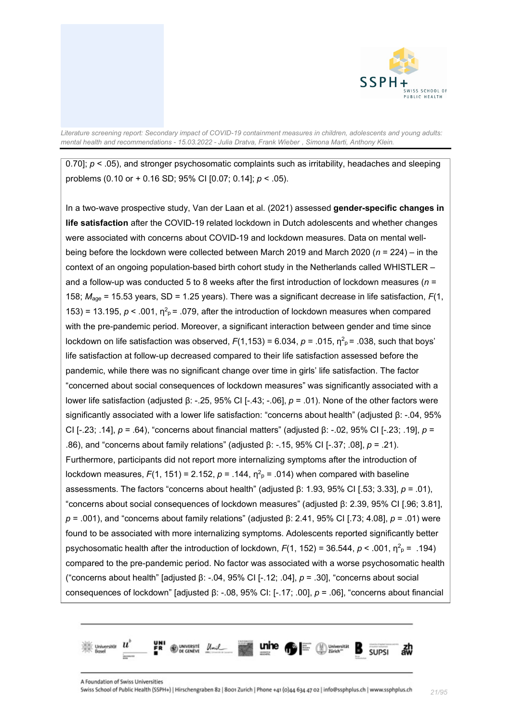

0.70];  $p$  < .05), and stronger psychosomatic complaints such as irritability, headaches and sleeping problems (0.10 or + 0.16 SD; 95% CI [0.07; 0.14]; *p* < .05).

In a two-wave prospective study, Van der Laan et al. (2021) assessed **gender-specific changes in life satisfaction** after the COVID-19 related lockdown in Dutch adolescents and whether changes were associated with concerns about COVID-19 and lockdown measures. Data on mental wellbeing before the lockdown were collected between March 2019 and March 2020 (*n* = 224) – in the context of an ongoing population-based birth cohort study in the Netherlands called WHISTLER – and a follow-up was conducted 5 to 8 weeks after the first introduction of lockdown measures (*n* = 158; *M*age = 15.53 years, SD = 1.25 years). There was a significant decrease in life satisfaction, *F*(1, 153) = 13.195,  $p < .001$ ,  $\eta^2$ <sub> $p$ </sub> = .079, after the introduction of lockdown measures when compared with the pre-pandemic period. Moreover, a significant interaction between gender and time since lockdown on life satisfaction was observed,  $F(1,153) = 6.034$ ,  $p = .015$ ,  $\eta^2$ <sub>P</sub> = .038, such that boys' life satisfaction at follow-up decreased compared to their life satisfaction assessed before the pandemic, while there was no significant change over time in girls' life satisfaction. The factor "concerned about social consequences of lockdown measures" was significantly associated with a lower life satisfaction (adjusted β: -.25, 95% CI [-.43; -.06], *p* = .01). None of the other factors were significantly associated with a lower life satisfaction: "concerns about health" (adjusted β: -.04, 95% CI [-.23; .14], *p* = .64), "concerns about financial matters" (adjusted β: -.02, 95% CI [-.23; .19], *p* = .86), and "concerns about family relations" (adjusted β: -.15, 95% CI [-.37; .08], *p* = .21). Furthermore, participants did not report more internalizing symptoms after the introduction of lockdown measures,  $F(1, 151) = 2.152$ ,  $p = .144$ ,  $\eta^2$ <sub>p</sub> = .014) when compared with baseline assessments. The factors "concerns about health" (adjusted β: 1.93, 95% CI [.53; 3.33], *p* = .01), "concerns about social consequences of lockdown measures" (adjusted β: 2.39, 95% CI [.96; 3.81], *p* = .001), and "concerns about family relations" (adjusted β: 2.41, 95% CI [.73; 4.08], *p* = .01) were found to be associated with more internalizing symptoms. Adolescents reported significantly better psychosomatic health after the introduction of lockdown,  $F(1, 152) = 36.544$ ,  $p < .001$ ,  $\eta^2$ <sub>P</sub> = .194) compared to the pre-pandemic period. No factor was associated with a worse psychosomatic health ("concerns about health" [adjusted β: -.04, 95% CI [-.12; .04], *p* = .30], "concerns about social consequences of lockdown" [adjusted β: -.08, 95% CI: [-.17; .00], *p* = .06], "concerns about financial

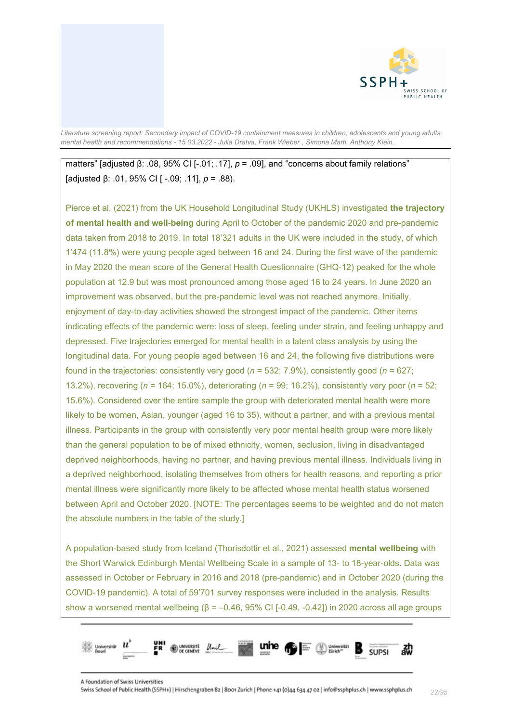

### matters" [adjusted β: .08, 95% CI [-.01; .17],  $p = .09$ ], and "concerns about family relations" [adjusted β: .01, 95% CI [ -.09; .11], *p* = .88).

Pierce et al. (2021) from the UK Household Longitudinal Study (UKHLS) investigated **the trajectory of mental health and well-being** during April to October of the pandemic 2020 and pre-pandemic data taken from 2018 to 2019. In total 18'321 adults in the UK were included in the study, of which 1'474 (11.8%) were young people aged between 16 and 24. During the first wave of the pandemic in May 2020 the mean score of the General Health Questionnaire (GHQ-12) peaked for the whole population at 12.9 but was most pronounced among those aged 16 to 24 years. In June 2020 an improvement was observed, but the pre-pandemic level was not reached anymore. Initially, enjoyment of day-to-day activities showed the strongest impact of the pandemic. Other items indicating effects of the pandemic were: loss of sleep, feeling under strain, and feeling unhappy and depressed. Five trajectories emerged for mental health in a latent class analysis by using the longitudinal data. For young people aged between 16 and 24, the following five distributions were found in the trajectories: consistently very good (*n* = 532; 7.9%), consistently good (*n* = 627; 13.2%), recovering (*n* = 164; 15.0%), deteriorating (*n* = 99; 16.2%), consistently very poor (*n* = 52; 15.6%). Considered over the entire sample the group with deteriorated mental health were more likely to be women, Asian, younger (aged 16 to 35), without a partner, and with a previous mental illness. Participants in the group with consistently very poor mental health group were more likely than the general population to be of mixed ethnicity, women, seclusion, living in disadvantaged deprived neighborhoods, having no partner, and having previous mental illness. Individuals living in a deprived neighborhood, isolating themselves from others for health reasons, and reporting a prior mental illness were significantly more likely to be affected whose mental health status worsened between April and October 2020. [NOTE: The percentages seems to be weighted and do not match the absolute numbers in the table of the study.]

A population-based study from Iceland (Thorisdottir et al., 2021) assessed **mental wellbeing** with the Short Warwick Edinburgh Mental Wellbeing Scale in a sample of 13- to 18-year-olds. Data was assessed in October or February in 2016 and 2018 (pre-pandemic) and in October 2020 (during the COVID-19 pandemic). A total of 59'701 survey responses were included in the analysis. Results show a worsened mental wellbeing ( $\beta$  = –0.46, 95% CI [-0.49, -0.42]) in 2020 across all age groups

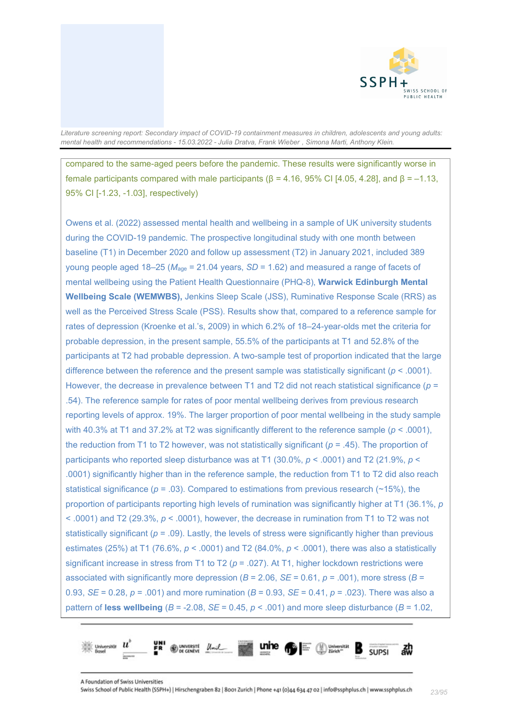

compared to the same-aged peers before the pandemic. These results were significantly worse in female participants compared with male participants (β = 4.16, 95% CI [4.05, 4.28], and β = –1.13, 95% CI [-1.23, -1.03], respectively)

Owens et al. (2022) assessed mental health and wellbeing in a sample of UK university students during the COVID-19 pandemic. The prospective longitudinal study with one month between baseline (T1) in December 2020 and follow up assessment (T2) in January 2021, included 389 young people aged 18–25 (*M*age = 21.04 years, *SD* = 1.62) and measured a range of facets of mental wellbeing using the Patient Health Questionnaire (PHQ-8), **Warwick Edinburgh Mental Wellbeing Scale (WEMWBS),** Jenkins Sleep Scale (JSS), Ruminative Response Scale (RRS) as well as the Perceived Stress Scale (PSS). Results show that, compared to a reference sample for rates of depression (Kroenke et al.'s, 2009) in which 6.2% of 18–24-year-olds met the criteria for probable depression, in the present sample, 55.5% of the participants at T1 and 52.8% of the participants at T2 had probable depression. A two-sample test of proportion indicated that the large difference between the reference and the present sample was statistically significant (*p* < .0001). However, the decrease in prevalence between T1 and T2 did not reach statistical significance (*p* = .54). The reference sample for rates of poor mental wellbeing derives from previous research reporting levels of approx. 19%. The larger proportion of poor mental wellbeing in the study sample with 40.3% at T1 and 37.2% at T2 was significantly different to the reference sample (*p* < .0001), the reduction from T1 to T2 however, was not statistically significant (*p* = .45). The proportion of participants who reported sleep disturbance was at T1 (30.0%, *p* < .0001) and T2 (21.9%, *p* < .0001) significantly higher than in the reference sample, the reduction from T1 to T2 did also reach statistical significance ( $p = .03$ ). Compared to estimations from previous research ( $\sim$ 15%), the proportion of participants reporting high levels of rumination was significantly higher at T1 (36.1%, *p*  $<$  .0001) and T2 (29.3%,  $p <$  .0001), however, the decrease in rumination from T1 to T2 was not statistically significant  $(p = .09)$ . Lastly, the levels of stress were significantly higher than previous estimates (25%) at T1 (76.6%, *p* < .0001) and T2 (84.0%, *p* < .0001), there was also a statistically significant increase in stress from T1 to T2 ( $p = .027$ ). At T1, higher lockdown restrictions were associated with significantly more depression ( $B = 2.06$ ,  $SE = 0.61$ ,  $p = .001$ ), more stress ( $B =$ 0.93, *SE* = 0.28, *p* = .001) and more rumination (*B* = 0.93, *SE* = 0.41, *p* = .023). There was also a pattern of **less wellbeing** (*B* = -2.08, *SE* = 0.45, *p* < .001) and more sleep disturbance (*B* = 1.02,

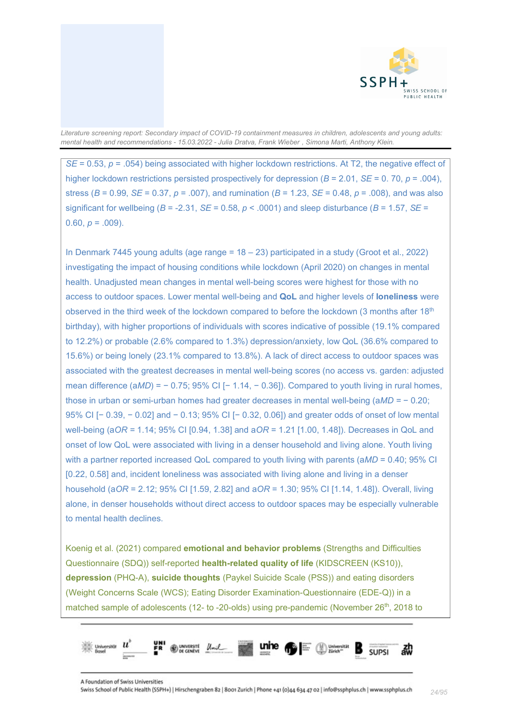

*SE* = 0.53,  $p = .054$ ) being associated with higher lockdown restrictions. At T2, the negative effect of higher lockdown restrictions persisted prospectively for depression (*B* = 2.01, *SE* = 0. 70, *p* = .004), stress (*B* = 0.99, *SE* = 0.37, *p* = .007), and rumination (*B* = 1.23, *SE* = 0.48, *p* = .008), and was also significant for wellbeing ( $B = -2.31$ ,  $SE = 0.58$ ,  $p < .0001$ ) and sleep disturbance ( $B = 1.57$ ,  $SE =$ 0.60,  $p = .009$ ).

In Denmark 7445 young adults (age range = 18 – 23) participated in a study (Groot et al., 2022) investigating the impact of housing conditions while lockdown (April 2020) on changes in mental health. Unadjusted mean changes in mental well-being scores were highest for those with no access to outdoor spaces. Lower mental well-being and **QoL** and higher levels of **loneliness** were observed in the third week of the lockdown compared to before the lockdown (3 months after 18th birthday), with higher proportions of individuals with scores indicative of possible (19.1% compared to 12.2%) or probable (2.6% compared to 1.3%) depression/anxiety, low QoL (36.6% compared to 15.6%) or being lonely (23.1% compared to 13.8%). A lack of direct access to outdoor spaces was associated with the greatest decreases in mental well-being scores (no access vs. garden: adjusted mean difference (a*MD*) = − 0.75; 95% CI [− 1.14, − 0.36]). Compared to youth living in rural homes, those in urban or semi-urban homes had greater decreases in mental well-being (a*MD =* − 0.20; 95% CI [− 0.39, − 0.02] and − 0.13; 95% CI [− 0.32, 0.06]) and greater odds of onset of low mental well-being (a*OR =* 1.14; 95% CI [0.94, 1.38] and a*OR* = 1.21 [1.00, 1.48]). Decreases in QoL and onset of low QoL were associated with living in a denser household and living alone. Youth living with a partner reported increased QoL compared to youth living with parents (a*MD* = 0.40; 95% CI [0.22, 0.58] and, incident loneliness was associated with living alone and living in a denser household (a*OR* = 2.12; 95% CI [1.59, 2.82] and a*OR* = 1.30; 95% CI [1.14, 1.48]). Overall, living alone, in denser households without direct access to outdoor spaces may be especially vulnerable to mental health declines.

Koenig et al. (2021) compared **emotional and behavior problems** (Strengths and Difficulties Questionnaire (SDQ)) self-reported **health-related quality of life** (KIDSCREEN (KS10)), **depression** (PHQ-A), **suicide thoughts** (Paykel Suicide Scale (PSS)) and eating disorders (Weight Concerns Scale (WCS); Eating Disorder Examination-Questionnaire (EDE-Q)) in a matched sample of adolescents (12- to -20-olds) using pre-pandemic (November 26<sup>th</sup>, 2018 to

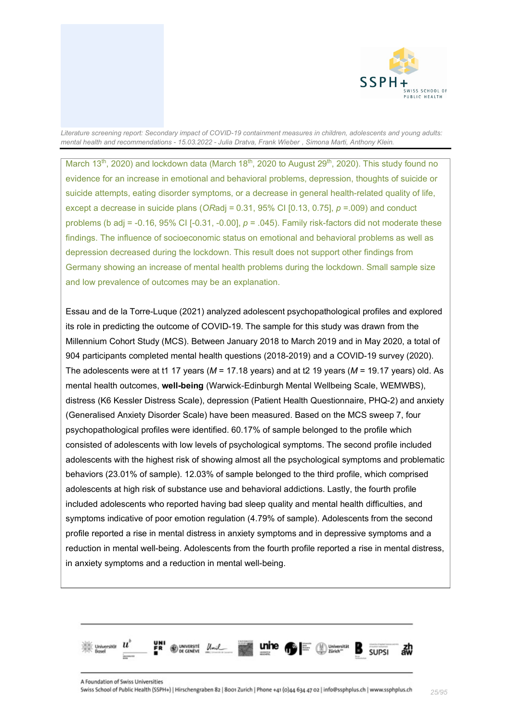

March 13<sup>th</sup>, 2020) and lockdown data (March 18<sup>th</sup>, 2020 to August 29<sup>th</sup>, 2020). This study found no evidence for an increase in emotional and behavioral problems, depression, thoughts of suicide or suicide attempts, eating disorder symptoms, or a decrease in general health-related quality of life, except a decrease in suicide plans (*OR*adj = 0.31, 95% CI [0.13, 0.75], *p* =.009) and conduct problems (b adj = -0.16, 95% CI [-0.31, -0.00], *p* = .045). Family risk-factors did not moderate these findings. The influence of socioeconomic status on emotional and behavioral problems as well as depression decreased during the lockdown. This result does not support other findings from Germany showing an increase of mental health problems during the lockdown. Small sample size and low prevalence of outcomes may be an explanation.

Essau and de la Torre-Luque (2021) analyzed adolescent psychopathological profiles and explored its role in predicting the outcome of COVID-19. The sample for this study was drawn from the Millennium Cohort Study (MCS). Between January 2018 to March 2019 and in May 2020, a total of 904 participants completed mental health questions (2018-2019) and a COVID-19 survey (2020). The adolescents were at t1 17 years (*M* = 17.18 years) and at t2 19 years (*M* = 19.17 years) old. As mental health outcomes, **well-being** (Warwick-Edinburgh Mental Wellbeing Scale, WEMWBS), distress (K6 Kessler Distress Scale), depression (Patient Health Questionnaire, PHQ-2) and anxiety (Generalised Anxiety Disorder Scale) have been measured. Based on the MCS sweep 7, four psychopathological profiles were identified. 60.17% of sample belonged to the profile which consisted of adolescents with low levels of psychological symptoms. The second profile included adolescents with the highest risk of showing almost all the psychological symptoms and problematic behaviors (23.01% of sample). 12.03% of sample belonged to the third profile, which comprised adolescents at high risk of substance use and behavioral addictions. Lastly, the fourth profile included adolescents who reported having bad sleep quality and mental health difficulties, and symptoms indicative of poor emotion regulation (4.79% of sample). Adolescents from the second profile reported a rise in mental distress in anxiety symptoms and in depressive symptoms and a reduction in mental well-being. Adolescents from the fourth profile reported a rise in mental distress, in anxiety symptoms and a reduction in mental well-being.

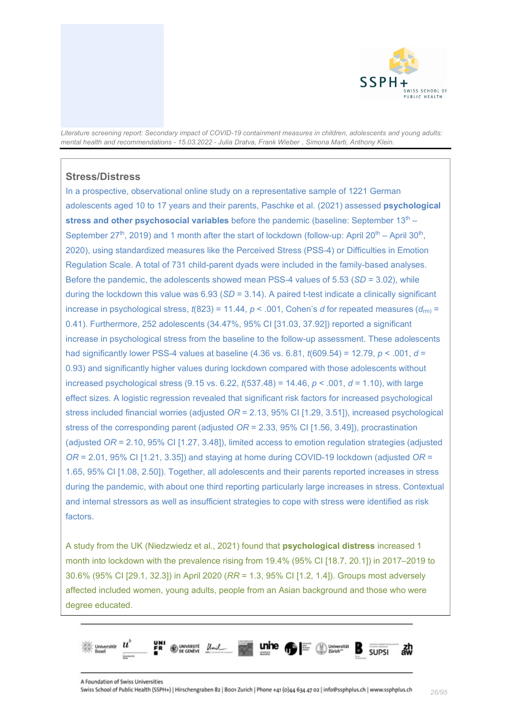

### <span id="page-25-0"></span>**Stress/Distress**

In a prospective, observational online study on a representative sample of 1221 German adolescents aged 10 to 17 years and their parents, Paschke et al. (2021) assessed **psychological stress and other psychosocial variables** before the pandemic (baseline: September 13<sup>th</sup> – September 27<sup>th</sup>, 2019) and 1 month after the start of lockdown (follow-up: April 20<sup>th</sup> – April 30<sup>th</sup>, 2020), using standardized measures like the Perceived Stress (PSS-4) or Difficulties in Emotion Regulation Scale. A total of 731 child-parent dyads were included in the family-based analyses. Before the pandemic, the adolescents showed mean PSS-4 values of 5.53 (*SD* = 3.02), while during the lockdown this value was 6.93 (*SD* = 3.14). A paired t-test indicate a clinically significant increase in psychological stress,  $t(823) = 11.44$ ,  $p < .001$ , Cohen's *d* for repeated measures  $(d_{\text{rm}}) =$ 0.41). Furthermore, 252 adolescents (34.47%, 95% CI [31.03, 37.92]) reported a significant increase in psychological stress from the baseline to the follow-up assessment. These adolescents had significantly lower PSS-4 values at baseline (4.36 vs. 6.81, *t*(609.54) = 12.79, *p* < .001, *d* = 0.93) and significantly higher values during lockdown compared with those adolescents without increased psychological stress (9.15 vs. 6.22, *t*(537.48) = 14.46, *p* < .001, *d* = 1.10), with large effect sizes. A logistic regression revealed that significant risk factors for increased psychological stress included financial worries (adjusted *OR* = 2.13, 95% CI [1.29, 3.51]), increased psychological stress of the corresponding parent (adjusted *OR* = 2.33, 95% CI [1.56, 3.49]), procrastination (adjusted *OR* = 2.10, 95% CI [1.27, 3.48]), limited access to emotion regulation strategies (adjusted *OR* = 2.01, 95% CI [1.21, 3.35]) and staying at home during COVID-19 lockdown (adjusted *OR* = 1.65, 95% CI [1.08, 2.50]). Together, all adolescents and their parents reported increases in stress during the pandemic, with about one third reporting particularly large increases in stress. Contextual and internal stressors as well as insufficient strategies to cope with stress were identified as risk factors.

A study from the UK (Niedzwiedz et al., 2021) found that **psychological distress** increased 1 month into lockdown with the prevalence rising from 19.4% (95% CI [18.7, 20.1]) in 2017–2019 to 30.6% (95% CI [29.1, 32.3]) in April 2020 (*RR* = 1.3, 95% CI [1.2, 1.4]). Groups most adversely affected included women, young adults, people from an Asian background and those who were degree educated.

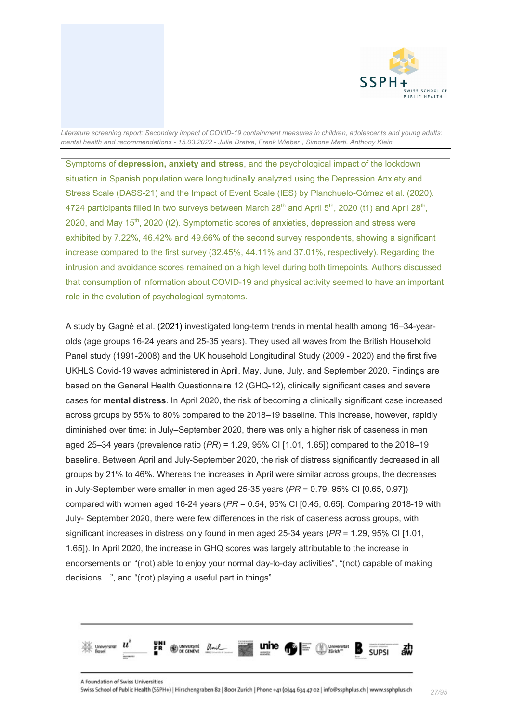

Symptoms of **depression, anxiety and stress**, and the psychological impact of the lockdown situation in Spanish population were longitudinally analyzed using the Depression Anxiety and Stress Scale (DASS-21) and the Impact of Event Scale (IES) by Planchuelo-Gómez et al. (2020). 4724 participants filled in two surveys between March  $28<sup>th</sup>$  and April  $5<sup>th</sup>$ , 2020 (t1) and April  $28<sup>th</sup>$ , 2020, and May 15th, 2020 (t2). Symptomatic scores of anxieties, depression and stress were exhibited by 7.22%, 46.42% and 49.66% of the second survey respondents, showing a significant increase compared to the first survey (32.45%, 44.11% and 37.01%, respectively). Regarding the intrusion and avoidance scores remained on a high level during both timepoints. Authors discussed that consumption of information about COVID-19 and physical activity seemed to have an important role in the evolution of psychological symptoms.

A study by Gagné et al. (2021) investigated long-term trends in mental health among 16–34-yearolds (age groups 16-24 years and 25-35 years). They used all waves from the British Household Panel study (1991-2008) and the UK household Longitudinal Study (2009 - 2020) and the first five UKHLS Covid-19 waves administered in April, May, June, July, and September 2020. Findings are based on the General Health Questionnaire 12 (GHQ-12), clinically significant cases and severe cases for **mental distress**. In April 2020, the risk of becoming a clinically significant case increased across groups by 55% to 80% compared to the 2018–19 baseline. This increase, however, rapidly diminished over time: in July–September 2020, there was only a higher risk of caseness in men aged 25–34 years (prevalence ratio (*PR*) = 1.29, 95% CI [1.01, 1.65]) compared to the 2018–19 baseline. Between April and July-September 2020, the risk of distress significantly decreased in all groups by 21% to 46%. Whereas the increases in April were similar across groups, the decreases in July-September were smaller in men aged 25-35 years (*PR* = 0.79, 95% CI [0.65, 0.97]) compared with women aged 16-24 years (*PR* = 0.54, 95% CI [0.45, 0.65]. Comparing 2018-19 with July- September 2020, there were few differences in the risk of caseness across groups, with significant increases in distress only found in men aged 25-34 years (*PR* = 1.29, 95% CI [1.01, 1.65]). In April 2020, the increase in GHQ scores was largely attributable to the increase in endorsements on "(not) able to enjoy your normal day-to-day activities", "(not) capable of making decisions…", and "(not) playing a useful part in things"

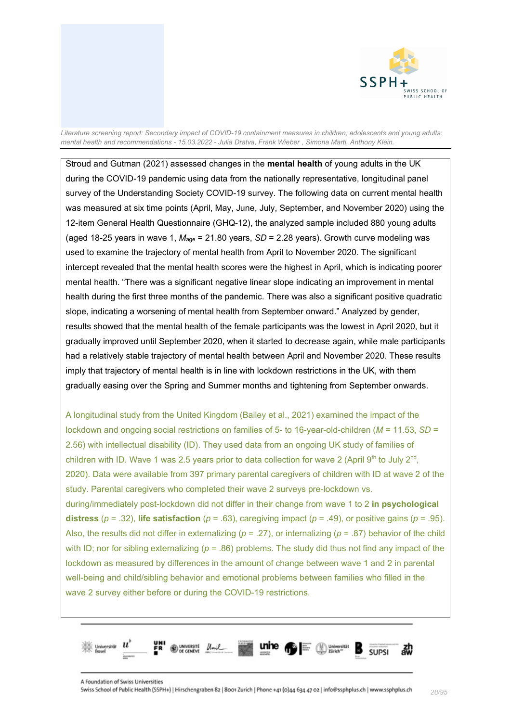

Stroud and Gutman (2021) assessed changes in the **mental health** of young adults in the UK during the COVID-19 pandemic using data from the nationally representative, longitudinal panel survey of the Understanding Society COVID-19 survey. The following data on current mental health was measured at six time points (April, May, June, July, September, and November 2020) using the 12-item General Health Questionnaire (GHQ-12), the analyzed sample included 880 young adults (aged 18-25 years in wave 1,  $M_{\text{age}}$  = 21.80 years,  $SD$  = 2.28 years). Growth curve modeling was used to examine the trajectory of mental health from April to November 2020. The significant intercept revealed that the mental health scores were the highest in April, which is indicating poorer mental health. "There was a significant negative linear slope indicating an improvement in mental health during the first three months of the pandemic. There was also a significant positive quadratic slope, indicating a worsening of mental health from September onward." Analyzed by gender, results showed that the mental health of the female participants was the lowest in April 2020, but it gradually improved until September 2020, when it started to decrease again, while male participants had a relatively stable trajectory of mental health between April and November 2020. These results imply that trajectory of mental health is in line with lockdown restrictions in the UK, with them gradually easing over the Spring and Summer months and tightening from September onwards.

A longitudinal study from the United Kingdom (Bailey et al., 2021) examined the impact of the lockdown and ongoing social restrictions on families of 5- to 16-year-old-children (*M* = 11.53, *SD* = 2.56) with intellectual disability (ID). They used data from an ongoing UK study of families of children with ID. Wave 1 was 2.5 years prior to data collection for wave 2 (April 9<sup>th</sup> to July 2<sup>nd</sup>, 2020). Data were available from 397 primary parental caregivers of children with ID at wave 2 of the study. Parental caregivers who completed their wave 2 surveys pre-lockdown vs. during/immediately post-lockdown did not differ in their change from wave 1 to 2 **in psychological distress** ( $p = .32$ ), **life satisfaction** ( $p = .63$ ), caregiving impact ( $p = .49$ ), or positive gains ( $p = .95$ ). Also, the results did not differ in externalizing (*p* = .27), or internalizing (*p* = .87) behavior of the child with ID; nor for sibling externalizing ( $p = .86$ ) problems. The study did thus not find any impact of the lockdown as measured by differences in the amount of change between wave 1 and 2 in parental well-being and child/sibling behavior and emotional problems between families who filled in the wave 2 survey either before or during the COVID-19 restrictions.

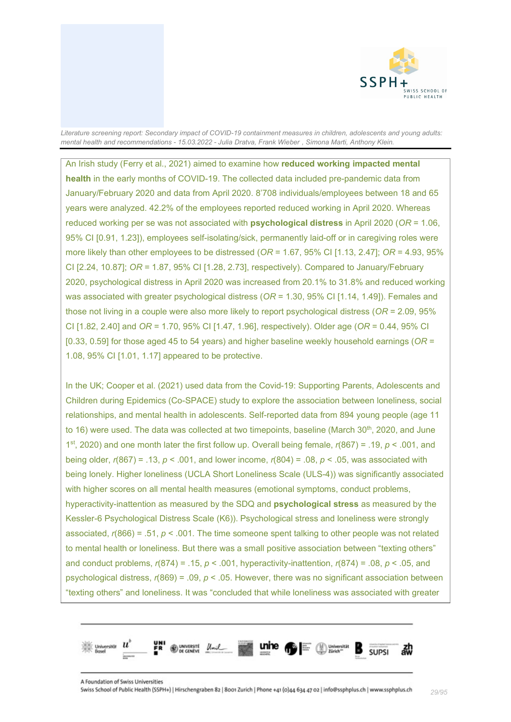

An Irish study (Ferry et al., 2021) aimed to examine how **reduced working impacted mental health** in the early months of COVID-19. The collected data included pre-pandemic data from January/February 2020 and data from April 2020. 8'708 individuals/employees between 18 and 65 years were analyzed. 42.2% of the employees reported reduced working in April 2020. Whereas reduced working per se was not associated with **psychological distress** in April 2020 (*OR* = 1.06, 95% CI [0.91, 1.23]), employees self-isolating/sick, permanently laid-off or in caregiving roles were more likely than other employees to be distressed (*OR* = 1.67, 95% CI [1.13, 2.47]; *OR* = 4.93, 95% CI [2.24, 10.87]; *OR* = 1.87, 95% CI [1.28, 2.73], respectively). Compared to January/February 2020, psychological distress in April 2020 was increased from 20.1% to 31.8% and reduced working was associated with greater psychological distress (*OR* = 1.30, 95% CI [1.14, 1.49]). Females and those not living in a couple were also more likely to report psychological distress (*OR* = 2.09, 95% CI [1.82, 2.40] and *OR* = 1.70, 95% CI [1.47, 1.96], respectively). Older age (*OR* = 0.44, 95% CI [0.33, 0.59] for those aged 45 to 54 years) and higher baseline weekly household earnings (*OR* = 1.08, 95% CI [1.01, 1.17] appeared to be protective.

In the UK; Cooper et al. (2021) used data from the Covid-19: Supporting Parents, Adolescents and Children during Epidemics (Co-SPACE) study to explore the association between loneliness, social relationships, and mental health in adolescents. Self-reported data from 894 young people (age 11 to 16) were used. The data was collected at two timepoints, baseline (March 30<sup>th</sup>, 2020, and June 1st, 2020) and one month later the first follow up. Overall being female, *r*(867) = .19, *p* < .001, and being older, *r*(867) = .13, *p* < .001, and lower income, *r*(804) = .08, *p* < .05, was associated with being lonely. Higher loneliness (UCLA Short Loneliness Scale (ULS-4)) was significantly associated with higher scores on all mental health measures (emotional symptoms, conduct problems, hyperactivity-inattention as measured by the SDQ and **psychological stress** as measured by the Kessler-6 Psychological Distress Scale (K6)). Psychological stress and loneliness were strongly associated, *r*(866) = .51, *p* < .001. The time someone spent talking to other people was not related to mental health or loneliness. But there was a small positive association between "texting others" and conduct problems, *r*(874) = .15, *p* < .001, hyperactivity-inattention, *r*(874) = .08, *p* < .05, and psychological distress, *r*(869) = .09, *p* < .05. However, there was no significant association between "texting others" and loneliness. It was "concluded that while loneliness was associated with greater

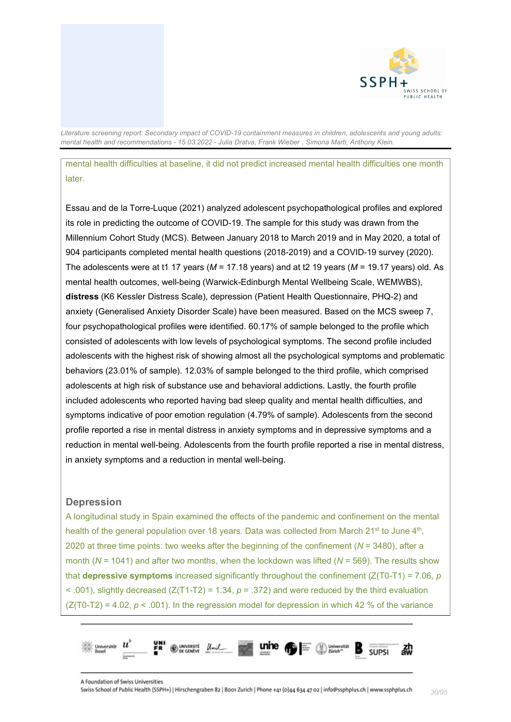

mental health difficulties at baseline, it did not predict increased mental health difficulties one month later.

Essau and de la Torre-Luque (2021) analyzed adolescent psychopathological profiles and explored its role in predicting the outcome of COVID-19. The sample for this study was drawn from the Millennium Cohort Study (MCS). Between January 2018 to March 2019 and in May 2020, a total of 904 participants completed mental health questions (2018-2019) and a COVID-19 survey (2020). The adolescents were at t1 17 years (*M* = 17.18 years) and at t2 19 years (*M* = 19.17 years) old. As mental health outcomes, well-being (Warwick-Edinburgh Mental Wellbeing Scale, WEMWBS), **distress** (K6 Kessler Distress Scale), depression (Patient Health Questionnaire, PHQ-2) and anxiety (Generalised Anxiety Disorder Scale) have been measured. Based on the MCS sweep 7, four psychopathological profiles were identified. 60.17% of sample belonged to the profile which consisted of adolescents with low levels of psychological symptoms. The second profile included adolescents with the highest risk of showing almost all the psychological symptoms and problematic behaviors (23.01% of sample). 12.03% of sample belonged to the third profile, which comprised adolescents at high risk of substance use and behavioral addictions. Lastly, the fourth profile included adolescents who reported having bad sleep quality and mental health difficulties, and symptoms indicative of poor emotion regulation (4.79% of sample). Adolescents from the second profile reported a rise in mental distress in anxiety symptoms and in depressive symptoms and a reduction in mental well-being. Adolescents from the fourth profile reported a rise in mental distress, in anxiety symptoms and a reduction in mental well-being.

#### <span id="page-29-0"></span>**Depression**

A longitudinal study in Spain examined the effects of the pandemic and confinement on the mental health of the general population over 18 years. Data was collected from March 21st to June  $4<sup>th</sup>$ , 2020 at three time points: two weeks after the beginning of the confinement (*N* = 3480), after a month (*N* = 1041) and after two months, when the lockdown was lifted (*N* = 569). The results show that **depressive symptoms** increased significantly throughout the confinement  $(Z(T0-T1) = 7.06, p$ < .001), slightly decreased (Z(T1-T2) = 1.34, *p* = .372) and were reduced by the third evaluation  $(Z(T0-T2) = 4.02, p < .001)$ . In the regression model for depression in which 42 % of the variance

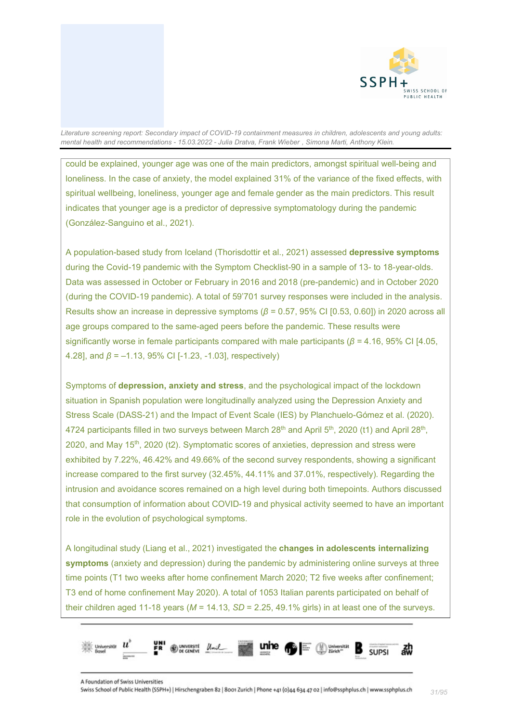

could be explained, younger age was one of the main predictors, amongst spiritual well-being and loneliness. In the case of anxiety, the model explained 31% of the variance of the fixed effects, with spiritual wellbeing, loneliness, younger age and female gender as the main predictors. This result indicates that younger age is a predictor of depressive symptomatology during the pandemic (González-Sanguino et al., 2021).

A population-based study from Iceland (Thorisdottir et al., 2021) assessed **depressive symptoms** during the Covid-19 pandemic with the Symptom Checklist-90 in a sample of 13- to 18-year-olds. Data was assessed in October or February in 2016 and 2018 (pre-pandemic) and in October 2020 (during the COVID-19 pandemic). A total of 59'701 survey responses were included in the analysis. Results show an increase in depressive symptoms (*β* = 0.57, 95% CI [0.53, 0.60]) in 2020 across all age groups compared to the same-aged peers before the pandemic. These results were significantly worse in female participants compared with male participants (*β* = 4.16, 95% CI [4.05, 4.28], and *β* = –1.13, 95% CI [-1.23, -1.03], respectively)

Symptoms of **depression, anxiety and stress**, and the psychological impact of the lockdown situation in Spanish population were longitudinally analyzed using the Depression Anxiety and Stress Scale (DASS-21) and the Impact of Event Scale (IES) by Planchuelo-Gómez et al. (2020). 4724 participants filled in two surveys between March 28<sup>th</sup> and April 5<sup>th</sup>, 2020 (t1) and April 28<sup>th</sup>, 2020, and May 15th, 2020 (t2). Symptomatic scores of anxieties, depression and stress were exhibited by 7.22%, 46.42% and 49.66% of the second survey respondents, showing a significant increase compared to the first survey (32.45%, 44.11% and 37.01%, respectively). Regarding the intrusion and avoidance scores remained on a high level during both timepoints. Authors discussed that consumption of information about COVID-19 and physical activity seemed to have an important role in the evolution of psychological symptoms.

A longitudinal study (Liang et al., 2021) investigated the **changes in adolescents internalizing symptoms** (anxiety and depression) during the pandemic by administering online surveys at three time points (T1 two weeks after home confinement March 2020; T2 five weeks after confinement; T3 end of home confinement May 2020). A total of 1053 Italian parents participated on behalf of their children aged 11-18 years ( $M = 14.13$ ,  $SD = 2.25$ , 49.1% girls) in at least one of the surveys.

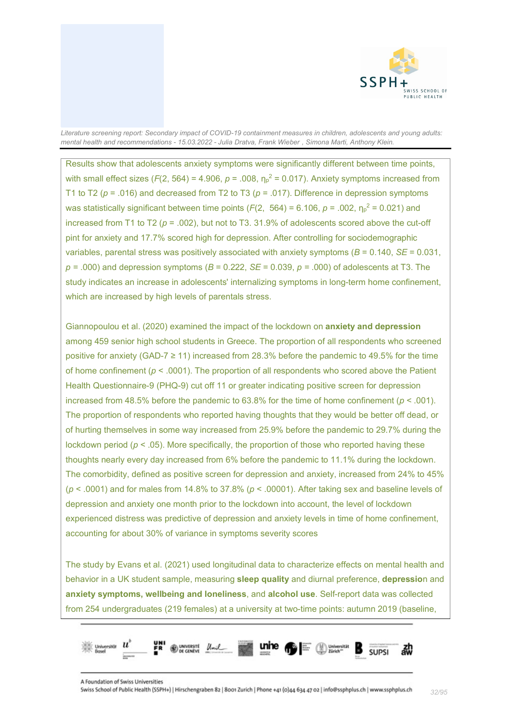

Results show that adolescents anxiety symptoms were significantly different between time points, with small effect sizes ( $F(2, 564) = 4.906$ ,  $p = .008$ ,  $\eta_p^2 = 0.017$ ). Anxiety symptoms increased from T1 to T2 (*p* = .016) and decreased from T2 to T3 (*p* = .017). Difference in depression symptoms was statistically significant between time points (*F*(2, 564) = 6.106, *p* = .002, η<sup>p</sup> <sup>2</sup> = 0.021) and increased from T1 to T2 ( $p = .002$ ), but not to T3. 31.9% of adolescents scored above the cut-off pint for anxiety and 17.7% scored high for depression. After controlling for sociodemographic variables, parental stress was positively associated with anxiety symptoms (*B* = 0.140, *SE* = 0.031,  $p = .000$ ) and depression symptoms ( $B = 0.222$ ,  $SE = 0.039$ ,  $p = .000$ ) of adolescents at T3. The study indicates an increase in adolescents' internalizing symptoms in long-term home confinement, which are increased by high levels of parentals stress.

Giannopoulou et al. (2020) examined the impact of the lockdown on **anxiety and depression** among 459 senior high school students in Greece. The proportion of all respondents who screened positive for anxiety (GAD-7  $\geq$  11) increased from 28.3% before the pandemic to 49.5% for the time of home confinement (*p* < .0001). The proportion of all respondents who scored above the Patient Health Questionnaire-9 (PHQ-9) cut off 11 or greater indicating positive screen for depression increased from 48.5% before the pandemic to  $63.8\%$  for the time of home confinement ( $p < .001$ ). The proportion of respondents who reported having thoughts that they would be better off dead, or of hurting themselves in some way increased from 25.9% before the pandemic to 29.7% during the lockdown period  $(p < .05)$ . More specifically, the proportion of those who reported having these thoughts nearly every day increased from 6% before the pandemic to 11.1% during the lockdown. The comorbidity, defined as positive screen for depression and anxiety, increased from 24% to 45% (*p* < .0001) and for males from 14.8% to 37.8% (*p* < .00001). After taking sex and baseline levels of depression and anxiety one month prior to the lockdown into account, the level of lockdown experienced distress was predictive of depression and anxiety levels in time of home confinement, accounting for about 30% of variance in symptoms severity scores

The study by Evans et al. (2021) used longitudinal data to characterize effects on mental health and behavior in a UK student sample, measuring **sleep quality** and diurnal preference, **depressio**n and **anxiety symptoms, wellbeing and loneliness**, and **alcohol use**. Self-report data was collected from 254 undergraduates (219 females) at a university at two-time points: autumn 2019 (baseline,

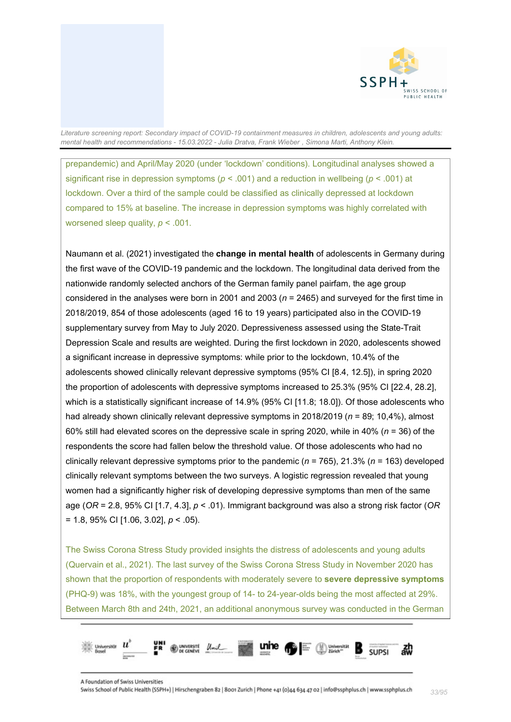

prepandemic) and April/May 2020 (under 'lockdown' conditions). Longitudinal analyses showed a significant rise in depression symptoms (*p* < .001) and a reduction in wellbeing (*p* < .001) at lockdown. Over a third of the sample could be classified as clinically depressed at lockdown compared to 15% at baseline. The increase in depression symptoms was highly correlated with worsened sleep quality, *p* < .001.

Naumann et al. (2021) investigated the **change in mental health** of adolescents in Germany during the first wave of the COVID-19 pandemic and the lockdown. The longitudinal data derived from the nationwide randomly selected anchors of the German family panel pairfam, the age group considered in the analyses were born in 2001 and 2003 (*n* = 2465) and surveyed for the first time in 2018/2019, 854 of those adolescents (aged 16 to 19 years) participated also in the COVID-19 supplementary survey from May to July 2020. Depressiveness assessed using the State-Trait Depression Scale and results are weighted. During the first lockdown in 2020, adolescents showed a significant increase in depressive symptoms: while prior to the lockdown, 10.4% of the adolescents showed clinically relevant depressive symptoms (95% CI [8.4, 12.5]), in spring 2020 the proportion of adolescents with depressive symptoms increased to 25.3% (95% CI [22.4, 28.2], which is a statistically significant increase of 14.9% (95% CI [11.8; 18.0]). Of those adolescents who had already shown clinically relevant depressive symptoms in 2018/2019 (*n* = 89; 10,4%), almost 60% still had elevated scores on the depressive scale in spring 2020, while in 40% (*n* = 36) of the respondents the score had fallen below the threshold value. Of those adolescents who had no clinically relevant depressive symptoms prior to the pandemic (*n* = 765), 21.3% (*n* = 163) developed clinically relevant symptoms between the two surveys. A logistic regression revealed that young women had a significantly higher risk of developing depressive symptoms than men of the same age (*OR* = 2.8, 95% CI [1.7, 4.3], *p* < .01). Immigrant background was also a strong risk factor (*OR* = 1.8, 95% CI [1.06, 3.02], *p* < .05).

The Swiss Corona Stress Study provided insights the distress of adolescents and young adults (Quervain et al., 2021). The last survey of the Swiss Corona Stress Study in November 2020 has shown that the proportion of respondents with moderately severe to **severe depressive symptoms** (PHQ-9) was 18%, with the youngest group of 14- to 24-year-olds being the most affected at 29%. Between March 8th and 24th, 2021, an additional anonymous survey was conducted in the German

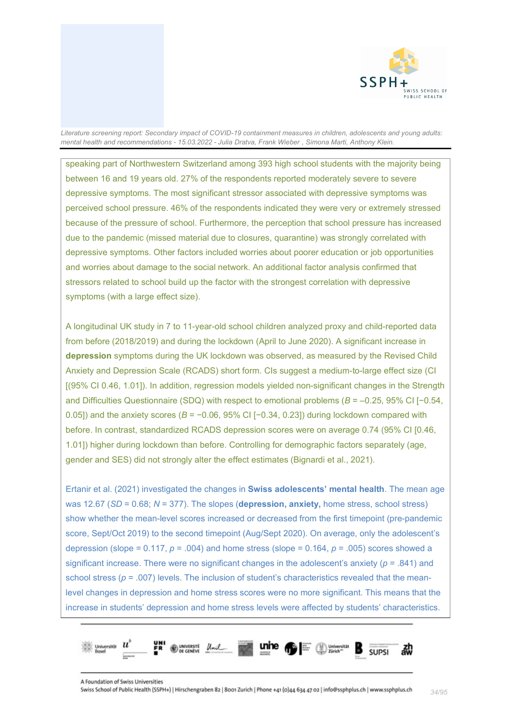

speaking part of Northwestern Switzerland among 393 high school students with the majority being between 16 and 19 years old. 27% of the respondents reported moderately severe to severe depressive symptoms. The most significant stressor associated with depressive symptoms was perceived school pressure. 46% of the respondents indicated they were very or extremely stressed because of the pressure of school. Furthermore, the perception that school pressure has increased due to the pandemic (missed material due to closures, quarantine) was strongly correlated with depressive symptoms. Other factors included worries about poorer education or job opportunities and worries about damage to the social network. An additional factor analysis confirmed that stressors related to school build up the factor with the strongest correlation with depressive symptoms (with a large effect size).

A longitudinal UK study in 7 to 11-year-old school children analyzed proxy and child-reported data from before (2018/2019) and during the lockdown (April to June 2020). A significant increase in **depression** symptoms during the UK lockdown was observed, as measured by the Revised Child Anxiety and Depression Scale (RCADS) short form. CIs suggest a medium-to-large effect size (CI [(95% CI 0.46, 1.01]). In addition, regression models yielded non-significant changes in the Strength and Difficulties Questionnaire (SDQ) with respect to emotional problems (*B* = –0.25, 95% CI [−0.54, 0.05]) and the anxiety scores (*B* = −0.06, 95% CI [−0.34, 0.23]) during lockdown compared with before. In contrast, standardized RCADS depression scores were on average 0.74 (95% CI [0.46, 1.01]) higher during lockdown than before. Controlling for demographic factors separately (age, gender and SES) did not strongly alter the effect estimates (Bignardi et al., 2021).

Ertanir et al. (2021) investigated the changes in **Swiss adolescents' mental health**. The mean age was 12.67 (*SD* = 0.68; *N* = 377). The slopes (**depression, anxiety,** home stress, school stress) show whether the mean-level scores increased or decreased from the first timepoint (pre-pandemic score, Sept/Oct 2019) to the second timepoint (Aug/Sept 2020). On average, only the adolescent's depression (slope =  $0.117$ ,  $p = .004$ ) and home stress (slope =  $0.164$ ,  $p = .005$ ) scores showed a significant increase. There were no significant changes in the adolescent's anxiety (*p* = .841) and school stress ( $p = .007$ ) levels. The inclusion of student's characteristics revealed that the meanlevel changes in depression and home stress scores were no more significant. This means that the increase in students' depression and home stress levels were affected by students' characteristics.

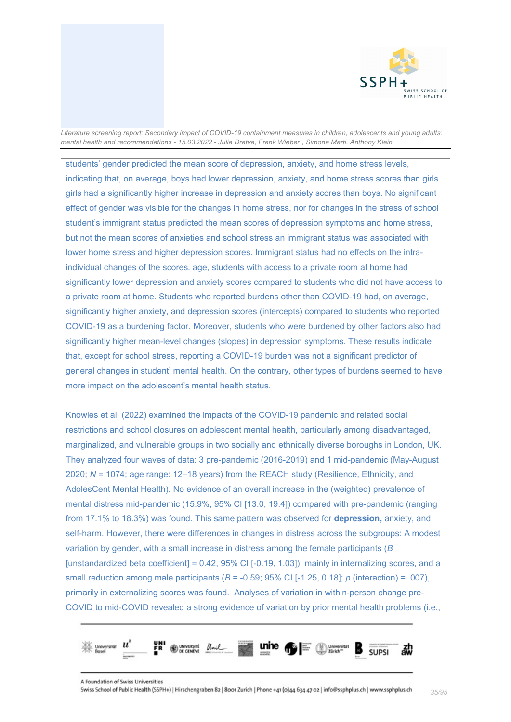

students' gender predicted the mean score of depression, anxiety, and home stress levels, indicating that, on average, boys had lower depression, anxiety, and home stress scores than girls. girls had a significantly higher increase in depression and anxiety scores than boys. No significant effect of gender was visible for the changes in home stress, nor for changes in the stress of school student's immigrant status predicted the mean scores of depression symptoms and home stress, but not the mean scores of anxieties and school stress an immigrant status was associated with lower home stress and higher depression scores. Immigrant status had no effects on the intraindividual changes of the scores. age, students with access to a private room at home had significantly lower depression and anxiety scores compared to students who did not have access to a private room at home. Students who reported burdens other than COVID-19 had, on average, significantly higher anxiety, and depression scores (intercepts) compared to students who reported COVID-19 as a burdening factor. Moreover, students who were burdened by other factors also had significantly higher mean-level changes (slopes) in depression symptoms. These results indicate that, except for school stress, reporting a COVID-19 burden was not a significant predictor of general changes in student' mental health. On the contrary, other types of burdens seemed to have more impact on the adolescent's mental health status.

Knowles et al. (2022) examined the impacts of the COVID-19 pandemic and related social restrictions and school closures on adolescent mental health, particularly among disadvantaged, marginalized, and vulnerable groups in two socially and ethnically diverse boroughs in London, UK. They analyzed four waves of data: 3 pre-pandemic (2016-2019) and 1 mid-pandemic (May-August 2020; *N* = 1074; age range: 12–18 years) from the REACH study (Resilience, Ethnicity, and AdolesCent Mental Health). No evidence of an overall increase in the (weighted) prevalence of mental distress mid-pandemic (15.9%, 95% CI [13.0, 19.4]) compared with pre-pandemic (ranging from 17.1% to 18.3%) was found. This same pattern was observed for **depression,** anxiety, and self-harm. However, there were differences in changes in distress across the subgroups: A modest variation by gender, with a small increase in distress among the female participants (*B* [unstandardized beta coefficient] =  $0.42$ ,  $95\%$  CI [-0.19, 1.03]), mainly in internalizing scores, and a small reduction among male participants (*B* = -0.59; 95% CI [-1.25, 0.18]; *p* (interaction) = .007), primarily in externalizing scores was found. Analyses of variation in within-person change pre-COVID to mid-COVID revealed a strong evidence of variation by prior mental health problems (i.e.,

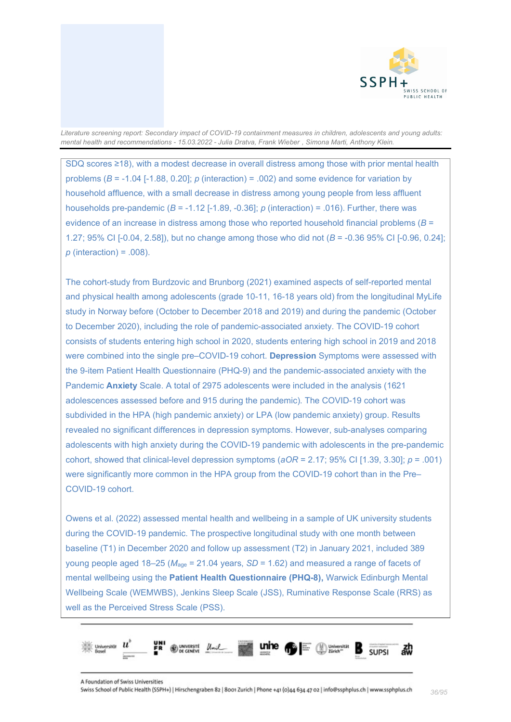

SDQ scores ≥18), with a modest decrease in overall distress among those with prior mental health problems (*B* = -1.04 [-1.88, 0.20]; *p* (interaction) = .002) and some evidence for variation by household affluence, with a small decrease in distress among young people from less affluent households pre-pandemic  $(B = -1.12$   $[-1.89, -0.36]$ ;  $p$  (interaction) = .016). Further, there was evidence of an increase in distress among those who reported household financial problems (*B* = 1.27; 95% CI [-0.04, 2.58]), but no change among those who did not (*B* = -0.36 95% CI [-0.96, 0.24]; *p* (interaction) = .008).

The cohort-study from Burdzovic and Brunborg (2021) examined aspects of self-reported mental and physical health among adolescents (grade 10-11, 16-18 years old) from the longitudinal MyLife study in Norway before (October to December 2018 and 2019) and during the pandemic (October to December 2020), including the role of pandemic-associated anxiety. The COVID-19 cohort consists of students entering high school in 2020, students entering high school in 2019 and 2018 were combined into the single pre–COVID-19 cohort. **Depression** Symptoms were assessed with the 9-item Patient Health Questionnaire (PHQ-9) and the pandemic-associated anxiety with the Pandemic **Anxiety** Scale. A total of 2975 adolescents were included in the analysis (1621 adolescences assessed before and 915 during the pandemic). The COVID-19 cohort was subdivided in the HPA (high pandemic anxiety) or LPA (low pandemic anxiety) group. Results revealed no significant differences in depression symptoms. However, sub-analyses comparing adolescents with high anxiety during the COVID-19 pandemic with adolescents in the pre-pandemic cohort, showed that clinical-level depression symptoms (*aOR* = 2.17; 95% CI [1.39, 3.30]; *p* = .001) were significantly more common in the HPA group from the COVID-19 cohort than in the Pre– COVID-19 cohort.

Owens et al. (2022) assessed mental health and wellbeing in a sample of UK university students during the COVID-19 pandemic. The prospective longitudinal study with one month between baseline (T1) in December 2020 and follow up assessment (T2) in January 2021, included 389 young people aged 18–25 (*M*age = 21.04 years, *SD* = 1.62) and measured a range of facets of mental wellbeing using the **Patient Health Questionnaire (PHQ-8),** Warwick Edinburgh Mental Wellbeing Scale (WEMWBS), Jenkins Sleep Scale (JSS), Ruminative Response Scale (RRS) as well as the Perceived Stress Scale (PSS).

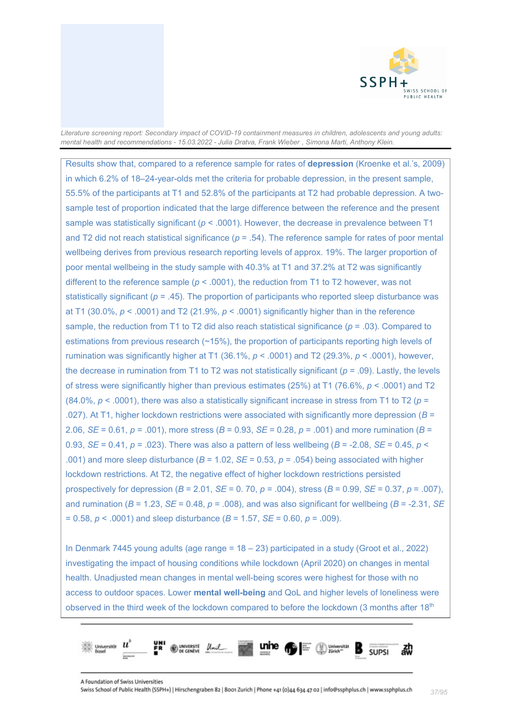

Results show that, compared to a reference sample for rates of **depression** (Kroenke et al.'s, 2009) in which 6.2% of 18–24-year-olds met the criteria for probable depression, in the present sample, 55.5% of the participants at T1 and 52.8% of the participants at T2 had probable depression. A twosample test of proportion indicated that the large difference between the reference and the present sample was statistically significant (*p* < .0001). However, the decrease in prevalence between T1 and T2 did not reach statistical significance ( $p = .54$ ). The reference sample for rates of poor mental wellbeing derives from previous research reporting levels of approx. 19%. The larger proportion of poor mental wellbeing in the study sample with 40.3% at T1 and 37.2% at T2 was significantly different to the reference sample ( $p < .0001$ ), the reduction from T1 to T2 however, was not statistically significant ( $p = .45$ ). The proportion of participants who reported sleep disturbance was at T1 (30.0%, *p* < .0001) and T2 (21.9%, *p* < .0001) significantly higher than in the reference sample, the reduction from T1 to T2 did also reach statistical significance ( $p = .03$ ). Compared to estimations from previous research (~15%), the proportion of participants reporting high levels of rumination was significantly higher at T1 (36.1%, *p* < .0001) and T2 (29.3%, *p* < .0001), however, the decrease in rumination from T1 to T2 was not statistically significant (*p* = .09). Lastly, the levels of stress were significantly higher than previous estimates (25%) at T1 (76.6%, *p* < .0001) and T2 (84.0%,  $p < .0001$ ), there was also a statistically significant increase in stress from T1 to T2 ( $p =$ .027). At T1, higher lockdown restrictions were associated with significantly more depression (*B* = 2.06, *SE* = 0.61, *p* = .001), more stress (*B* = 0.93, *SE* = 0.28, *p* = .001) and more rumination (*B* = 0.93, *SE* = 0.41, *p* = .023). There was also a pattern of less wellbeing (*B* = -2.08, *SE* = 0.45, *p* < .001) and more sleep disturbance  $(B = 1.02, SE = 0.53, p = .054)$  being associated with higher lockdown restrictions. At T2, the negative effect of higher lockdown restrictions persisted prospectively for depression (*B* = 2.01, *SE* = 0. 70, *p* = .004), stress (*B* = 0.99, *SE* = 0.37, *p* = .007), and rumination ( $B = 1.23$ ,  $SE = 0.48$ ,  $p = .008$ ), and was also significant for wellbeing ( $B = -2.31$ ,  $SE = 0.48$ ,  $p = .008$ ), and was also significant for wellbeing ( $B = -2.31$ ,  $SE = 0.48$ = 0.58, *p* < .0001) and sleep disturbance (*B* = 1.57, *SE* = 0.60, *p* = .009).

In Denmark 7445 young adults (age range = 18 – 23) participated in a study (Groot et al., 2022) investigating the impact of housing conditions while lockdown (April 2020) on changes in mental health. Unadjusted mean changes in mental well-being scores were highest for those with no access to outdoor spaces. Lower **mental well-being** and QoL and higher levels of loneliness were observed in the third week of the lockdown compared to before the lockdown (3 months after 18<sup>th</sup>)

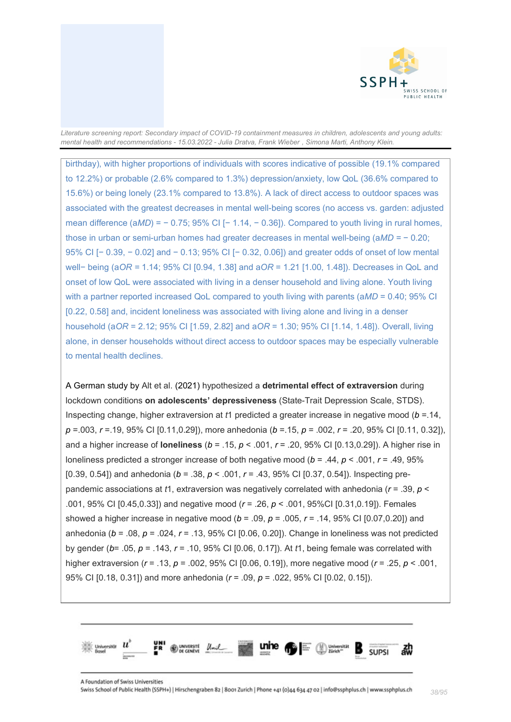

birthday), with higher proportions of individuals with scores indicative of possible (19.1% compared to 12.2%) or probable (2.6% compared to 1.3%) depression/anxiety, low QoL (36.6% compared to 15.6%) or being lonely (23.1% compared to 13.8%). A lack of direct access to outdoor spaces was associated with the greatest decreases in mental well-being scores (no access vs. garden: adjusted mean difference (a*MD*) = − 0.75; 95% CI [− 1.14, − 0.36]). Compared to youth living in rural homes, those in urban or semi-urban homes had greater decreases in mental well-being (a*MD =* − 0.20; 95% CI [− 0.39, − 0.02] and − 0.13; 95% CI [− 0.32, 0.06]) and greater odds of onset of low mental well− being (a*OR =* 1.14; 95% CI [0.94, 1.38] and a*OR* = 1.21 [1.00, 1.48]). Decreases in QoL and onset of low QoL were associated with living in a denser household and living alone. Youth living with a partner reported increased QoL compared to youth living with parents (a*MD* = 0.40; 95% CI [0.22, 0.58] and, incident loneliness was associated with living alone and living in a denser household (a*OR* = 2.12; 95% CI [1.59, 2.82] and a*OR* = 1.30; 95% CI [1.14, 1.48]). Overall, living alone, in denser households without direct access to outdoor spaces may be especially vulnerable to mental health declines.

A German study by Alt et al. (2021) hypothesized a **detrimental effect of extraversion** during lockdown conditions **on adolescents' depressiveness** (State-Trait Depression Scale, STDS). Inspecting change, higher extraversion at *t*1 predicted a greater increase in negative mood (*b* =.14, *p* =.003, *r* =.19, 95% CI [0.11,0.29]), more anhedonia (*b* =.15, *p* = .002, *r* = .20, 95% CI [0.11, 0.32]), and a higher increase of **loneliness** (*b* = .15, *p* < .001, *r* = .20, 95% CI [0.13,0.29]). A higher rise in loneliness predicted a stronger increase of both negative mood (*b* = .44, *p* < .001, *r* = .49, 95% [0.39, 0.54]) and anhedonia (*b* = .38, *p* < .001, *r* = .43, 95% CI [0.37, 0.54]). Inspecting prepandemic associations at *t*1, extraversion was negatively correlated with anhedonia (*r* = .39, *p* < .001, 95% CI [0.45,0.33]) and negative mood (*r* = .26, *p* < .001, 95%CI [0.31,0.19]). Females showed a higher increase in negative mood (*b* = .09, *p* = .005, *r* = .14, 95% CI [0.07,0.20]) and anhedonia (*b* = .08, *p* = .024, *r* = .13, 95% CI [0.06, 0.20]). Change in loneliness was not predicted by gender (*b*= .05, *p* = .143, *r* = .10, 95% CI [0.06, 0.17]). At *t*1, being female was correlated with higher extraversion (*r* = .13, *p* = .002, 95% CI [0.06, 0.19]), more negative mood (*r* = .25, *p* < .001, 95% CI [0.18, 0.31]) and more anhedonia (*r* = .09, *p* = .022, 95% CI [0.02, 0.15]).

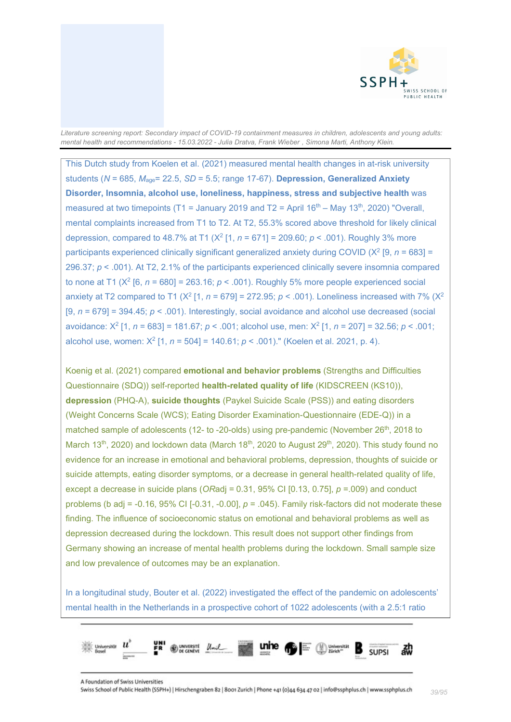

This Dutch study from Koelen et al. (2021) measured mental health changes in at-risk university students (*N* = 685, *M*age= 22.5, *SD* = 5.5; range 17-67). **Depression, Generalized Anxiety Disorder, Insomnia, alcohol use, loneliness, happiness, stress and subjective health** was measured at two timepoints (T1 = January 2019 and T2 = April 16<sup>th</sup> – May 13<sup>th</sup>, 2020) "Overall, mental complaints increased from T1 to T2. At T2, 55.3% scored above threshold for likely clinical depression, compared to 48.7% at T1 (X2 [1, *n* = 671] = 209.60; *p* < .001). Roughly 3% more participants experienced clinically significant generalized anxiety during COVID (X2 [9, *n* = 683] = 296.37; *p* < .001). At T2, 2.1% of the participants experienced clinically severe insomnia compared to none at T1 ( $X^2$  [6,  $n = 680$ ] = 263.16;  $p < .001$ ). Roughly 5% more people experienced social anxiety at T2 compared to T1 ( $X^2$  [1,  $n = 679$ ] = 272.95;  $p < .001$ ). Loneliness increased with 7% ( $X^2$ [9, *n* = 679] = 394.45; *p* < .001). Interestingly, social avoidance and alcohol use decreased (social avoidance: X2 [1, *n* = 683] = 181.67; *p* < .001; alcohol use, men: X2 [1, *n* = 207] = 32.56; *p* < .001; alcohol use, women: X2 [1, *n* = 504] = 140.61; *p* < .001)." (Koelen et al. 2021, p. 4).

Koenig et al. (2021) compared **emotional and behavior problems** (Strengths and Difficulties Questionnaire (SDQ)) self-reported **health-related quality of life** (KIDSCREEN (KS10)), **depression** (PHQ-A), **suicide thoughts** (Paykel Suicide Scale (PSS)) and eating disorders (Weight Concerns Scale (WCS); Eating Disorder Examination-Questionnaire (EDE-Q)) in a matched sample of adolescents (12- to -20-olds) using pre-pandemic (November 26<sup>th</sup>, 2018 to March 13<sup>th</sup>, 2020) and lockdown data (March 18<sup>th</sup>, 2020 to August 29<sup>th</sup>, 2020). This study found no evidence for an increase in emotional and behavioral problems, depression, thoughts of suicide or suicide attempts, eating disorder symptoms, or a decrease in general health-related quality of life, except a decrease in suicide plans (*OR*adj = 0.31, 95% CI [0.13, 0.75], *p* =.009) and conduct problems (b adj =  $-0.16$ , 95% CI  $[-0.31, -0.00]$ ,  $p = .045$ ). Family risk-factors did not moderate these finding. The influence of socioeconomic status on emotional and behavioral problems as well as depression decreased during the lockdown. This result does not support other findings from Germany showing an increase of mental health problems during the lockdown. Small sample size and low prevalence of outcomes may be an explanation.

In a longitudinal study, Bouter et al. (2022) investigated the effect of the pandemic on adolescents' mental health in the Netherlands in a prospective cohort of 1022 adolescents (with a 2.5:1 ratio

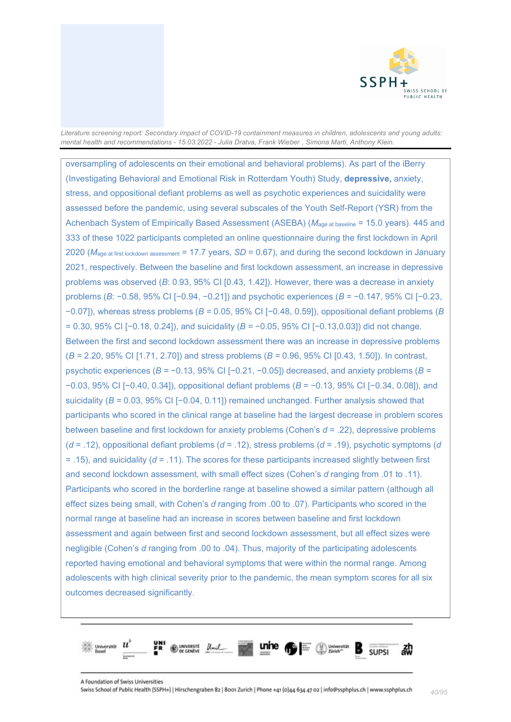

oversampling of adolescents on their emotional and behavioral problems). As part of the iBerry (Investigating Behavioral and Emotional Risk in Rotterdam Youth) Study, **depressive,** anxiety, stress, and oppositional defiant problems as well as psychotic experiences and suicidality were assessed before the pandemic, using several subscales of the Youth Self-Report (YSR) from the Achenbach System of Empirically Based Assessment (ASEBA) ( $M<sub>age at baseline</sub> = 15.0 years$ ). 445 and 333 of these 1022 participants completed an online questionnaire during the first lockdown in April 2020 (*M*age at first lockdown assessment = 17.7 years, *SD* = 0.67), and during the second lockdown in January 2021, respectively. Between the baseline and first lockdown assessment, an increase in depressive problems was observed (*B*: 0.93, 95% CI [0.43, 1.42]). However, there was a decrease in anxiety problems (*B*: −0.58, 95% CI [−0.94, −0.21]) and psychotic experiences (*B* = −0.147, 95% CI [−0.23, −0.07]), whereas stress problems (*B =* 0.05, 95% CI [−0.48, 0.59]), oppositional defiant problems (*B* = 0.30, 95% CI [−0.18, 0.24]), and suicidality (*B =* −0.05, 95% CI [−0.13,0.03]) did not change. Between the first and second lockdown assessment there was an increase in depressive problems (*B =* 2.20, 95% CI [1.71, 2.70]) and stress problems (*B =* 0.96, 95% CI [0.43, 1.50]). In contrast, psychotic experiences (*B =* −0.13, 95% CI [−0.21, −0.05]) decreased, and anxiety problems (*B =*  −0.03, 95% CI [−0.40, 0.34]), oppositional defiant problems (*B* = −0.13, 95% CI [−0.34, 0.08]), and suicidality (*B* = 0.03, 95% CI [−0.04, 0.11]) remained unchanged. Further analysis showed that participants who scored in the clinical range at baseline had the largest decrease in problem scores between baseline and first lockdown for anxiety problems (Cohen's *d* = .22), depressive problems (*d* = .12), oppositional defiant problems (*d* = .12), stress problems (*d* = .19), psychotic symptoms (*d* = .15), and suicidality (*d* = .11). The scores for these participants increased slightly between first and second lockdown assessment, with small effect sizes (Cohen's *d* ranging from .01 to .11). Participants who scored in the borderline range at baseline showed a similar pattern (although all effect sizes being small, with Cohen's *d* ranging from .00 to .07). Participants who scored in the normal range at baseline had an increase in scores between baseline and first lockdown assessment and again between first and second lockdown assessment, but all effect sizes were negligible (Cohen's *d* ranging from .00 to .04). Thus, majority of the participating adolescents reported having emotional and behavioral symptoms that were within the normal range. Among adolescents with high clinical severity prior to the pandemic, the mean symptom scores for all six outcomes decreased significantly.

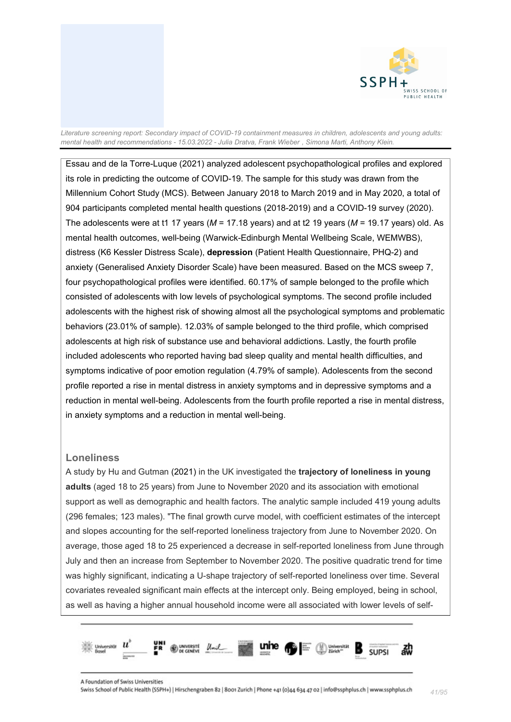

Essau and de la Torre-Luque (2021) analyzed adolescent psychopathological profiles and explored its role in predicting the outcome of COVID-19. The sample for this study was drawn from the Millennium Cohort Study (MCS). Between January 2018 to March 2019 and in May 2020, a total of 904 participants completed mental health questions (2018-2019) and a COVID-19 survey (2020). The adolescents were at t1 17 years (*M* = 17.18 years) and at t2 19 years (*M* = 19.17 years) old. As mental health outcomes, well-being (Warwick-Edinburgh Mental Wellbeing Scale, WEMWBS), distress (K6 Kessler Distress Scale), **depression** (Patient Health Questionnaire, PHQ-2) and anxiety (Generalised Anxiety Disorder Scale) have been measured. Based on the MCS sweep 7, four psychopathological profiles were identified. 60.17% of sample belonged to the profile which consisted of adolescents with low levels of psychological symptoms. The second profile included adolescents with the highest risk of showing almost all the psychological symptoms and problematic behaviors (23.01% of sample). 12.03% of sample belonged to the third profile, which comprised adolescents at high risk of substance use and behavioral addictions. Lastly, the fourth profile included adolescents who reported having bad sleep quality and mental health difficulties, and symptoms indicative of poor emotion regulation (4.79% of sample). Adolescents from the second profile reported a rise in mental distress in anxiety symptoms and in depressive symptoms and a reduction in mental well-being. Adolescents from the fourth profile reported a rise in mental distress, in anxiety symptoms and a reduction in mental well-being.

# **Loneliness**

A study by Hu and Gutman (2021) in the UK investigated the **trajectory of loneliness in young adults** (aged 18 to 25 years) from June to November 2020 and its association with emotional support as well as demographic and health factors. The analytic sample included 419 young adults (296 females; 123 males). "The final growth curve model, with coefficient estimates of the intercept and slopes accounting for the self-reported loneliness trajectory from June to November 2020. On average, those aged 18 to 25 experienced a decrease in self-reported loneliness from June through July and then an increase from September to November 2020. The positive quadratic trend for time was highly significant, indicating a U-shape trajectory of self-reported loneliness over time. Several covariates revealed significant main effects at the intercept only. Being employed, being in school, as well as having a higher annual household income were all associated with lower levels of self-

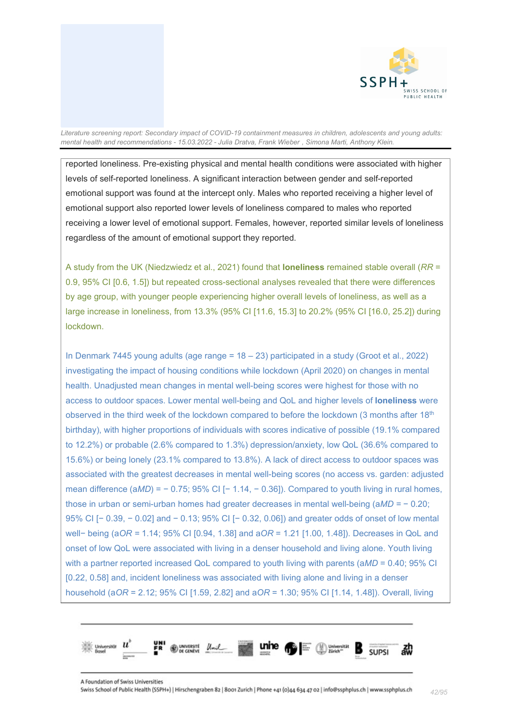

reported loneliness. Pre-existing physical and mental health conditions were associated with higher levels of self-reported loneliness. A significant interaction between gender and self-reported emotional support was found at the intercept only. Males who reported receiving a higher level of emotional support also reported lower levels of loneliness compared to males who reported receiving a lower level of emotional support. Females, however, reported similar levels of loneliness regardless of the amount of emotional support they reported.

A study from the UK (Niedzwiedz et al., 2021) found that **loneliness** remained stable overall (*RR* = 0.9, 95% CI [0.6, 1.5]) but repeated cross-sectional analyses revealed that there were differences by age group, with younger people experiencing higher overall levels of loneliness, as well as a large increase in loneliness, from 13.3% (95% CI [11.6, 15.3] to 20.2% (95% CI [16.0, 25.2]) during lockdown.

In Denmark 7445 young adults (age range = 18 – 23) participated in a study (Groot et al., 2022) investigating the impact of housing conditions while lockdown (April 2020) on changes in mental health. Unadjusted mean changes in mental well-being scores were highest for those with no access to outdoor spaces. Lower mental well-being and QoL and higher levels of **loneliness** were observed in the third week of the lockdown compared to before the lockdown (3 months after 18<sup>th</sup> birthday), with higher proportions of individuals with scores indicative of possible (19.1% compared to 12.2%) or probable (2.6% compared to 1.3%) depression/anxiety, low QoL (36.6% compared to 15.6%) or being lonely (23.1% compared to 13.8%). A lack of direct access to outdoor spaces was associated with the greatest decreases in mental well-being scores (no access vs. garden: adjusted mean difference (a*MD*) = − 0.75; 95% CI [− 1.14, − 0.36]). Compared to youth living in rural homes, those in urban or semi-urban homes had greater decreases in mental well-being (a*MD =* − 0.20; 95% CI [− 0.39, − 0.02] and − 0.13; 95% CI [− 0.32, 0.06]) and greater odds of onset of low mental well− being (a*OR =* 1.14; 95% CI [0.94, 1.38] and a*OR* = 1.21 [1.00, 1.48]). Decreases in QoL and onset of low QoL were associated with living in a denser household and living alone. Youth living with a partner reported increased QoL compared to youth living with parents (a*MD* = 0.40; 95% CI [0.22, 0.58] and, incident loneliness was associated with living alone and living in a denser household (a*OR* = 2.12; 95% CI [1.59, 2.82] and a*OR* = 1.30; 95% CI [1.14, 1.48]). Overall, living

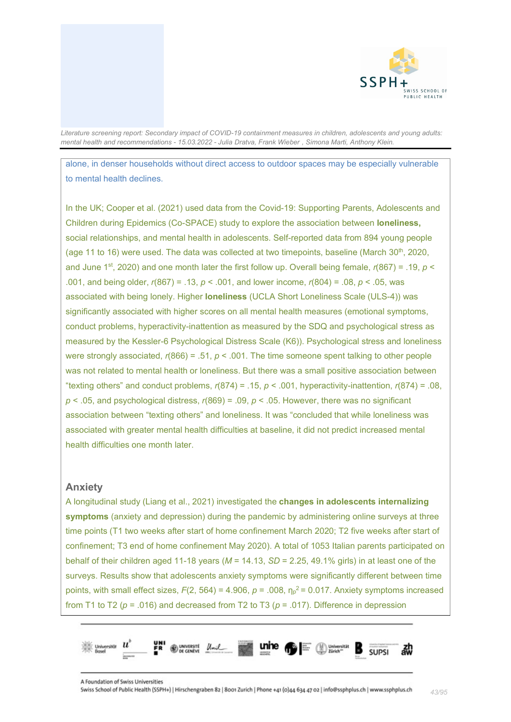

alone, in denser households without direct access to outdoor spaces may be especially vulnerable to mental health declines.

In the UK; Cooper et al. (2021) used data from the Covid-19: Supporting Parents, Adolescents and Children during Epidemics (Co-SPACE) study to explore the association between **loneliness,**  social relationships, and mental health in adolescents. Self-reported data from 894 young people (age 11 to 16) were used. The data was collected at two timepoints, baseline (March  $30<sup>th</sup>$ , 2020, and June 1<sup>st</sup>, 2020) and one month later the first follow up. Overall being female,  $r(867) = .19$ ,  $p <$ .001, and being older, *r*(867) = .13, *p* < .001, and lower income, *r*(804) = .08, *p* < .05, was associated with being lonely. Higher **loneliness** (UCLA Short Loneliness Scale (ULS-4)) was significantly associated with higher scores on all mental health measures (emotional symptoms, conduct problems, hyperactivity-inattention as measured by the SDQ and psychological stress as measured by the Kessler-6 Psychological Distress Scale (K6)). Psychological stress and loneliness were strongly associated, *r*(866) = .51, *p* < .001. The time someone spent talking to other people was not related to mental health or loneliness. But there was a small positive association between "texting others" and conduct problems, *r*(874) = .15, *p* < .001, hyperactivity-inattention, *r*(874) = .08,  $p < .05$ , and psychological distress,  $r(869) = .09$ ,  $p < .05$ . However, there was no significant association between "texting others" and loneliness. It was "concluded that while loneliness was associated with greater mental health difficulties at baseline, it did not predict increased mental health difficulties one month later.

#### **Anxiety**

A longitudinal study (Liang et al., 2021) investigated the **changes in adolescents internalizing symptoms** (anxiety and depression) during the pandemic by administering online surveys at three time points (T1 two weeks after start of home confinement March 2020; T2 five weeks after start of confinement; T3 end of home confinement May 2020). A total of 1053 Italian parents participated on behalf of their children aged 11-18 years (*M* = 14.13, *SD* = 2.25, 49.1% girls) in at least one of the surveys. Results show that adolescents anxiety symptoms were significantly different between time points, with small effect sizes,  $F(2, 564) = 4.906$ ,  $p = .008$ ,  $\eta_p^2 = 0.017$ . Anxiety symptoms increased from T1 to T2 (*p* = .016) and decreased from T2 to T3 (*p* = .017). Difference in depression

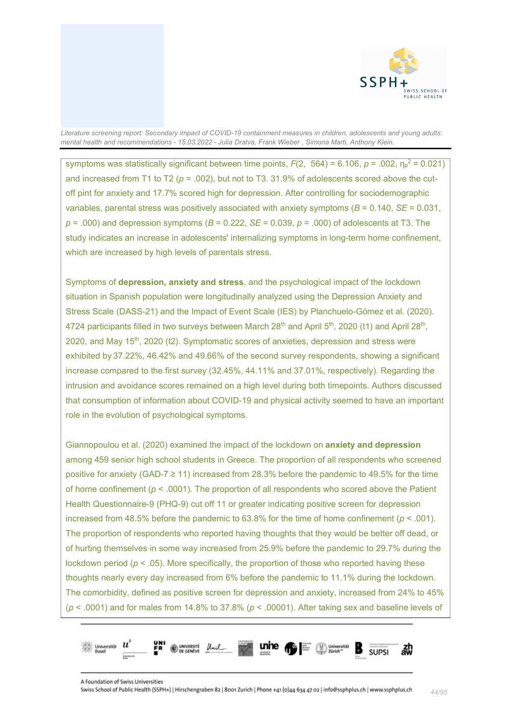

symptoms was statistically significant between time points,  $F(2, 564) = 6.106$ ,  $p = .002$ ,  $\eta_p^2 = 0.021$ ) and increased from T1 to T2  $(p = .002)$ , but not to T3. 31.9% of adolescents scored above the cutoff pint for anxiety and 17.7% scored high for depression. After controlling for sociodemographic variables, parental stress was positively associated with anxiety symptoms (*B* = 0.140, *SE* = 0.031,  $p = .000$ ) and depression symptoms ( $B = 0.222$ ,  $SE = 0.039$ ,  $p = .000$ ) of adolescents at T3. The study indicates an increase in adolescents' internalizing symptoms in long-term home confinement, which are increased by high levels of parentals stress.

Symptoms of **depression, anxiety and stress**, and the psychological impact of the lockdown situation in Spanish population were longitudinally analyzed using the Depression Anxiety and Stress Scale (DASS-21) and the Impact of Event Scale (IES) by Planchuelo-Gómez et al. (2020). 4724 participants filled in two surveys between March  $28<sup>th</sup>$  and April  $5<sup>th</sup>$ , 2020 (t1) and April  $28<sup>th</sup>$ , 2020, and May 15th, 2020 (t2). Symptomatic scores of anxieties, depression and stress were exhibited by 37.22%, 46.42% and 49.66% of the second survey respondents, showing a significant increase compared to the first survey (32.45%, 44.11% and 37.01%, respectively). Regarding the intrusion and avoidance scores remained on a high level during both timepoints. Authors discussed that consumption of information about COVID-19 and physical activity seemed to have an important role in the evolution of psychological symptoms.

Giannopoulou et al. (2020) examined the impact of the lockdown on **anxiety and depression** among 459 senior high school students in Greece. The proportion of all respondents who screened positive for anxiety (GAD-7  $\geq$  11) increased from 28.3% before the pandemic to 49.5% for the time of home confinement (*p* < .0001). The proportion of all respondents who scored above the Patient Health Questionnaire-9 (PHQ-9) cut off 11 or greater indicating positive screen for depression increased from 48.5% before the pandemic to  $63.8\%$  for the time of home confinement ( $p < .001$ ). The proportion of respondents who reported having thoughts that they would be better off dead, or of hurting themselves in some way increased from 25.9% before the pandemic to 29.7% during the lockdown period  $(p < .05)$ . More specifically, the proportion of those who reported having these thoughts nearly every day increased from 6% before the pandemic to 11.1% during the lockdown. The comorbidity, defined as positive screen for depression and anxiety, increased from 24% to 45% (*p* < .0001) and for males from 14.8% to 37.8% (*p* < .00001). After taking sex and baseline levels of

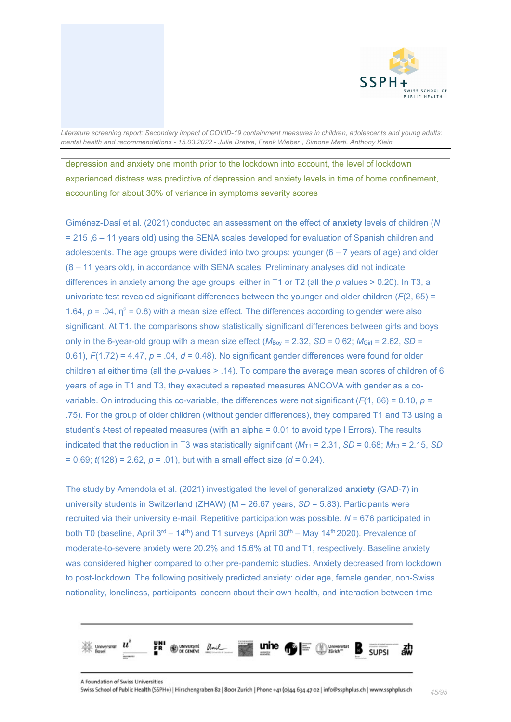

depression and anxiety one month prior to the lockdown into account, the level of lockdown experienced distress was predictive of depression and anxiety levels in time of home confinement, accounting for about 30% of variance in symptoms severity scores

Giménez-Dasí et al. (2021) conducted an assessment on the effect of **anxiety** levels of children (*N* = 215 ,6 – 11 years old) using the SENA scales developed for evaluation of Spanish children and adolescents. The age groups were divided into two groups: younger  $(6 - 7$  years of age) and older (8 – 11 years old), in accordance with SENA scales. Preliminary analyses did not indicate differences in anxiety among the age groups, either in T1 or T2 (all the *p* values > 0.20). In T3, a univariate test revealed significant differences between the younger and older children (*F*(2, 65) = 1.64,  $p = 0.04$ ,  $\eta^2 = 0.8$ ) with a mean size effect. The differences according to gender were also significant. At T1. the comparisons show statistically significant differences between girls and boys only in the 6-year-old group with a mean size effect  $(M_{\text{Boy}} = 2.32, SD = 0.62; M_{\text{Girl}} = 2.62, SD =$ 0.61),  $F(1.72) = 4.47$ ,  $p = .04$ ,  $d = 0.48$ ). No significant gender differences were found for older children at either time (all the *p*-values > .14). To compare the average mean scores of children of 6 years of age in T1 and T3, they executed a repeated measures ANCOVA with gender as a covariable. On introducing this co-variable, the differences were not significant  $(F(1, 66) = 0.10, p =$ .75). For the group of older children (without gender differences), they compared T1 and T3 using a student's *t*-test of repeated measures (with an alpha = 0.01 to avoid type I Errors). The results indicated that the reduction in T3 was statistically significant ( $M_{T1}$  = 2.31, *SD* = 0.68;  $M_{T3}$  = 2.15, *SD*  $= 0.69$ ;  $t(128) = 2.62$ ,  $p = .01$ ), but with a small effect size ( $d = 0.24$ ).

The study by Amendola et al. (2021) investigated the level of generalized **anxiety** (GAD-7) in university students in Switzerland (ZHAW) (M = 26.67 years, *SD* = 5.83). Participants were recruited via their university e-mail. Repetitive participation was possible. *N* = 676 participated in both T0 (baseline, April 3<sup>rd</sup> – 14<sup>th</sup>) and T1 surveys (April 30<sup>th</sup> – May 14<sup>th</sup> 2020). Prevalence of moderate-to-severe anxiety were 20.2% and 15.6% at T0 and T1, respectively. Baseline anxiety was considered higher compared to other pre-pandemic studies. Anxiety decreased from lockdown to post-lockdown. The following positively predicted anxiety: older age, female gender, non-Swiss nationality, loneliness, participants' concern about their own health, and interaction between time

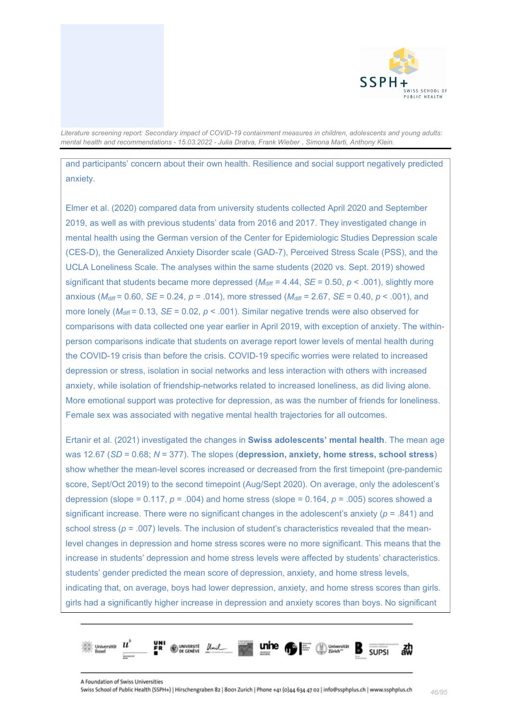

and participants' concern about their own health. Resilience and social support negatively predicted anxiety.

Elmer et al. (2020) compared data from university students collected April 2020 and September 2019, as well as with previous students' data from 2016 and 2017. They investigated change in mental health using the German version of the Center for Epidemiologic Studies Depression scale (CES-D), the Generalized Anxiety Disorder scale (GAD-7), Perceived Stress Scale (PSS), and the UCLA Loneliness Scale. The analyses within the same students (2020 vs. Sept. 2019) showed significant that students became more depressed  $(M_{\text{diff}} = 4.44, SE = 0.50, p < .001)$ , slightly more anxious (*M*diff = 0.60, *SE* = 0.24, *p* = .014), more stressed (*M*diff = 2.67, *SE* = 0.40, *p* < .001), and more lonely ( $M_{\text{diff}}$  = 0.13, *SE* = 0.02, *p* < .001). Similar negative trends were also observed for comparisons with data collected one year earlier in April 2019, with exception of anxiety. The withinperson comparisons indicate that students on average report lower levels of mental health during the COVID-19 crisis than before the crisis. COVID-19 specific worries were related to increased depression or stress, isolation in social networks and less interaction with others with increased anxiety, while isolation of friendship-networks related to increased loneliness, as did living alone. More emotional support was protective for depression, as was the number of friends for loneliness. Female sex was associated with negative mental health trajectories for all outcomes.

Ertanir et al. (2021) investigated the changes in **Swiss adolescents' mental health**. The mean age was 12.67 (*SD* = 0.68; *N* = 377). The slopes (**depression, anxiety, home stress, school stress**) show whether the mean-level scores increased or decreased from the first timepoint (pre-pandemic score, Sept/Oct 2019) to the second timepoint (Aug/Sept 2020). On average, only the adolescent's depression (slope = 0.117, *p* = .004) and home stress (slope = 0.164, *p* = .005) scores showed a significant increase. There were no significant changes in the adolescent's anxiety  $(p = .841)$  and school stress ( $p = .007$ ) levels. The inclusion of student's characteristics revealed that the meanlevel changes in depression and home stress scores were no more significant. This means that the increase in students' depression and home stress levels were affected by students' characteristics. students' gender predicted the mean score of depression, anxiety, and home stress levels, indicating that, on average, boys had lower depression, anxiety, and home stress scores than girls. girls had a significantly higher increase in depression and anxiety scores than boys. No significant

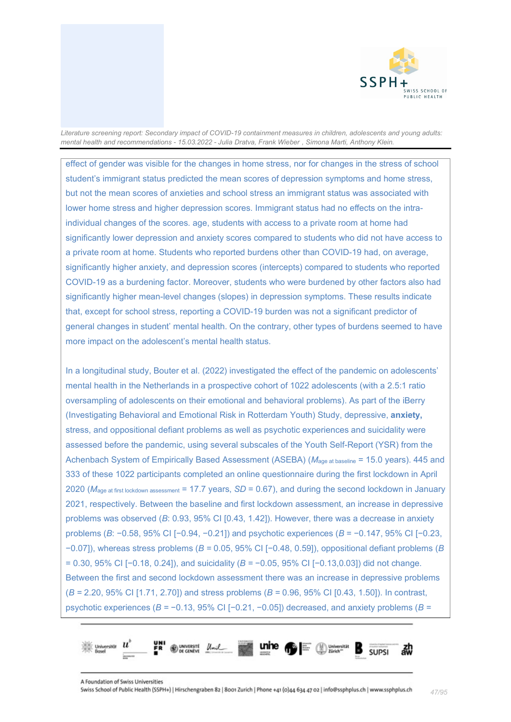

effect of gender was visible for the changes in home stress, nor for changes in the stress of school student's immigrant status predicted the mean scores of depression symptoms and home stress, but not the mean scores of anxieties and school stress an immigrant status was associated with lower home stress and higher depression scores. Immigrant status had no effects on the intraindividual changes of the scores. age, students with access to a private room at home had significantly lower depression and anxiety scores compared to students who did not have access to a private room at home. Students who reported burdens other than COVID-19 had, on average, significantly higher anxiety, and depression scores (intercepts) compared to students who reported COVID-19 as a burdening factor. Moreover, students who were burdened by other factors also had significantly higher mean-level changes (slopes) in depression symptoms. These results indicate that, except for school stress, reporting a COVID-19 burden was not a significant predictor of general changes in student' mental health. On the contrary, other types of burdens seemed to have more impact on the adolescent's mental health status.

In a longitudinal study, Bouter et al. (2022) investigated the effect of the pandemic on adolescents' mental health in the Netherlands in a prospective cohort of 1022 adolescents (with a 2.5:1 ratio oversampling of adolescents on their emotional and behavioral problems). As part of the iBerry (Investigating Behavioral and Emotional Risk in Rotterdam Youth) Study, depressive, **anxiety,**  stress, and oppositional defiant problems as well as psychotic experiences and suicidality were assessed before the pandemic, using several subscales of the Youth Self-Report (YSR) from the Achenbach System of Empirically Based Assessment (ASEBA) (*M*age at baseline = 15.0 years). 445 and 333 of these 1022 participants completed an online questionnaire during the first lockdown in April 2020 (*M*age at first lockdown assessment = 17.7 years, *SD* = 0.67), and during the second lockdown in January 2021, respectively. Between the baseline and first lockdown assessment, an increase in depressive problems was observed (*B*: 0.93, 95% CI [0.43, 1.42]). However, there was a decrease in anxiety problems (*B*: −0.58, 95% CI [−0.94, −0.21]) and psychotic experiences (*B* = −0.147, 95% CI [−0.23, −0.07]), whereas stress problems (*B =* 0.05, 95% CI [−0.48, 0.59]), oppositional defiant problems (*B* = 0.30, 95% CI [−0.18, 0.24]), and suicidality (*B =* −0.05, 95% CI [−0.13,0.03]) did not change. Between the first and second lockdown assessment there was an increase in depressive problems (*B =* 2.20, 95% CI [1.71, 2.70]) and stress problems (*B =* 0.96, 95% CI [0.43, 1.50]). In contrast, psychotic experiences (*B =* −0.13, 95% CI [−0.21, −0.05]) decreased, and anxiety problems (*B =* 

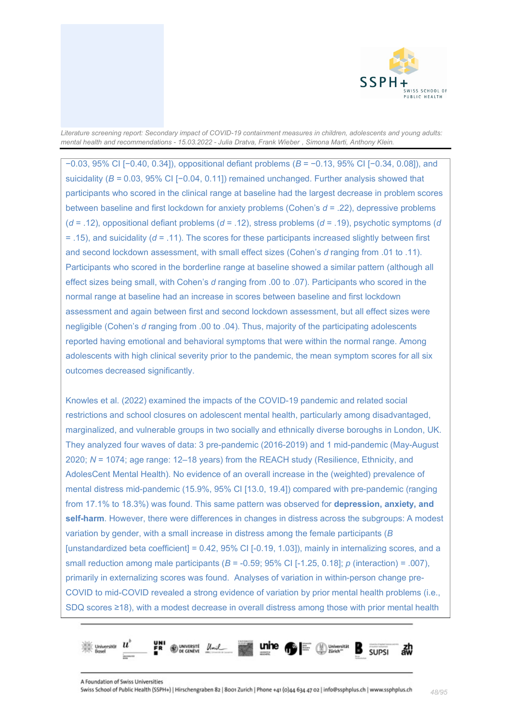

−0.03, 95% CI [−0.40, 0.34]), oppositional defiant problems (*B* = −0.13, 95% CI [−0.34, 0.08]), and suicidality (*B* = 0.03, 95% CI [-0.04, 0.11]) remained unchanged. Further analysis showed that participants who scored in the clinical range at baseline had the largest decrease in problem scores between baseline and first lockdown for anxiety problems (Cohen's *d* = .22), depressive problems (*d* = .12), oppositional defiant problems (*d* = .12), stress problems (*d* = .19), psychotic symptoms (*d* = .15), and suicidality (*d* = .11). The scores for these participants increased slightly between first and second lockdown assessment, with small effect sizes (Cohen's *d* ranging from .01 to .11). Participants who scored in the borderline range at baseline showed a similar pattern (although all effect sizes being small, with Cohen's *d* ranging from .00 to .07). Participants who scored in the normal range at baseline had an increase in scores between baseline and first lockdown assessment and again between first and second lockdown assessment, but all effect sizes were negligible (Cohen's *d* ranging from .00 to .04). Thus, majority of the participating adolescents reported having emotional and behavioral symptoms that were within the normal range. Among adolescents with high clinical severity prior to the pandemic, the mean symptom scores for all six outcomes decreased significantly.

Knowles et al. (2022) examined the impacts of the COVID-19 pandemic and related social restrictions and school closures on adolescent mental health, particularly among disadvantaged, marginalized, and vulnerable groups in two socially and ethnically diverse boroughs in London, UK. They analyzed four waves of data: 3 pre-pandemic (2016-2019) and 1 mid-pandemic (May-August 2020; *N* = 1074; age range: 12–18 years) from the REACH study (Resilience, Ethnicity, and AdolesCent Mental Health). No evidence of an overall increase in the (weighted) prevalence of mental distress mid-pandemic (15.9%, 95% CI [13.0, 19.4]) compared with pre-pandemic (ranging from 17.1% to 18.3%) was found. This same pattern was observed for **depression, anxiety, and self-harm**. However, there were differences in changes in distress across the subgroups: A modest variation by gender, with a small increase in distress among the female participants (*B* [unstandardized beta coefficient] =  $0.42$ ,  $95\%$  CI [-0.19, 1.03]), mainly in internalizing scores, and a small reduction among male participants (*B* = -0.59; 95% CI [-1.25, 0.18]; *p* (interaction) = .007), primarily in externalizing scores was found. Analyses of variation in within-person change pre-COVID to mid-COVID revealed a strong evidence of variation by prior mental health problems (i.e., SDQ scores ≥18), with a modest decrease in overall distress among those with prior mental health

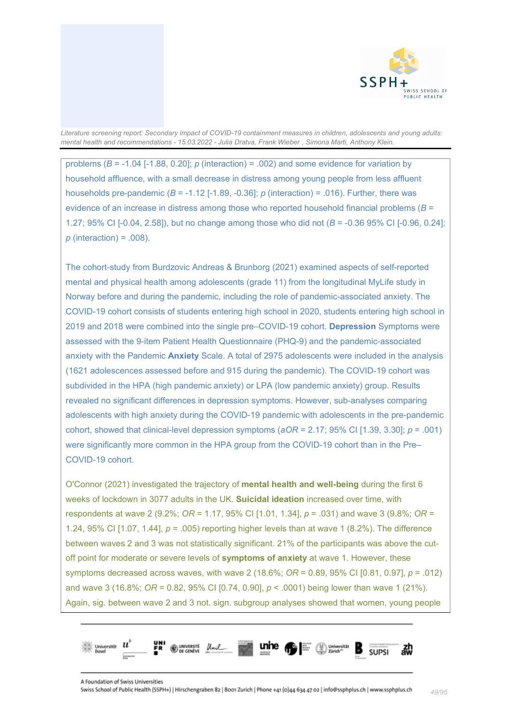

problems (*B* = -1.04 [-1.88, 0.20]; *p* (interaction) = .002) and some evidence for variation by household affluence, with a small decrease in distress among young people from less affluent households pre-pandemic ( $B = -1.12$  [-1.89, -0.36];  $p$  (interaction) = .016). Further, there was evidence of an increase in distress among those who reported household financial problems (*B* = 1.27; 95% CI [-0.04, 2.58]), but no change among those who did not (*B* = -0.36 95% CI [-0.96, 0.24]; *p* (interaction) = .008).

The cohort-study from Burdzovic Andreas & Brunborg (2021) examined aspects of self-reported mental and physical health among adolescents (grade 11) from the longitudinal MyLife study in Norway before and during the pandemic, including the role of pandemic-associated anxiety. The COVID-19 cohort consists of students entering high school in 2020, students entering high school in 2019 and 2018 were combined into the single pre–COVID-19 cohort. **Depression** Symptoms were assessed with the 9-item Patient Health Questionnaire (PHQ-9) and the pandemic-associated anxiety with the Pandemic **Anxiety** Scale. A total of 2975 adolescents were included in the analysis (1621 adolescences assessed before and 915 during the pandemic). The COVID-19 cohort was subdivided in the HPA (high pandemic anxiety) or LPA (low pandemic anxiety) group. Results revealed no significant differences in depression symptoms. However, sub-analyses comparing adolescents with high anxiety during the COVID-19 pandemic with adolescents in the pre-pandemic cohort, showed that clinical-level depression symptoms (*aOR* = 2.17; 95% CI [1.39, 3.30]; *p* = .001) were significantly more common in the HPA group from the COVID-19 cohort than in the Pre– COVID-19 cohort.

O'Connor (2021) investigated the trajectory of **mental health and well-being** during the first 6 weeks of lockdown in 3077 adults in the UK. **Suicidal ideation** increased over time, with respondents at wave 2 (9.2%; *OR* = 1.17, 95% CI [1.01, 1.34], *p* = .031) and wave 3 (9.8%; *OR* = 1.24, 95% CI [1.07, 1.44], *p* = .005) reporting higher levels than at wave 1 (8.2%). The difference between waves 2 and 3 was not statistically significant. 21% of the participants was above the cutoff point for moderate or severe levels of **symptoms of anxiety** at wave 1. However, these symptoms decreased across waves, with wave 2 (18.6%; *OR* = 0.89, 95% CI [0.81, 0.97], *p* = .012) and wave 3 (16.8%; *OR* = 0.82, 95% CI [0.74, 0.90], *p* < .0001) being lower than wave 1 (21%). Again, sig. between wave 2 and 3 not. sign. subgroup analyses showed that women, young people

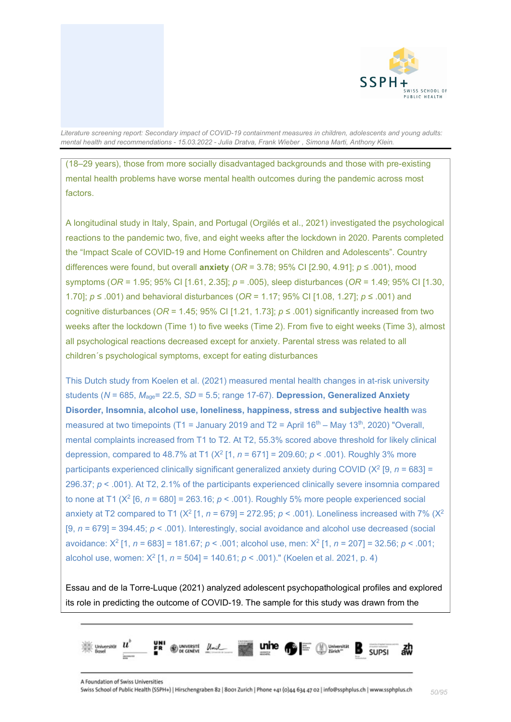

(18–29 years), those from more socially disadvantaged backgrounds and those with pre-existing mental health problems have worse mental health outcomes during the pandemic across most factors.

A longitudinal study in Italy, Spain, and Portugal (Orgilés et al., 2021) investigated the psychological reactions to the pandemic two, five, and eight weeks after the lockdown in 2020. Parents completed the "Impact Scale of COVID-19 and Home Confinement on Children and Adolescents". Country differences were found, but overall **anxiety** (*OR* = 3.78; 95% CI [2.90, 4.91]; *p* ≤ .001), mood symptoms (*OR* = 1.95; 95% CI [1.61, 2.35]; *p* = .005), sleep disturbances (*OR* = 1.49; 95% CI [1.30, 1.70]; *p* ≤ .001) and behavioral disturbances (*OR* = 1.17; 95% CI [1.08, 1.27]; *p* ≤ .001) and cognitive disturbances (*OR* = 1.45; 95% CI [1.21, 1.73]; *p* ≤ .001) significantly increased from two weeks after the lockdown (Time 1) to five weeks (Time 2). From five to eight weeks (Time 3), almost all psychological reactions decreased except for anxiety. Parental stress was related to all children´s psychological symptoms, except for eating disturbances

This Dutch study from Koelen et al. (2021) measured mental health changes in at-risk university students (*N* = 685, *M*age= 22.5, *SD* = 5.5; range 17-67). **Depression, Generalized Anxiety Disorder, Insomnia, alcohol use, loneliness, happiness, stress and subjective health** was measured at two timepoints (T1 = January 2019 and T2 = April 16<sup>th</sup> – May 13<sup>th</sup>, 2020) "Overall, mental complaints increased from T1 to T2. At T2, 55.3% scored above threshold for likely clinical depression, compared to 48.7% at T1  $(X^2 \mid 1, n = 671] = 209.60$ ;  $p < .001$ ). Roughly 3% more participants experienced clinically significant generalized anxiety during COVID ( $X^2$  [9, *n* = 683] = 296.37; *p* < .001). At T2, 2.1% of the participants experienced clinically severe insomnia compared to none at T1 ( $X^2$  [6,  $n = 680$ ] = 263.16;  $p < .001$ ). Roughly 5% more people experienced social anxiety at T2 compared to T1 ( $X^2$  [1,  $n = 679$ ] = 272.95;  $p < .001$ ). Loneliness increased with 7% ( $X^2$ [9, *n* = 679] = 394.45; *p* < .001). Interestingly, social avoidance and alcohol use decreased (social avoidance: X2 [1, *n* = 683] = 181.67; *p* < .001; alcohol use, men: X2 [1, *n* = 207] = 32.56; *p* < .001; alcohol use, women: X2 [1, *n* = 504] = 140.61; *p* < .001)." (Koelen et al. 2021, p. 4)

Essau and de la Torre-Luque (2021) analyzed adolescent psychopathological profiles and explored its role in predicting the outcome of COVID-19. The sample for this study was drawn from the

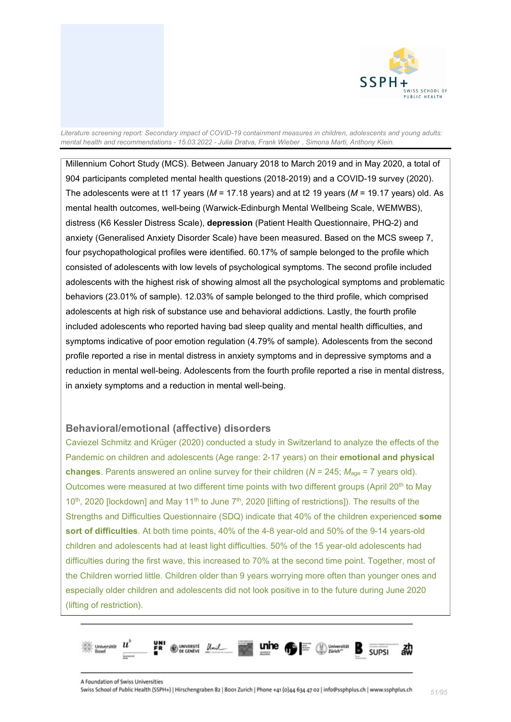

Millennium Cohort Study (MCS). Between January 2018 to March 2019 and in May 2020, a total of 904 participants completed mental health questions (2018-2019) and a COVID-19 survey (2020). The adolescents were at t1 17 years (*M* = 17.18 years) and at t2 19 years (*M* = 19.17 years) old. As mental health outcomes, well-being (Warwick-Edinburgh Mental Wellbeing Scale, WEMWBS), distress (K6 Kessler Distress Scale), **depression** (Patient Health Questionnaire, PHQ-2) and anxiety (Generalised Anxiety Disorder Scale) have been measured. Based on the MCS sweep 7, four psychopathological profiles were identified. 60.17% of sample belonged to the profile which consisted of adolescents with low levels of psychological symptoms. The second profile included adolescents with the highest risk of showing almost all the psychological symptoms and problematic behaviors (23.01% of sample). 12.03% of sample belonged to the third profile, which comprised adolescents at high risk of substance use and behavioral addictions. Lastly, the fourth profile included adolescents who reported having bad sleep quality and mental health difficulties, and symptoms indicative of poor emotion regulation (4.79% of sample). Adolescents from the second profile reported a rise in mental distress in anxiety symptoms and in depressive symptoms and a reduction in mental well-being. Adolescents from the fourth profile reported a rise in mental distress, in anxiety symptoms and a reduction in mental well-being.

# **Behavioral/emotional (affective) disorders**

Caviezel Schmitz and Krüger (2020) conducted a study in Switzerland to analyze the effects of the Pandemic on children and adolescents (Age range: 2-17 years) on their **emotional and physical changes**. Parents answered an online survey for their children (*N* = 245; *M*age = 7 years old). Outcomes were measured at two different time points with two different groups (April 20<sup>th</sup> to May 10<sup>th</sup>, 2020 [lockdown] and May 11<sup>th</sup> to June 7<sup>th</sup>, 2020 [lifting of restrictions]). The results of the Strengths and Difficulties Questionnaire (SDQ) indicate that 40% of the children experienced **some sort of difficulties**. At both time points, 40% of the 4-8 year-old and 50% of the 9-14 years-old children and adolescents had at least light difficulties. 50% of the 15 year-old adolescents had difficulties during the first wave, this increased to 70% at the second time point. Together, most of the Children worried little. Children older than 9 years worrying more often than younger ones and especially older children and adolescents did not look positive in to the future during June 2020 (lifting of restriction).

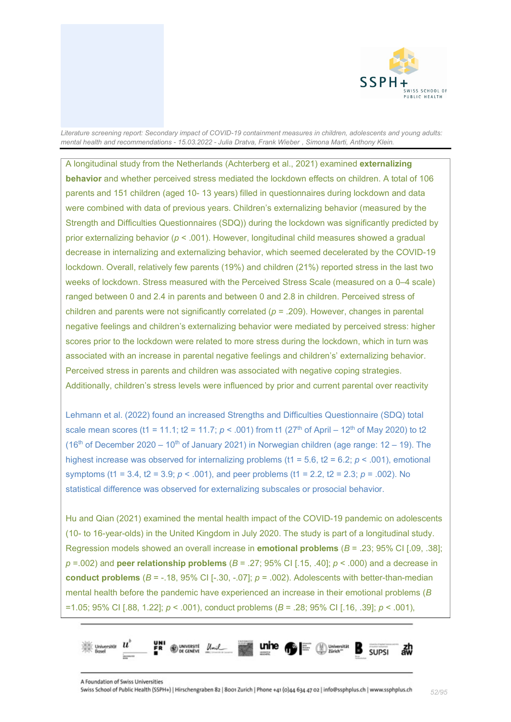

A longitudinal study from the Netherlands (Achterberg et al., 2021) examined **externalizing behavior** and whether perceived stress mediated the lockdown effects on children. A total of 106 parents and 151 children (aged 10- 13 years) filled in questionnaires during lockdown and data were combined with data of previous years. Children's externalizing behavior (measured by the Strength and Difficulties Questionnaires (SDQ)) during the lockdown was significantly predicted by prior externalizing behavior (*p* < .001). However, longitudinal child measures showed a gradual decrease in internalizing and externalizing behavior, which seemed decelerated by the COVID-19 lockdown. Overall, relatively few parents (19%) and children (21%) reported stress in the last two weeks of lockdown. Stress measured with the Perceived Stress Scale (measured on a 0–4 scale) ranged between 0 and 2.4 in parents and between 0 and 2.8 in children. Perceived stress of children and parents were not significantly correlated (*p* = .209). However, changes in parental negative feelings and children's externalizing behavior were mediated by perceived stress: higher scores prior to the lockdown were related to more stress during the lockdown, which in turn was associated with an increase in parental negative feelings and children's' externalizing behavior. Perceived stress in parents and children was associated with negative coping strategies. Additionally, children's stress levels were influenced by prior and current parental over reactivity

Lehmann et al. (2022) found an increased Strengths and Difficulties Questionnaire (SDQ) total scale mean scores (t1 = 11.1; t2 = 11.7;  $p < .001$ ) from t1 ( $27<sup>th</sup>$  of April – 12<sup>th</sup> of May 2020) to t2 (16<sup>th</sup> of December 2020 – 10<sup>th</sup> of January 2021) in Norwegian children (age range: 12 – 19). The highest increase was observed for internalizing problems (t1 = 5.6, t2 = 6.2; *p* < .001), emotional symptoms (t1 = 3.4, t2 = 3.9; *p* < .001), and peer problems (t1 = 2.2, t2 = 2.3; *p* = .002). No statistical difference was observed for externalizing subscales or prosocial behavior.

Hu and Qian (2021) examined the mental health impact of the COVID-19 pandemic on adolescents (10- to 16-year-olds) in the United Kingdom in July 2020. The study is part of a longitudinal study. Regression models showed an overall increase in **emotional problems** (*B* = .23; 95% CI [.09, .38]; *p* =.002) and **peer relationship problems** (*B* = .27; 95% CI [.15, .40]; *p* < .000) and a decrease in **conduct problems**  $(B = -18, 95\% \text{ CI} [-30, -07]; p = .002)$ . Adolescents with better-than-median mental health before the pandemic have experienced an increase in their emotional problems (*B* =1.05; 95% CI [.88, 1.22]; *p* < .001), conduct problems (*B* = .28; 95% CI [.16, .39]; *p* < .001),

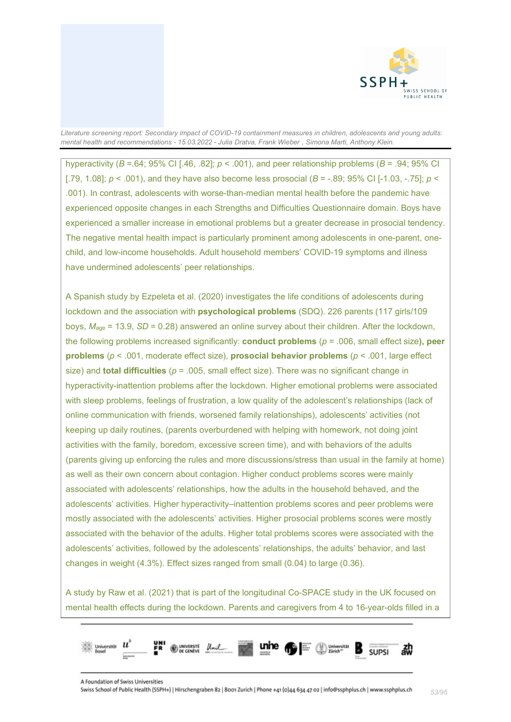

hyperactivity ( $B = .64$ ; 95% CI [.46, .82];  $p < .001$ ), and peer relationship problems ( $B = .94$ ; 95% CI [.79, 1.08]; *p* < .001), and they have also become less prosocial (*B* = -.89; 95% CI [-1.03, -.75]; *p* < .001). In contrast, adolescents with worse-than-median mental health before the pandemic have experienced opposite changes in each Strengths and Difficulties Questionnaire domain. Boys have experienced a smaller increase in emotional problems but a greater decrease in prosocial tendency. The negative mental health impact is particularly prominent among adolescents in one-parent, onechild, and low-income households. Adult household members' COVID-19 symptoms and illness have undermined adolescents' peer relationships.

A Spanish study by Ezpeleta et al. (2020) investigates the life conditions of adolescents during lockdown and the association with **psychological problems** (SDQ). 226 parents (117 girls/109 boys, *M*age = 13.9, *SD* = 0.28) answered an online survey about their children. After the lockdown, the following problems increased significantly: **conduct problems** (*p* = .006, small effect size**), peer problems** (*p* < .001, moderate effect size), **prosocial behavior problems** (*p* < .001, large effect size) and **total difficulties** (*p* = .005, small effect size). There was no significant change in hyperactivity-inattention problems after the lockdown. Higher emotional problems were associated with sleep problems, feelings of frustration, a low quality of the adolescent's relationships (lack of online communication with friends, worsened family relationships), adolescents' activities (not keeping up daily routines, (parents overburdened with helping with homework, not doing joint activities with the family, boredom, excessive screen time), and with behaviors of the adults (parents giving up enforcing the rules and more discussions/stress than usual in the family at home) as well as their own concern about contagion. Higher conduct problems scores were mainly associated with adolescents' relationships, how the adults in the household behaved, and the adolescents' activities. Higher hyperactivity–inattention problems scores and peer problems were mostly associated with the adolescents' activities. Higher prosocial problems scores were mostly associated with the behavior of the adults. Higher total problems scores were associated with the adolescents' activities, followed by the adolescents' relationships, the adults' behavior, and last changes in weight (4.3%). Effect sizes ranged from small (0.04) to large (0.36).

A study by Raw et al. (2021) that is part of the longitudinal Co-SPACE study in the UK focused on mental health effects during the lockdown. Parents and caregivers from 4 to 16-year-olds filled in a

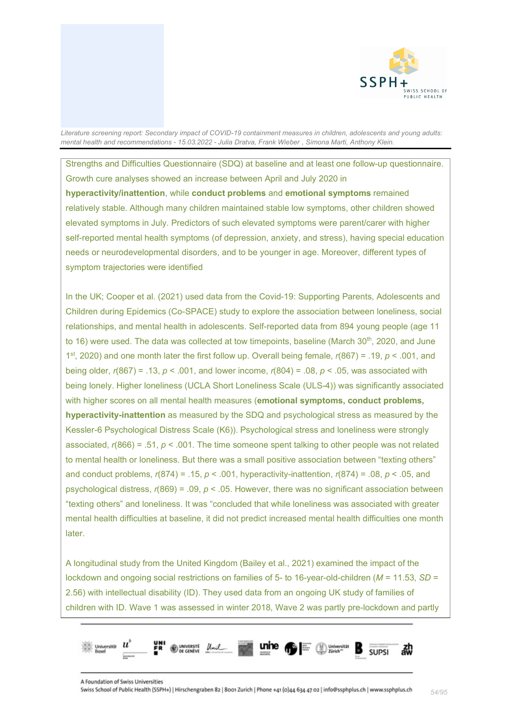

Strengths and Difficulties Questionnaire (SDQ) at baseline and at least one follow-up questionnaire. Growth cure analyses showed an increase between April and July 2020 in **hyperactivity/inattention**, while **conduct problems** and **emotional symptoms** remained relatively stable. Although many children maintained stable low symptoms, other children showed elevated symptoms in July. Predictors of such elevated symptoms were parent/carer with higher self-reported mental health symptoms (of depression, anxiety, and stress), having special education needs or neurodevelopmental disorders, and to be younger in age. Moreover, different types of symptom trajectories were identified

In the UK; Cooper et al. (2021) used data from the Covid-19: Supporting Parents, Adolescents and Children during Epidemics (Co-SPACE) study to explore the association between loneliness, social relationships, and mental health in adolescents. Self-reported data from 894 young people (age 11 to 16) were used. The data was collected at tow timepoints, baseline (March 30<sup>th</sup>, 2020, and June 1st, 2020) and one month later the first follow up. Overall being female, *r*(867) = .19, *p* < .001, and being older, *r*(867) = .13, *p* < .001, and lower income, *r*(804) = .08, *p* < .05, was associated with being lonely. Higher loneliness (UCLA Short Loneliness Scale (ULS-4)) was significantly associated with higher scores on all mental health measures (**emotional symptoms, conduct problems, hyperactivity-inattention** as measured by the SDQ and psychological stress as measured by the Kessler-6 Psychological Distress Scale (K6)). Psychological stress and loneliness were strongly associated, *r*(866) = .51, *p* < .001. The time someone spent talking to other people was not related to mental health or loneliness. But there was a small positive association between "texting others" and conduct problems, *r*(874) = .15, *p* < .001, hyperactivity-inattention, *r*(874) = .08, *p* < .05, and psychological distress, *r*(869) = .09, *p* < .05. However, there was no significant association between "texting others" and loneliness. It was "concluded that while loneliness was associated with greater mental health difficulties at baseline, it did not predict increased mental health difficulties one month later.

A longitudinal study from the United Kingdom (Bailey et al., 2021) examined the impact of the lockdown and ongoing social restrictions on families of 5- to 16-year-old-children (*M* = 11.53, *SD* = 2.56) with intellectual disability (ID). They used data from an ongoing UK study of families of children with ID. Wave 1 was assessed in winter 2018, Wave 2 was partly pre-lockdown and partly

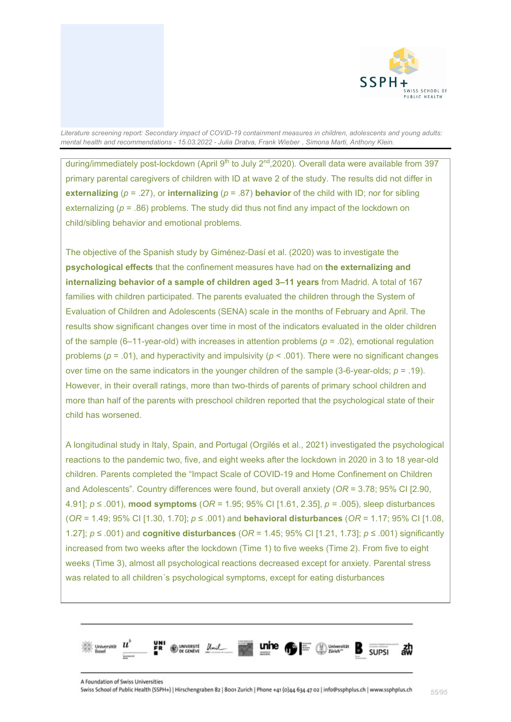

during/immediately post-lockdown (April 9<sup>th</sup> to July 2<sup>nd</sup>,2020). Overall data were available from 397 primary parental caregivers of children with ID at wave 2 of the study. The results did not differ in **externalizing** (*p* = .27), or **internalizing** (*p* = .87) **behavior** of the child with ID; nor for sibling externalizing ( $p = .86$ ) problems. The study did thus not find any impact of the lockdown on child/sibling behavior and emotional problems.

The objective of the Spanish study by Giménez-Dasí et al. (2020) was to investigate the **psychological effects** that the confinement measures have had on **the externalizing and internalizing behavior of a sample of children aged 3–11 years** from Madrid. A total of 167 families with children participated. The parents evaluated the children through the System of Evaluation of Children and Adolescents (SENA) scale in the months of February and April. The results show significant changes over time in most of the indicators evaluated in the older children of the sample  $(6-11$ -year-old) with increases in attention problems  $(p = .02)$ , emotional regulation problems (*p* = .01), and hyperactivity and impulsivity (*p* < .001). There were no significant changes over time on the same indicators in the younger children of the sample (3-6-year-olds; *p* = .19). However, in their overall ratings, more than two-thirds of parents of primary school children and more than half of the parents with preschool children reported that the psychological state of their child has worsened.

A longitudinal study in Italy, Spain, and Portugal (Orgilés et al., 2021) investigated the psychological reactions to the pandemic two, five, and eight weeks after the lockdown in 2020 in 3 to 18 year-old children. Parents completed the "Impact Scale of COVID-19 and Home Confinement on Children and Adolescents". Country differences were found, but overall anxiety (*OR* = 3.78; 95% CI [2.90, 4.91]; *p* ≤ .001), **mood symptoms** (*OR* = 1.95; 95% CI [1.61, 2.35], *p =* .005), sleep disturbances (*OR* = 1.49; 95% CI [1.30, 1.70]; *p* ≤ .001) and **behavioral disturbances** (*OR* = 1.17; 95% CI [1.08, 1.27]; *p* ≤ .001) and **cognitive disturbances** (*OR* = 1.45; 95% CI [1.21, 1.73]; *p* ≤ .001) significantly increased from two weeks after the lockdown (Time 1) to five weeks (Time 2). From five to eight weeks (Time 3), almost all psychological reactions decreased except for anxiety. Parental stress was related to all children´s psychological symptoms, except for eating disturbances

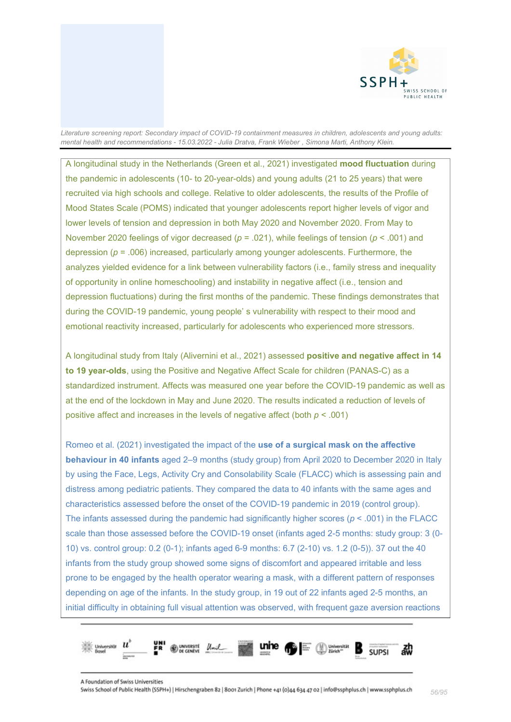

A longitudinal study in the Netherlands (Green et al., 2021) investigated **mood fluctuation** during the pandemic in adolescents (10- to 20-year-olds) and young adults (21 to 25 years) that were recruited via high schools and college. Relative to older adolescents, the results of the Profile of Mood States Scale (POMS) indicated that younger adolescents report higher levels of vigor and lower levels of tension and depression in both May 2020 and November 2020. From May to November 2020 feelings of vigor decreased (*p* = .021), while feelings of tension (*p* < .001) and depression (*p* = .006) increased, particularly among younger adolescents. Furthermore, the analyzes yielded evidence for a link between vulnerability factors (i.e., family stress and inequality of opportunity in online homeschooling) and instability in negative affect (i.e., tension and depression fluctuations) during the first months of the pandemic. These findings demonstrates that during the COVID-19 pandemic, young people' s vulnerability with respect to their mood and emotional reactivity increased, particularly for adolescents who experienced more stressors.

A longitudinal study from Italy (Alivernini et al., 2021) assessed **positive and negative affect in 14 to 19 year-olds**, using the Positive and Negative Affect Scale for children (PANAS-C) as a standardized instrument. Affects was measured one year before the COVID-19 pandemic as well as at the end of the lockdown in May and June 2020. The results indicated a reduction of levels of positive affect and increases in the levels of negative affect (both *p* < .001)

Romeo et al. (2021) investigated the impact of the **use of a surgical mask on the affective behaviour in 40 infants** aged 2–9 months (study group) from April 2020 to December 2020 in Italy by using the Face, Legs, Activity Cry and Consolability Scale (FLACC) which is assessing pain and distress among pediatric patients. They compared the data to 40 infants with the same ages and characteristics assessed before the onset of the COVID-19 pandemic in 2019 (control group). The infants assessed during the pandemic had significantly higher scores ( $p < .001$ ) in the FLACC scale than those assessed before the COVID-19 onset (infants aged 2-5 months: study group: 3 (0- 10) vs. control group: 0.2 (0-1); infants aged 6-9 months: 6.7 (2-10) vs. 1.2 (0-5)). 37 out the 40 infants from the study group showed some signs of discomfort and appeared irritable and less prone to be engaged by the health operator wearing a mask, with a different pattern of responses depending on age of the infants. In the study group, in 19 out of 22 infants aged 2-5 months, an initial difficulty in obtaining full visual attention was observed, with frequent gaze aversion reactions

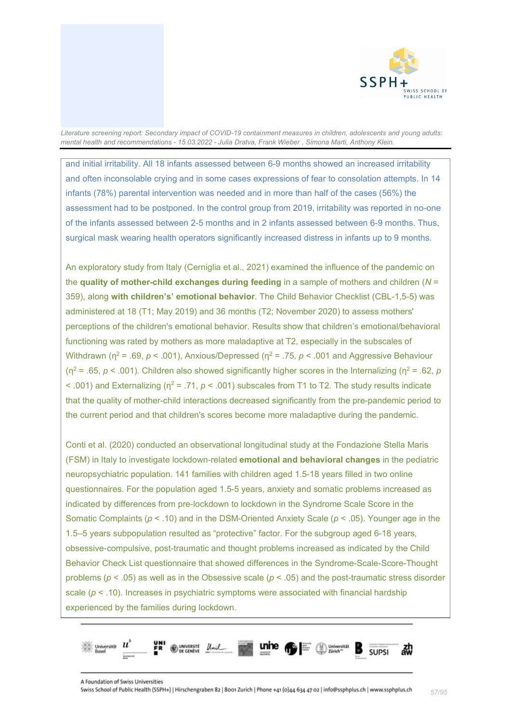

and initial irritability. All 18 infants assessed between 6-9 months showed an increased irritability and often inconsolable crying and in some cases expressions of fear to consolation attempts. In 14 infants (78%) parental intervention was needed and in more than half of the cases (56%) the assessment had to be postponed. In the control group from 2019, irritability was reported in no-one of the infants assessed between 2-5 months and in 2 infants assessed between 6-9 months. Thus, surgical mask wearing health operators significantly increased distress in infants up to 9 months.

An exploratory study from Italy (Cerniglia et al., 2021) examined the influence of the pandemic on the **quality of mother-child exchanges during feeding** in a sample of mothers and children (*N* = 359), along **with children's' emotional behavior**. The Child Behavior Checklist (CBL-1,5-5) was administered at 18 (T1; May 2019) and 36 months (T2; November 2020) to assess mothers' perceptions of the children's emotional behavior. Results show that children's emotional/behavioral functioning was rated by mothers as more maladaptive at T2, especially in the subscales of Withdrawn (η<sup>2</sup> = .69, *p* < .001), Anxious/Depressed (η<sup>2</sup> = .75, *p* < .001 and Aggressive Behaviour ( $\eta^2$  = .65, *p* < .001). Children also showed significantly higher scores in the Internalizing ( $\eta^2$  = .62, *p*  $\leq$  .001) and Externalizing ( $n^2$  = .71,  $p \leq$  .001) subscales from T1 to T2. The study results indicate that the quality of mother-child interactions decreased significantly from the pre-pandemic period to the current period and that children's scores become more maladaptive during the pandemic.

Conti et al. (2020) conducted an observational longitudinal study at the Fondazione Stella Maris (FSM) in Italy to investigate lockdown-related **emotional and behavioral changes** in the pediatric neuropsychiatric population. 141 families with children aged 1.5-18 years filled in two online questionnaires. For the population aged 1.5-5 years, anxiety and somatic problems increased as indicated by differences from pre-lockdown to lockdown in the Syndrome Scale Score in the Somatic Complaints (*p* < .10) and in the DSM-Oriented Anxiety Scale (*p* < .05). Younger age in the 1.5–5 years subpopulation resulted as "protective" factor. For the subgroup aged 6-18 years, obsessive-compulsive, post-traumatic and thought problems increased as indicated by the Child Behavior Check List questionnaire that showed differences in the Syndrome-Scale-Score-Thought problems (*p* < .05) as well as in the Obsessive scale (*p* < .05) and the post-traumatic stress disorder scale (*p* < .10). Increases in psychiatric symptoms were associated with financial hardship experienced by the families during lockdown.

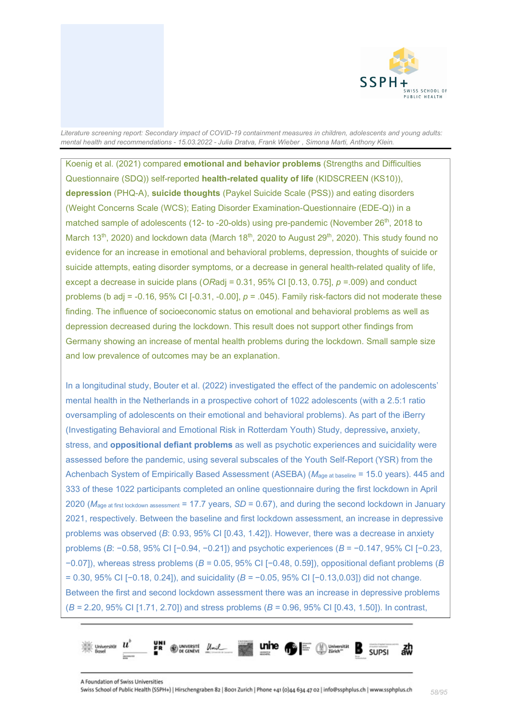

Koenig et al. (2021) compared **emotional and behavior problems** (Strengths and Difficulties Questionnaire (SDQ)) self-reported **health-related quality of life** (KIDSCREEN (KS10)), **depression** (PHQ-A), **suicide thoughts** (Paykel Suicide Scale (PSS)) and eating disorders (Weight Concerns Scale (WCS); Eating Disorder Examination-Questionnaire (EDE-Q)) in a matched sample of adolescents (12- to -20-olds) using pre-pandemic (November 26<sup>th</sup>, 2018 to March 13<sup>th</sup>, 2020) and lockdown data (March 18<sup>th</sup>, 2020 to August 29<sup>th</sup>, 2020). This study found no evidence for an increase in emotional and behavioral problems, depression, thoughts of suicide or suicide attempts, eating disorder symptoms, or a decrease in general health-related quality of life, except a decrease in suicide plans (*OR*adj = 0.31, 95% CI [0.13, 0.75], *p* =.009) and conduct problems (b adj = -0.16, 95% CI [-0.31, -0.00], *p* = .045). Family risk-factors did not moderate these finding. The influence of socioeconomic status on emotional and behavioral problems as well as depression decreased during the lockdown. This result does not support other findings from Germany showing an increase of mental health problems during the lockdown. Small sample size and low prevalence of outcomes may be an explanation.

In a longitudinal study, Bouter et al. (2022) investigated the effect of the pandemic on adolescents' mental health in the Netherlands in a prospective cohort of 1022 adolescents (with a 2.5:1 ratio oversampling of adolescents on their emotional and behavioral problems). As part of the iBerry (Investigating Behavioral and Emotional Risk in Rotterdam Youth) Study, depressive**,** anxiety, stress, and **oppositional defiant problems** as well as psychotic experiences and suicidality were assessed before the pandemic, using several subscales of the Youth Self-Report (YSR) from the Achenbach System of Empirically Based Assessment (ASEBA) (*M*age at baseline = 15.0 years). 445 and 333 of these 1022 participants completed an online questionnaire during the first lockdown in April 2020 (*M*age at first lockdown assessment = 17.7 years, *SD* = 0.67), and during the second lockdown in January 2021, respectively. Between the baseline and first lockdown assessment, an increase in depressive problems was observed (*B*: 0.93, 95% CI [0.43, 1.42]). However, there was a decrease in anxiety problems (*B*: −0.58, 95% CI [−0.94, −0.21]) and psychotic experiences (*B* = −0.147, 95% CI [−0.23, −0.07]), whereas stress problems (*B =* 0.05, 95% CI [−0.48, 0.59]), oppositional defiant problems (*B* = 0.30, 95% CI [−0.18, 0.24]), and suicidality (*B =* −0.05, 95% CI [−0.13,0.03]) did not change. Between the first and second lockdown assessment there was an increase in depressive problems (*B =* 2.20, 95% CI [1.71, 2.70]) and stress problems (*B =* 0.96, 95% CI [0.43, 1.50]). In contrast,

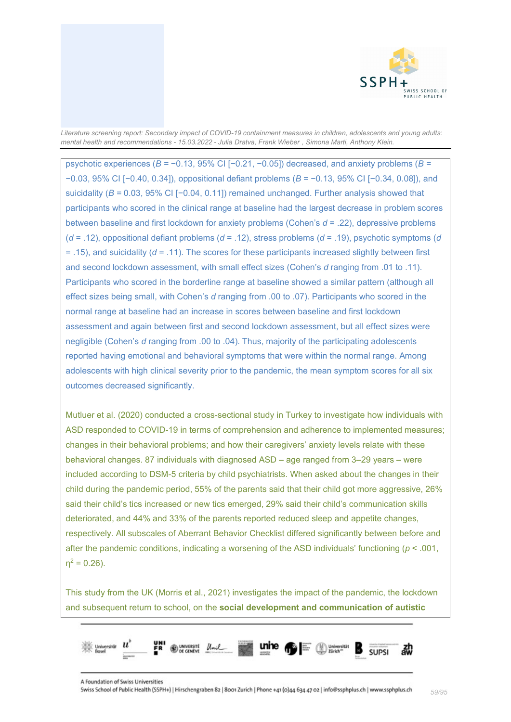

psychotic experiences (*B =* −0.13, 95% CI [−0.21, −0.05]) decreased, and anxiety problems (*B =*  −0.03, 95% CI [−0.40, 0.34]), oppositional defiant problems (*B* = −0.13, 95% CI [−0.34, 0.08]), and suicidality (*B =* 0.03, 95% CI [−0.04, 0.11]) remained unchanged. Further analysis showed that participants who scored in the clinical range at baseline had the largest decrease in problem scores between baseline and first lockdown for anxiety problems (Cohen's *d* = .22), depressive problems (*d* = .12), oppositional defiant problems (*d* = .12), stress problems (*d* = .19), psychotic symptoms (*d* = .15), and suicidality (*d* = .11). The scores for these participants increased slightly between first and second lockdown assessment, with small effect sizes (Cohen's *d* ranging from .01 to .11). Participants who scored in the borderline range at baseline showed a similar pattern (although all effect sizes being small, with Cohen's *d* ranging from .00 to .07). Participants who scored in the normal range at baseline had an increase in scores between baseline and first lockdown assessment and again between first and second lockdown assessment, but all effect sizes were negligible (Cohen's *d* ranging from .00 to .04). Thus, majority of the participating adolescents reported having emotional and behavioral symptoms that were within the normal range. Among adolescents with high clinical severity prior to the pandemic, the mean symptom scores for all six outcomes decreased significantly.

Mutluer et al. (2020) conducted a cross-sectional study in Turkey to investigate how individuals with ASD responded to COVID-19 in terms of comprehension and adherence to implemented measures; changes in their behavioral problems; and how their caregivers' anxiety levels relate with these behavioral changes. 87 individuals with diagnosed ASD – age ranged from 3–29 years – were included according to DSM-5 criteria by child psychiatrists. When asked about the changes in their child during the pandemic period, 55% of the parents said that their child got more aggressive, 26% said their child's tics increased or new tics emerged, 29% said their child's communication skills deteriorated, and 44% and 33% of the parents reported reduced sleep and appetite changes, respectively. All subscales of Aberrant Behavior Checklist differed significantly between before and after the pandemic conditions, indicating a worsening of the ASD individuals' functioning (*p* < .001,  $n^2 = 0.26$ ).

This study from the UK (Morris et al., 2021) investigates the impact of the pandemic, the lockdown and subsequent return to school, on the **social development and communication of autistic** 

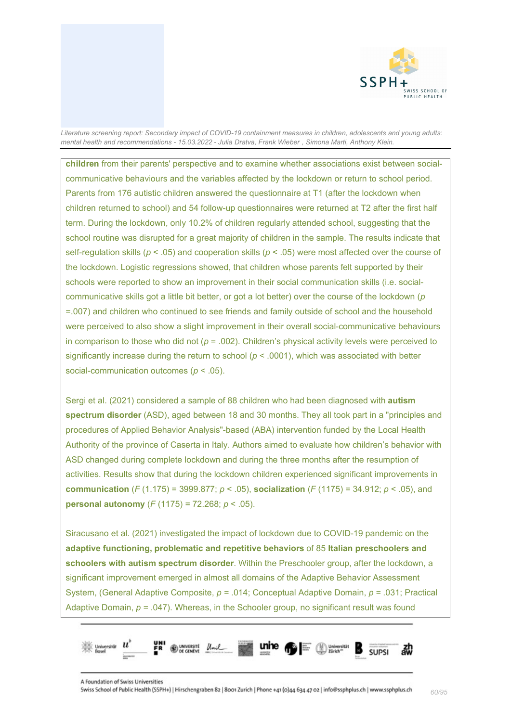

**children** from their parents' perspective and to examine whether associations exist between socialcommunicative behaviours and the variables affected by the lockdown or return to school period. Parents from 176 autistic children answered the questionnaire at T1 (after the lockdown when children returned to school) and 54 follow-up questionnaires were returned at T2 after the first half term. During the lockdown, only 10.2% of children regularly attended school, suggesting that the school routine was disrupted for a great majority of children in the sample. The results indicate that self-regulation skills (*p* < .05) and cooperation skills (*p* < .05) were most affected over the course of the lockdown. Logistic regressions showed, that children whose parents felt supported by their schools were reported to show an improvement in their social communication skills (i.e. socialcommunicative skills got a little bit better, or got a lot better) over the course of the lockdown (*p* =.007) and children who continued to see friends and family outside of school and the household were perceived to also show a slight improvement in their overall social-communicative behaviours in comparison to those who did not (*p* = .002). Children's physical activity levels were perceived to significantly increase during the return to school  $(p < .0001)$ , which was associated with better social-communication outcomes (*p* < .05).

Sergi et al. (2021) considered a sample of 88 children who had been diagnosed with **autism spectrum disorder** (ASD), aged between 18 and 30 months. They all took part in a "principles and procedures of Applied Behavior Analysis"-based (ABA) intervention funded by the Local Health Authority of the province of Caserta in Italy. Authors aimed to evaluate how children's behavior with ASD changed during complete lockdown and during the three months after the resumption of activities. Results show that during the lockdown children experienced significant improvements in **communication** (*F* (1.175) = 3999.877; *p* < .05), **socialization** (*F* (1175) = 34.912; *p* < .05), and **personal autonomy** (*F* (1175) = 72.268; *p* < .05).

Siracusano et al. (2021) investigated the impact of lockdown due to COVID-19 pandemic on the **adaptive functioning, problematic and repetitive behaviors** of 85 **Italian preschoolers and schoolers with autism spectrum disorder**. Within the Preschooler group, after the lockdown, a significant improvement emerged in almost all domains of the Adaptive Behavior Assessment System, (General Adaptive Composite, *p =* .014; Conceptual Adaptive Domain, *p =* .031; Practical Adaptive Domain, *p =* .047). Whereas, in the Schooler group, no significant result was found

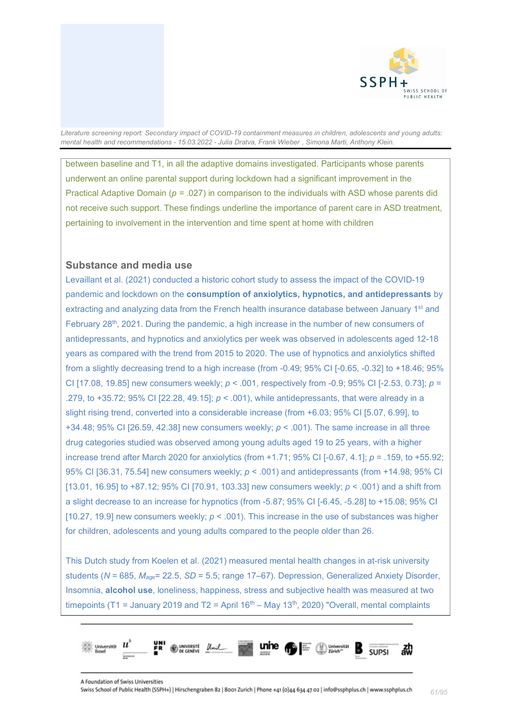

between baseline and T1, in all the adaptive domains investigated. Participants whose parents underwent an online parental support during lockdown had a significant improvement in the Practical Adaptive Domain (*p =* .027) in comparison to the individuals with ASD whose parents did not receive such support. These findings underline the importance of parent care in ASD treatment, pertaining to involvement in the intervention and time spent at home with children

### **Substance and media use**

Levaillant et al. (2021) conducted a historic cohort study to assess the impact of the COVID-19 pandemic and lockdown on the **consumption of anxiolytics, hypnotics, and antidepressants** by extracting and analyzing data from the French health insurance database between January 1<sup>st</sup> and February  $28<sup>th</sup>$ , 2021. During the pandemic, a high increase in the number of new consumers of antidepressants, and hypnotics and anxiolytics per week was observed in adolescents aged 12-18 years as compared with the trend from 2015 to 2020. The use of hypnotics and anxiolytics shifted from a slightly decreasing trend to a high increase (from -0.49; 95% CI [-0.65, -0.32] to +18.46; 95% CI [17.08, 19.85] new consumers weekly; *p* < .001, respectively from -0.9; 95% CI [-2.53, 0.73]; *p* = .279, to +35.72; 95% CI [22.28, 49.15]; *p* < .001), while antidepressants, that were already in a slight rising trend, converted into a considerable increase (from +6.03; 95% CI [5.07, 6.99], to +34.48; 95% CI [26.59, 42.38] new consumers weekly; *p* < .001). The same increase in all three drug categories studied was observed among young adults aged 19 to 25 years, with a higher increase trend after March 2020 for anxiolytics (from +1.71; 95% CI [-0.67, 4.1]; *p* = .159, to +55.92; 95% CI [36.31, 75.54] new consumers weekly; *p* < .001) and antidepressants (from +14.98; 95% CI [13.01, 16.95] to +87.12; 95% CI [70.91, 103.33] new consumers weekly; *p* < .001) and a shift from a slight decrease to an increase for hypnotics (from -5.87; 95% CI [-6.45, -5.28] to +15.08; 95% CI [10.27, 19.9] new consumers weekly;  $p < .001$ ). This increase in the use of substances was higher for children, adolescents and young adults compared to the people older than 26.

This Dutch study from Koelen et al. (2021) measured mental health changes in at-risk university students (*N* = 685, *M*age= 22.5, *SD* = 5.5; range 17–67). Depression, Generalized Anxiety Disorder, Insomnia, **alcohol use**, loneliness, happiness, stress and subjective health was measured at two timepoints (T1 = January 2019 and T2 = April 16<sup>th</sup> – May 13<sup>th</sup>, 2020) "Overall, mental complaints

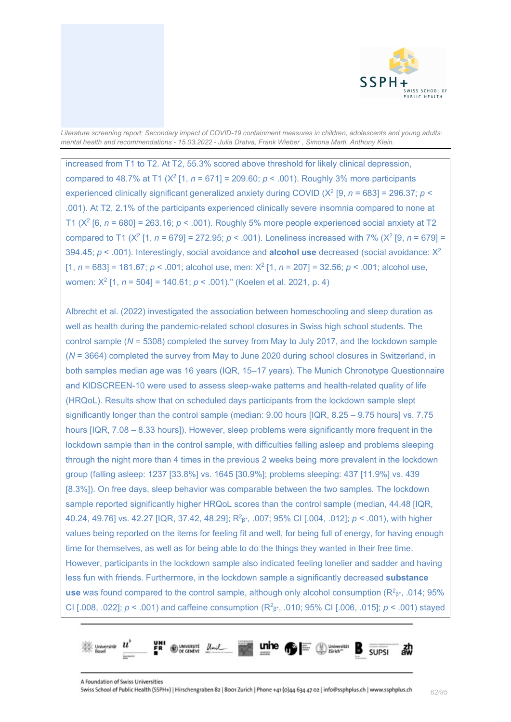

increased from T1 to T2. At T2, 55.3% scored above threshold for likely clinical depression, compared to 48.7% at T1 ( $X^2$  [1,  $n = 671$ ] = 209.60;  $p < .001$ ). Roughly 3% more participants experienced clinically significant generalized anxiety during COVID ( $X^2$  [9, *n* = 683] = 296.37; *p* < .001). At T2, 2.1% of the participants experienced clinically severe insomnia compared to none at T1 (X2 [6, *n* = 680] = 263.16; *p* < .001). Roughly 5% more people experienced social anxiety at T2 compared to T1 (X2 [1, *n* = 679] = 272.95; *p* < .001). Loneliness increased with 7% (X2 [9, *n* = 679] = 394.45; *p* < .001). Interestingly, social avoidance and **alcohol use** decreased (social avoidance: X2 [1,  $n = 683$ ] = 181.67;  $p < .001$ ; alcohol use, men:  $X^2$  [1,  $n = 207$ ] = 32.56;  $p < .001$ ; alcohol use, women: X2 [1, *n* = 504] = 140.61; *p* < .001)." (Koelen et al. 2021, p. 4)

Albrecht et al. (2022) investigated the association between homeschooling and sleep duration as well as health during the pandemic-related school closures in Swiss high school students. The control sample (*N* = 5308) completed the survey from May to July 2017, and the lockdown sample (*N* = 3664) completed the survey from May to June 2020 during school closures in Switzerland, in both samples median age was 16 years (IQR, 15–17 years). The Munich Chronotype Questionnaire and KIDSCREEN-10 were used to assess sleep-wake patterns and health-related quality of life (HRQoL). Results show that on scheduled days participants from the lockdown sample slept significantly longer than the control sample (median: 9.00 hours [IQR, 8.25 – 9.75 hours] vs. 7.75 hours [IQR, 7.08 – 8.33 hours]). However, sleep problems were significantly more frequent in the lockdown sample than in the control sample, with difficulties falling asleep and problems sleeping through the night more than 4 times in the previous 2 weeks being more prevalent in the lockdown group (falling asleep: 1237 [33.8%] vs. 1645 [30.9%]; problems sleeping: 437 [11.9%] vs. 439 [8.3%]). On free days, sleep behavior was comparable between the two samples. The lockdown sample reported significantly higher HRQoL scores than the control sample (median, 44.48 [IQR, 40.24, 49.76] vs. 42.27 [IQR, 37.42, 48.29]; R2 β\*, .007; 95% CI [.004, .012]; *p* < .001), with higher values being reported on the items for feeling fit and well, for being full of energy, for having enough time for themselves, as well as for being able to do the things they wanted in their free time. However, participants in the lockdown sample also indicated feeling lonelier and sadder and having less fun with friends. Furthermore, in the lockdown sample a significantly decreased **substance use** was found compared to the control sample, although only alcohol consumption (R<sup>2</sup>β<sup>\*</sup>, .014; 95% CI [.008, .022]; *p* < .001) and caffeine consumption (R2 β\*, .010; 95% CI [.006, .015]; *p* < .001) stayed

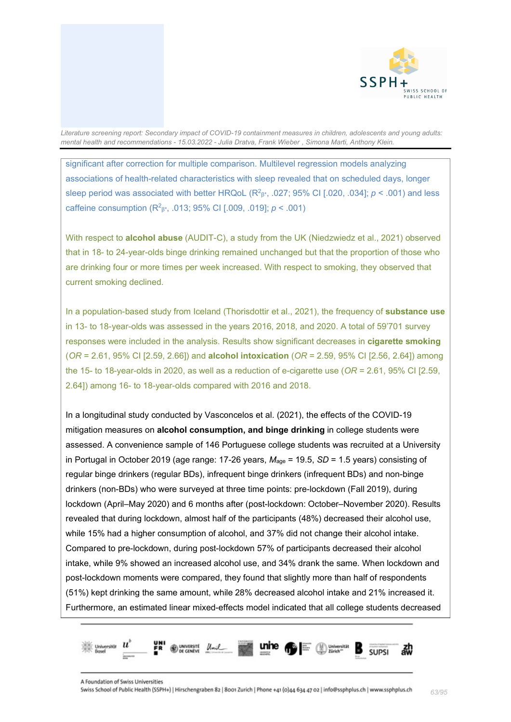

significant after correction for multiple comparison. Multilevel regression models analyzing associations of health-related characteristics with sleep revealed that on scheduled days, longer sleep period was associated with better HRQoL (R<sup>2</sup> $\beta$ \*, .027; 95% CI [.020, .034];  $p < .001$ ) and less caffeine consumption (R2 β\*, .013; 95% CI [.009, .019]; *p* < .001)

With respect to **alcohol abuse** (AUDIT-C), a study from the UK (Niedzwiedz et al., 2021) observed that in 18- to 24-year-olds binge drinking remained unchanged but that the proportion of those who are drinking four or more times per week increased. With respect to smoking, they observed that current smoking declined.

In a population-based study from Iceland (Thorisdottir et al., 2021), the frequency of **substance use** in 13- to 18-year-olds was assessed in the years 2016, 2018, and 2020. A total of 59'701 survey responses were included in the analysis. Results show significant decreases in **cigarette smoking** (*OR* = 2.61, 95% CI [2.59, 2.66]) and **alcohol intoxication** (*OR* = 2.59, 95% CI [2.56, 2.64]) among the 15- to 18-year-olds in 2020, as well as a reduction of e-cigarette use (*OR* = 2.61, 95% CI [2.59, 2.64]) among 16- to 18-year-olds compared with 2016 and 2018.

In a longitudinal study conducted by Vasconcelos et al. (2021), the effects of the COVID-19 mitigation measures on **alcohol consumption, and binge drinking** in college students were assessed. A convenience sample of 146 Portuguese college students was recruited at a University in Portugal in October 2019 (age range: 17-26 years,  $M_{\text{age}} = 19.5$ , *SD* = 1.5 years) consisting of regular binge drinkers (regular BDs), infrequent binge drinkers (infrequent BDs) and non-binge drinkers (non-BDs) who were surveyed at three time points: pre-lockdown (Fall 2019), during lockdown (April–May 2020) and 6 months after (post-lockdown: October–November 2020). Results revealed that during lockdown, almost half of the participants (48%) decreased their alcohol use, while 15% had a higher consumption of alcohol, and 37% did not change their alcohol intake. Compared to pre-lockdown, during post-lockdown 57% of participants decreased their alcohol intake, while 9% showed an increased alcohol use, and 34% drank the same. When lockdown and post-lockdown moments were compared, they found that slightly more than half of respondents (51%) kept drinking the same amount, while 28% decreased alcohol intake and 21% increased it. Furthermore, an estimated linear mixed-effects model indicated that all college students decreased

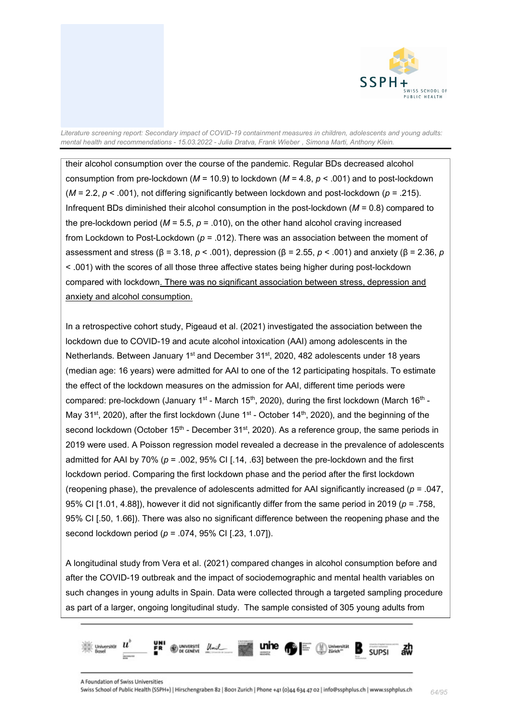

their alcohol consumption over the course of the pandemic. Regular BDs decreased alcohol consumption from pre-lockdown (*M* = 10.9) to lockdown (*M* = 4.8, *p* < .001) and to post-lockdown (*M* = 2.2, *p* < .001), not differing significantly between lockdown and post-lockdown (*p* = .215). Infrequent BDs diminished their alcohol consumption in the post-lockdown (*M* = 0.8) compared to the pre-lockdown period  $(M = 5.5, p = .010)$ , on the other hand alcohol craving increased from Lockdown to Post-Lockdown (*p* = .012). There was an association between the moment of assessment and stress (β = 3.18, *p* < .001), depression (β = 2.55, *p* < .001) and anxiety (β = 2.36, *p*  < .001) with the scores of all those three affective states being higher during post-lockdown compared with lockdown. There was no significant association between stress, depression and anxiety and alcohol consumption.

In a retrospective cohort study, Pigeaud et al. (2021) investigated the association between the lockdown due to COVID-19 and acute alcohol intoxication (AAI) among adolescents in the Netherlands. Between January 1<sup>st</sup> and December 31<sup>st</sup>, 2020, 482 adolescents under 18 years (median age: 16 years) were admitted for AAI to one of the 12 participating hospitals. To estimate the effect of the lockdown measures on the admission for AAI, different time periods were compared: pre-lockdown (January 1<sup>st</sup> - March 15<sup>th</sup>, 2020), during the first lockdown (March 16<sup>th</sup> -May 31<sup>st</sup>, 2020), after the first lockdown (June 1<sup>st</sup> - October 14<sup>th</sup>, 2020), and the beginning of the second lockdown (October  $15<sup>th</sup>$  - December  $31<sup>st</sup>$ , 2020). As a reference group, the same periods in 2019 were used. A Poisson regression model revealed a decrease in the prevalence of adolescents admitted for AAI by 70% (*p* = .002, 95% CI [.14, .63] between the pre-lockdown and the first lockdown period. Comparing the first lockdown phase and the period after the first lockdown (reopening phase), the prevalence of adolescents admitted for AAI significantly increased (*p* = .047, 95% CI [1.01, 4.88]), however it did not significantly differ from the same period in 2019 (*p* = .758, 95% CI [.50, 1.66]). There was also no significant difference between the reopening phase and the second lockdown period (*p* = .074, 95% CI [.23, 1.07]).

A longitudinal study from Vera et al. (2021) compared changes in alcohol consumption before and after the COVID-19 outbreak and the impact of sociodemographic and mental health variables on such changes in young adults in Spain. Data were collected through a targeted sampling procedure as part of a larger, ongoing longitudinal study. The sample consisted of 305 young adults from

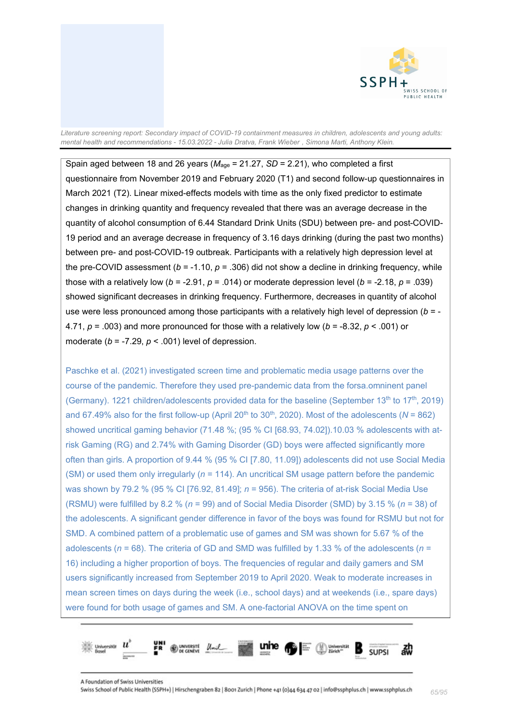

Spain aged between 18 and 26 years ( $M_{\text{age}}$  = 21.27, *SD* = 2.21), who completed a first questionnaire from November 2019 and February 2020 (T1) and second follow-up questionnaires in March 2021 (T2). Linear mixed-effects models with time as the only fixed predictor to estimate changes in drinking quantity and frequency revealed that there was an average decrease in the quantity of alcohol consumption of 6.44 Standard Drink Units (SDU) between pre- and post-COVID-19 period and an average decrease in frequency of 3.16 days drinking (during the past two months) between pre- and post-COVID-19 outbreak. Participants with a relatively high depression level at the pre-COVID assessment ( $b = -1.10$ ,  $p = .306$ ) did not show a decline in drinking frequency, while those with a relatively low ( $b = -2.91$ ,  $p = .014$ ) or moderate depression level ( $b = -2.18$ ,  $p = .039$ ) showed significant decreases in drinking frequency. Furthermore, decreases in quantity of alcohol use were less pronounced among those participants with a relatively high level of depression (*b* = - 4.71, *p* = .003) and more pronounced for those with a relatively low (*b* = -8.32, *p* < .001) or moderate  $(b = -7.29, p < .001)$  level of depression.

Paschke et al. (2021) investigated screen time and problematic media usage patterns over the course of the pandemic. Therefore they used pre-pandemic data from the forsa.omninent panel (Germany). 1221 children/adolescents provided data for the baseline (September 13<sup>th</sup> to 17<sup>th</sup>, 2019) and 67.49% also for the first follow-up (April 20<sup>th</sup> to 30<sup>th</sup>, 2020). Most of the adolescents ( $N = 862$ ) showed uncritical gaming behavior (71.48 %; (95 % CI [68.93, 74.02]).10.03 % adolescents with atrisk Gaming (RG) and 2.74% with Gaming Disorder (GD) boys were affected significantly more often than girls. A proportion of 9.44 % (95 % CI [7.80, 11.09]) adolescents did not use Social Media (SM) or used them only irregularly (*n* = 114). An uncritical SM usage pattern before the pandemic was shown by 79.2 % (95 % CI [76.92, 81.49]; *n* = 956). The criteria of at-risk Social Media Use (RSMU) were fulfilled by 8.2 % (*n* = 99) and of Social Media Disorder (SMD) by 3.15 % (*n* = 38) of the adolescents. A significant gender difference in favor of the boys was found for RSMU but not for SMD. A combined pattern of a problematic use of games and SM was shown for 5.67 % of the adolescents (*n* = 68). The criteria of GD and SMD was fulfilled by 1.33 % of the adolescents (*n* = 16) including a higher proportion of boys. The frequencies of regular and daily gamers and SM users significantly increased from September 2019 to April 2020. Weak to moderate increases in mean screen times on days during the week (i.e., school days) and at weekends (i.e., spare days) were found for both usage of games and SM. A one-factorial ANOVA on the time spent on

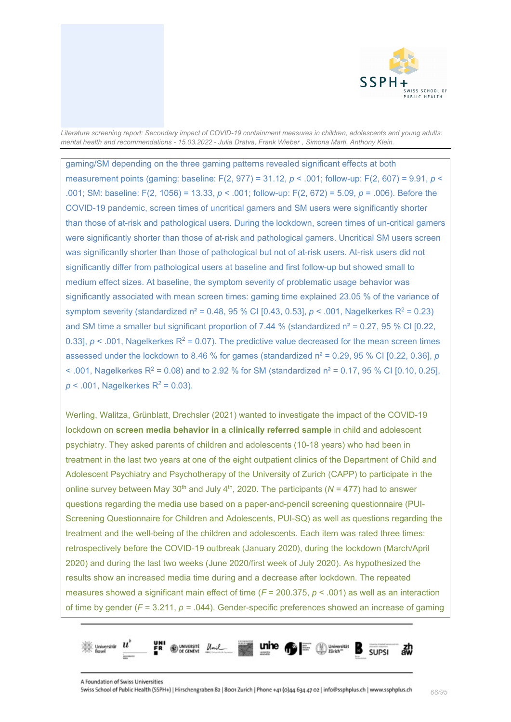

gaming/SM depending on the three gaming patterns revealed significant effects at both measurement points (gaming: baseline: F(2, 977) = 31.12, *p* < .001; follow-up: F(2, 607) = 9.91, *p* < .001; SM: baseline: F(2, 1056) = 13.33, *p* < .001; follow-up: F(2, 672) = 5.09, *p* = .006). Before the COVID-19 pandemic, screen times of uncritical gamers and SM users were significantly shorter than those of at-risk and pathological users. During the lockdown, screen times of un-critical gamers were significantly shorter than those of at-risk and pathological gamers. Uncritical SM users screen was significantly shorter than those of pathological but not of at-risk users. At-risk users did not significantly differ from pathological users at baseline and first follow-up but showed small to medium effect sizes. At baseline, the symptom severity of problematic usage behavior was significantly associated with mean screen times: gaming time explained 23.05 % of the variance of symptom severity (standardized  $n^2 = 0.48$ , 95 % CI [0.43, 0.53],  $p < .001$ , Nagelkerkes R<sup>2</sup> = 0.23) and SM time a smaller but significant proportion of 7.44 % (standardized  $n^2 = 0.27$ , 95 % CI [0.22, 0.33],  $p < 0.001$ , Nagelkerkes  $R^2 = 0.07$ ). The predictive value decreased for the mean screen times assessed under the lockdown to 8.46 % for games (standardized  $n^2 = 0.29$ , 95 % CI [0.22, 0.36],  $p$  $<$  001, Nagelkerkes R<sup>2</sup> = 0.08) and to 2.92 % for SM (standardized  $n^2$  = 0.17, 95 % CI [0.10, 0.25],  $p < .001$ , Nagelkerkes  $R^2 = 0.03$ ).

Werling, Walitza, Grünblatt, Drechsler (2021) wanted to investigate the impact of the COVID-19 lockdown on **screen media behavior in a clinically referred sample** in child and adolescent psychiatry. They asked parents of children and adolescents (10-18 years) who had been in treatment in the last two years at one of the eight outpatient clinics of the Department of Child and Adolescent Psychiatry and Psychotherapy of the University of Zurich (CAPP) to participate in the online survey between May 30<sup>th</sup> and July 4<sup>th</sup>, 2020. The participants ( $N = 477$ ) had to answer questions regarding the media use based on a paper-and-pencil screening questionnaire (PUI-Screening Questionnaire for Children and Adolescents, PUI-SQ) as well as questions regarding the treatment and the well-being of the children and adolescents. Each item was rated three times: retrospectively before the COVID-19 outbreak (January 2020), during the lockdown (March/April 2020) and during the last two weeks (June 2020/first week of July 2020). As hypothesized the results show an increased media time during and a decrease after lockdown. The repeated measures showed a significant main effect of time (*F* = 200.375, *p* < .001) as well as an interaction of time by gender (*F* = 3.211, *p =* .044). Gender-specific preferences showed an increase of gaming

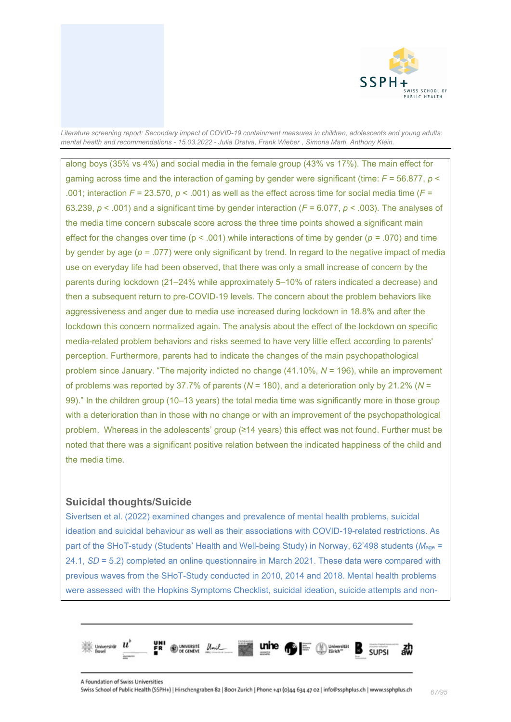

along boys (35% vs 4%) and social media in the female group (43% vs 17%). The main effect for gaming across time and the interaction of gaming by gender were significant (time: *F* = 56.877, *p* < .001; interaction  $F = 23.570$ ,  $p < .001$ ) as well as the effect across time for social media time ( $F =$ 63.239, *p* < .001) and a significant time by gender interaction (*F* = 6.077, *p* < .003). The analyses of the media time concern subscale score across the three time points showed a significant main effect for the changes over time (p < .001) while interactions of time by gender (*p =* .070) and time by gender by age (*p =* .077) were only significant by trend. In regard to the negative impact of media use on everyday life had been observed, that there was only a small increase of concern by the parents during lockdown (21–24% while approximately 5–10% of raters indicated a decrease) and then a subsequent return to pre-COVID-19 levels. The concern about the problem behaviors like aggressiveness and anger due to media use increased during lockdown in 18.8% and after the lockdown this concern normalized again. The analysis about the effect of the lockdown on specific media-related problem behaviors and risks seemed to have very little effect according to parents' perception. Furthermore, parents had to indicate the changes of the main psychopathological problem since January. "The majority indicted no change (41.10%, *N* = 196), while an improvement of problems was reported by 37.7% of parents (*N* = 180), and a deterioration only by 21.2% (*N* = 99)." In the children group (10–13 years) the total media time was significantly more in those group with a deterioration than in those with no change or with an improvement of the psychopathological problem. Whereas in the adolescents' group (≥14 years) this effect was not found. Further must be noted that there was a significant positive relation between the indicated happiness of the child and the media time.

# **Suicidal thoughts/Suicide**

Sivertsen et al. (2022) examined changes and prevalence of mental health problems, suicidal ideation and suicidal behaviour as well as their associations with COVID-19-related restrictions. As part of the SHoT-study (Students' Health and Well-being Study) in Norway, 62'498 students ( $M_{\text{age}}$  = 24.1, *SD* = 5.2) completed an online questionnaire in March 2021. These data were compared with previous waves from the SHoT-Study conducted in 2010, 2014 and 2018. Mental health problems were assessed with the Hopkins Symptoms Checklist, suicidal ideation, suicide attempts and non-

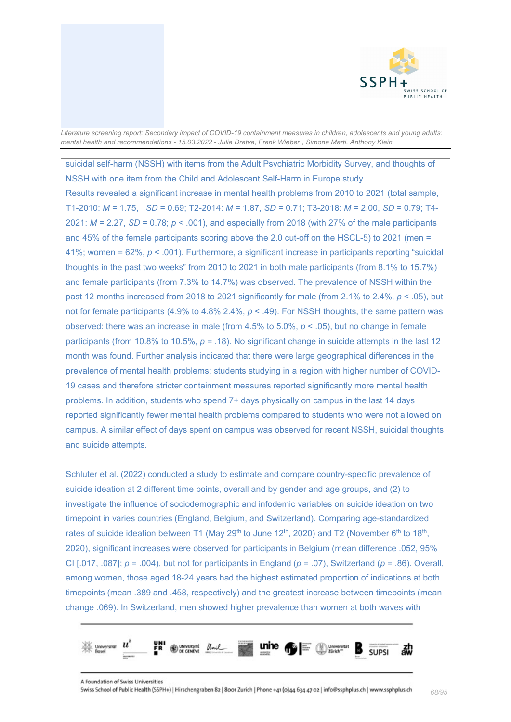

suicidal self-harm (NSSH) with items from the Adult Psychiatric Morbidity Survey, and thoughts of NSSH with one item from the Child and Adolescent Self-Harm in Europe study. Results revealed a significant increase in mental health problems from 2010 to 2021 (total sample, T1-2010: *M* = 1.75, *SD* = 0.69; T2-2014: *M* = 1.87, *SD* = 0.71; T3-2018: *M* = 2.00, *SD* = 0.79; T4- 2021: *M* = 2.27, *SD* = 0.78; *p* < .001), and especially from 2018 (with 27% of the male participants and 45% of the female participants scoring above the 2.0 cut-off on the HSCL-5) to 2021 (men = 41%; women = 62%, *p* < .001). Furthermore, a significant increase in participants reporting "suicidal thoughts in the past two weeks" from 2010 to 2021 in both male participants (from 8.1% to 15.7%) and female participants (from 7.3% to 14.7%) was observed. The prevalence of NSSH within the past 12 months increased from 2018 to 2021 significantly for male (from 2.1% to 2.4%, *p* < .05), but not for female participants (4.9% to 4.8% 2.4%, *p* < .49). For NSSH thoughts, the same pattern was observed: there was an increase in male (from 4.5% to 5.0%, *p* < .05), but no change in female participants (from 10.8% to 10.5%, *p* = .18). No significant change in suicide attempts in the last 12 month was found. Further analysis indicated that there were large geographical differences in the prevalence of mental health problems: students studying in a region with higher number of COVID-19 cases and therefore stricter containment measures reported significantly more mental health problems. In addition, students who spend 7+ days physically on campus in the last 14 days reported significantly fewer mental health problems compared to students who were not allowed on campus. A similar effect of days spent on campus was observed for recent NSSH, suicidal thoughts and suicide attempts.

Schluter et al. (2022) conducted a study to estimate and compare country-specific prevalence of suicide ideation at 2 different time points, overall and by gender and age groups, and (2) to investigate the influence of sociodemographic and infodemic variables on suicide ideation on two timepoint in varies countries (England, Belgium, and Switzerland). Comparing age-standardized rates of suicide ideation between T1 (May 29<sup>th</sup> to June 12<sup>th</sup>, 2020) and T2 (November 6<sup>th</sup> to 18<sup>th</sup>, 2020), significant increases were observed for participants in Belgium (mean difference .052, 95% CI [.017, .087]; *p* = .004), but not for participants in England (*p* = .07), Switzerland (*p* = .86). Overall, among women, those aged 18-24 years had the highest estimated proportion of indications at both timepoints (mean .389 and .458, respectively) and the greatest increase between timepoints (mean change .069). In Switzerland, men showed higher prevalence than women at both waves with

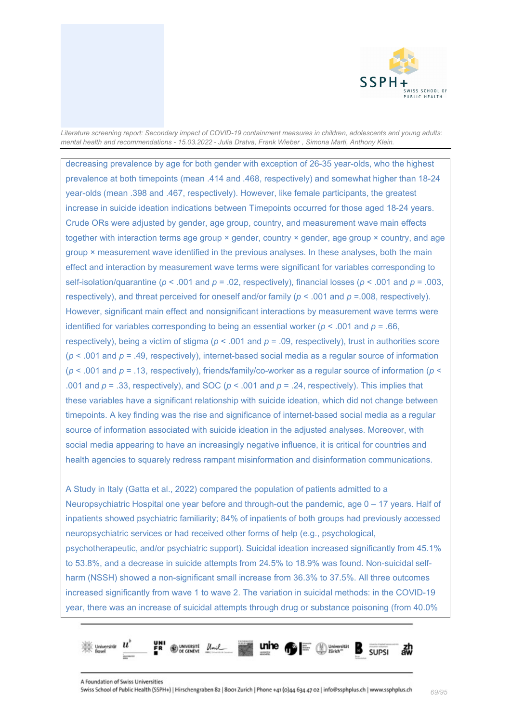

decreasing prevalence by age for both gender with exception of 26-35 year-olds, who the highest prevalence at both timepoints (mean .414 and .468, respectively) and somewhat higher than 18-24 year-olds (mean .398 and .467, respectively). However, like female participants, the greatest increase in suicide ideation indications between Timepoints occurred for those aged 18-24 years. Crude ORs were adjusted by gender, age group, country, and measurement wave main effects together with interaction terms age group × gender, country × gender, age group × country, and age group × measurement wave identified in the previous analyses. In these analyses, both the main effect and interaction by measurement wave terms were significant for variables corresponding to self-isolation/quarantine (*p* < .001 and *p* = .02, respectively), financial losses (*p* < .001 and *p* = .003, respectively), and threat perceived for oneself and/or family (*p* < .001 and *p* =.008, respectively). However, significant main effect and nonsignificant interactions by measurement wave terms were identified for variables corresponding to being an essential worker  $(p < .001$  and  $p = .66$ . respectively), being a victim of stigma (*p* < .001 and *p* = .09, respectively), trust in authorities score (*p* < .001 and *p* = .49, respectively), internet-based social media as a regular source of information (*p* < .001 and *p* = .13, respectively), friends/family/co-worker as a regular source of information (*p* < .001 and *p* = .33, respectively), and SOC (*p* < .001 and *p* = .24, respectively). This implies that these variables have a significant relationship with suicide ideation, which did not change between timepoints. A key finding was the rise and significance of internet-based social media as a regular source of information associated with suicide ideation in the adjusted analyses. Moreover, with social media appearing to have an increasingly negative influence, it is critical for countries and health agencies to squarely redress rampant misinformation and disinformation communications.

A Study in Italy (Gatta et al., 2022) compared the population of patients admitted to a Neuropsychiatric Hospital one year before and through-out the pandemic, age 0 – 17 years. Half of inpatients showed psychiatric familiarity; 84% of inpatients of both groups had previously accessed neuropsychiatric services or had received other forms of help (e.g., psychological, psychotherapeutic, and/or psychiatric support). Suicidal ideation increased significantly from 45.1% to 53.8%, and a decrease in suicide attempts from 24.5% to 18.9% was found. Non-suicidal selfharm (NSSH) showed a non-significant small increase from 36.3% to 37.5%. All three outcomes increased significantly from wave 1 to wave 2. The variation in suicidal methods: in the COVID-19 year, there was an increase of suicidal attempts through drug or substance poisoning (from 40.0%

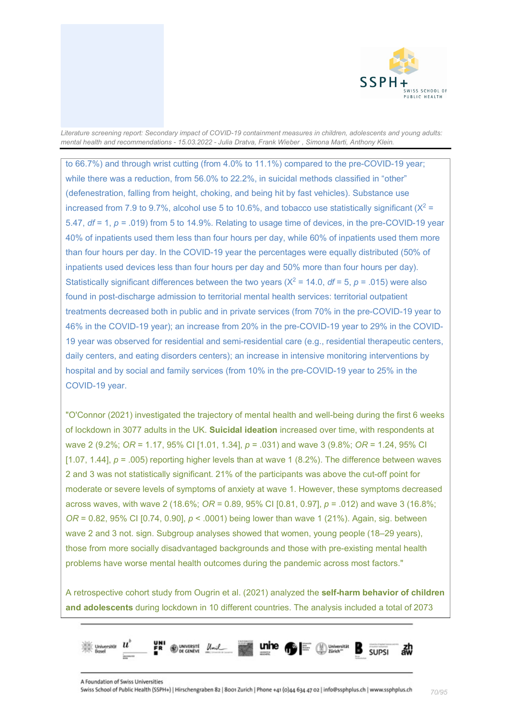

to 66.7%) and through wrist cutting (from 4.0% to 11.1%) compared to the pre-COVID-19 year; while there was a reduction, from 56.0% to 22.2%, in suicidal methods classified in "other" (defenestration, falling from height, choking, and being hit by fast vehicles). Substance use increased from 7.9 to 9.7%, alcohol use 5 to 10.6%, and tobacco use statistically significant ( $X^2$  = 5.47, *df* = 1, *p =* .019) from 5 to 14.9%. Relating to usage time of devices, in the pre-COVID-19 year 40% of inpatients used them less than four hours per day, while 60% of inpatients used them more than four hours per day. In the COVID-19 year the percentages were equally distributed (50% of inpatients used devices less than four hours per day and 50% more than four hours per day). Statistically significant differences between the two years  $(X^2 = 14.0, df = 5, p = .015)$  were also found in post-discharge admission to territorial mental health services: territorial outpatient treatments decreased both in public and in private services (from 70% in the pre-COVID-19 year to 46% in the COVID-19 year); an increase from 20% in the pre-COVID-19 year to 29% in the COVID-19 year was observed for residential and semi-residential care (e.g., residential therapeutic centers, daily centers, and eating disorders centers); an increase in intensive monitoring interventions by hospital and by social and family services (from 10% in the pre-COVID-19 year to 25% in the COVID-19 year.

"O'Connor (2021) investigated the trajectory of mental health and well-being during the first 6 weeks of lockdown in 3077 adults in the UK. **Suicidal ideation** increased over time, with respondents at wave 2 (9.2%; *OR* = 1.17, 95% CI [1.01, 1.34], *p* = .031) and wave 3 (9.8%; *OR* = 1.24, 95% CI [1.07, 1.44],  $p = .005$ ) reporting higher levels than at wave 1 (8.2%). The difference between waves 2 and 3 was not statistically significant. 21% of the participants was above the cut-off point for moderate or severe levels of symptoms of anxiety at wave 1. However, these symptoms decreased across waves, with wave 2 (18.6%; *OR* = 0.89, 95% CI [0.81, 0.97], *p* = .012) and wave 3 (16.8%; *OR* = 0.82, 95% CI [0.74, 0.90],  $p < .0001$  being lower than wave 1 (21%). Again, sig. between wave 2 and 3 not. sign. Subgroup analyses showed that women, young people (18–29 years), those from more socially disadvantaged backgrounds and those with pre-existing mental health problems have worse mental health outcomes during the pandemic across most factors."

A retrospective cohort study from Ougrin et al. (2021) analyzed the **self-harm behavior of children and adolescents** during lockdown in 10 different countries. The analysis included a total of 2073

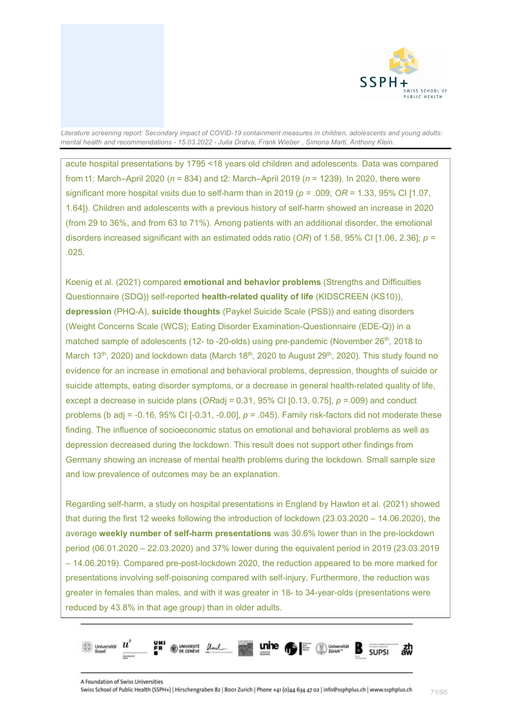

acute hospital presentations by 1795 <18 years old children and adolescents. Data was compared from t1: March–April 2020 (*n* = 834) and t2: March–April 2019 (*n* = 1239). In 2020, there were significant more hospital visits due to self-harm than in 2019 (*p =* .009; *OR* = 1.33, 95% CI [1.07, 1.64]). Children and adolescents with a previous history of self-harm showed an increase in 2020 (from 29 to 36%, and from 63 to 71%). Among patients with an additional disorder, the emotional disorders increased significant with an estimated odds ratio (*OR*) of 1.58, 95% CI [1.06, 2.36]; *p =* .025.

Koenig et al. (2021) compared **emotional and behavior problems** (Strengths and Difficulties Questionnaire (SDQ)) self-reported **health-related quality of life** (KIDSCREEN (KS10)), **depression** (PHQ-A), **suicide thoughts** (Paykel Suicide Scale (PSS)) and eating disorders (Weight Concerns Scale (WCS); Eating Disorder Examination-Questionnaire (EDE-Q)) in a matched sample of adolescents (12- to -20-olds) using pre-pandemic (November 26<sup>th</sup>, 2018 to March 13<sup>th</sup>, 2020) and lockdown data (March 18<sup>th</sup>, 2020 to August 29<sup>th</sup>, 2020). This study found no evidence for an increase in emotional and behavioral problems, depression, thoughts of suicide or suicide attempts, eating disorder symptoms, or a decrease in general health-related quality of life, except a decrease in suicide plans (*OR*adj = 0.31, 95% CI [0.13, 0.75], *p* =.009) and conduct problems (b adj = -0.16, 95% CI [-0.31, -0.00], *p* = .045). Family risk-factors did not moderate these finding. The influence of socioeconomic status on emotional and behavioral problems as well as depression decreased during the lockdown. This result does not support other findings from Germany showing an increase of mental health problems during the lockdown. Small sample size and low prevalence of outcomes may be an explanation.

Regarding self-harm, a study on hospital presentations in England by Hawton et al. (2021) showed that during the first 12 weeks following the introduction of lockdown (23.03.2020 – 14.06.2020), the average **weekly number of self-harm presentations** was 30.6% lower than in the pre-lockdown period (06.01.2020 – 22.03.2020) and 37% lower during the equivalent period in 2019 (23.03.2019 – 14.06.2019). Compared pre-post-lockdown 2020, the reduction appeared to be more marked for presentations involving self-poisoning compared with self-injury. Furthermore, the reduction was greater in females than males, and with it was greater in 18- to 34-year-olds (presentations were reduced by 43.8% in that age group) than in older adults.

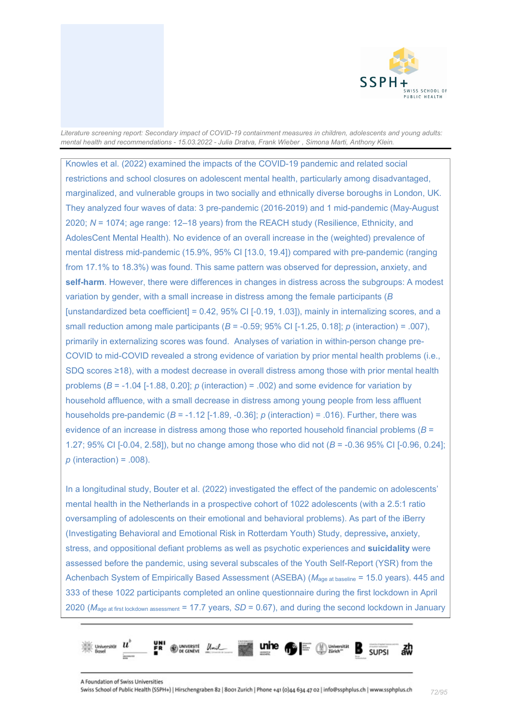

Knowles et al. (2022) examined the impacts of the COVID-19 pandemic and related social restrictions and school closures on adolescent mental health, particularly among disadvantaged, marginalized, and vulnerable groups in two socially and ethnically diverse boroughs in London, UK. They analyzed four waves of data: 3 pre-pandemic (2016-2019) and 1 mid-pandemic (May-August 2020; *N* = 1074; age range: 12–18 years) from the REACH study (Resilience, Ethnicity, and AdolesCent Mental Health). No evidence of an overall increase in the (weighted) prevalence of mental distress mid-pandemic (15.9%, 95% CI [13.0, 19.4]) compared with pre-pandemic (ranging from 17.1% to 18.3%) was found. This same pattern was observed for depression**,** anxiety, and **self-harm**. However, there were differences in changes in distress across the subgroups: A modest variation by gender, with a small increase in distress among the female participants (*B* [unstandardized beta coefficient] =  $0.42$ ,  $95\%$  CI [-0.19, 1.03]), mainly in internalizing scores, and a small reduction among male participants (*B* = -0.59; 95% CI [-1.25, 0.18]; *p* (interaction) = .007), primarily in externalizing scores was found. Analyses of variation in within-person change pre-COVID to mid-COVID revealed a strong evidence of variation by prior mental health problems (i.e., SDQ scores ≥18), with a modest decrease in overall distress among those with prior mental health problems (*B* = -1.04 [-1.88, 0.20]; *p* (interaction) = .002) and some evidence for variation by household affluence, with a small decrease in distress among young people from less affluent households pre-pandemic  $(B = -1.12$   $[-1.89, -0.36]$ ;  $p$  (interaction) = .016). Further, there was evidence of an increase in distress among those who reported household financial problems (*B* = 1.27; 95% CI [-0.04, 2.58]), but no change among those who did not (*B* = -0.36 95% CI [-0.96, 0.24]; *p* (interaction) = .008).

In a longitudinal study, Bouter et al. (2022) investigated the effect of the pandemic on adolescents' mental health in the Netherlands in a prospective cohort of 1022 adolescents (with a 2.5:1 ratio oversampling of adolescents on their emotional and behavioral problems). As part of the iBerry (Investigating Behavioral and Emotional Risk in Rotterdam Youth) Study, depressive**,** anxiety, stress, and oppositional defiant problems as well as psychotic experiences and **suicidality** were assessed before the pandemic, using several subscales of the Youth Self-Report (YSR) from the Achenbach System of Empirically Based Assessment (ASEBA) (*M*age at baseline = 15.0 years). 445 and 333 of these 1022 participants completed an online questionnaire during the first lockdown in April 2020 (*M*age at first lockdown assessment = 17.7 years, *SD* = 0.67), and during the second lockdown in January

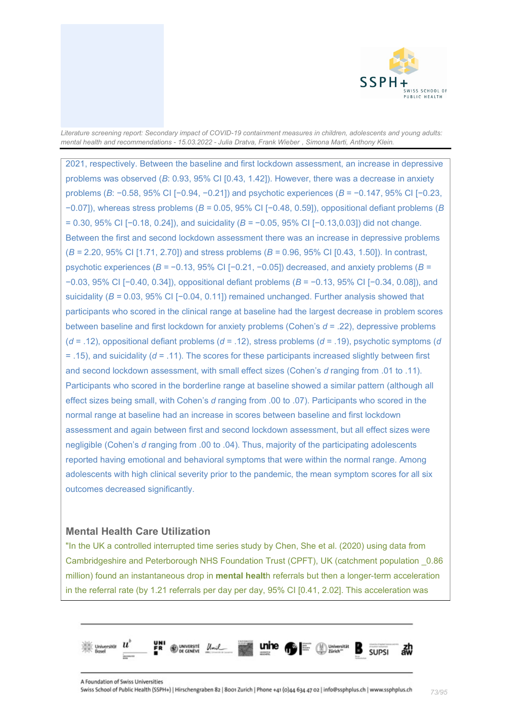

2021, respectively. Between the baseline and first lockdown assessment, an increase in depressive problems was observed (*B*: 0.93, 95% CI [0.43, 1.42]). However, there was a decrease in anxiety problems (*B*: −0.58, 95% CI [−0.94, −0.21]) and psychotic experiences (*B* = −0.147, 95% CI [−0.23, −0.07]), whereas stress problems (*B =* 0.05, 95% CI [−0.48, 0.59]), oppositional defiant problems (*B* = 0.30, 95% CI [−0.18, 0.24]), and suicidality (*B =* −0.05, 95% CI [−0.13,0.03]) did not change. Between the first and second lockdown assessment there was an increase in depressive problems (*B =* 2.20, 95% CI [1.71, 2.70]) and stress problems (*B =* 0.96, 95% CI [0.43, 1.50]). In contrast, psychotic experiences (*B =* −0.13, 95% CI [−0.21, −0.05]) decreased, and anxiety problems (*B =*  −0.03, 95% CI [−0.40, 0.34]), oppositional defiant problems (*B* = −0.13, 95% CI [−0.34, 0.08]), and suicidality (*B =* 0.03, 95% CI [−0.04, 0.11]) remained unchanged. Further analysis showed that participants who scored in the clinical range at baseline had the largest decrease in problem scores between baseline and first lockdown for anxiety problems (Cohen's *d* = .22), depressive problems (*d* = .12), oppositional defiant problems (*d* = .12), stress problems (*d* = .19), psychotic symptoms (*d* = .15), and suicidality (*d* = .11). The scores for these participants increased slightly between first and second lockdown assessment, with small effect sizes (Cohen's *d* ranging from .01 to .11). Participants who scored in the borderline range at baseline showed a similar pattern (although all effect sizes being small, with Cohen's *d* ranging from .00 to .07). Participants who scored in the normal range at baseline had an increase in scores between baseline and first lockdown assessment and again between first and second lockdown assessment, but all effect sizes were negligible (Cohen's *d* ranging from .00 to .04). Thus, majority of the participating adolescents reported having emotional and behavioral symptoms that were within the normal range. Among adolescents with high clinical severity prior to the pandemic, the mean symptom scores for all six outcomes decreased significantly.

# **Mental Health Care Utilization**

"In the UK a controlled interrupted time series study by Chen, She et al. (2020) using data from Cambridgeshire and Peterborough NHS Foundation Trust (CPFT), UK (catchment population \_0.86 million) found an instantaneous drop in **mental healt**h referrals but then a longer-term acceleration in the referral rate (by 1.21 referrals per day per day, 95% CI [0.41, 2.02]. This acceleration was

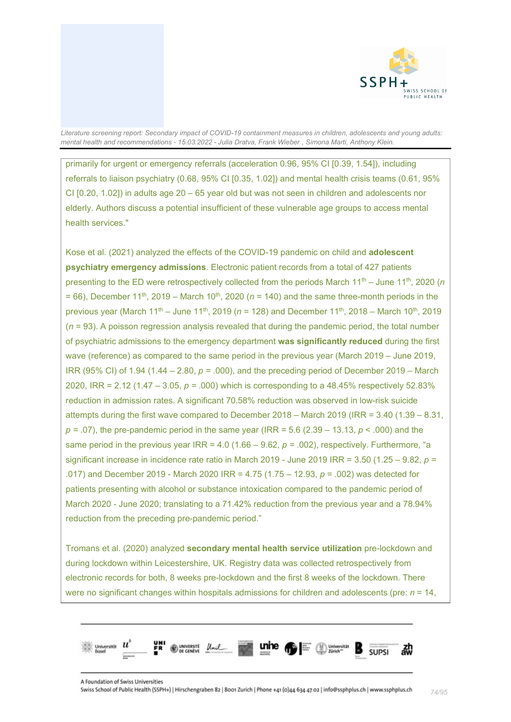

primarily for urgent or emergency referrals (acceleration 0.96, 95% CI [0.39, 1.54]), including referrals to liaison psychiatry (0.68, 95% CI [0.35, 1.02]) and mental health crisis teams (0.61, 95% CI [0.20, 1.02]) in adults age 20 – 65 year old but was not seen in children and adolescents nor elderly. Authors discuss a potential insufficient of these vulnerable age groups to access mental health services."

Kose et al. (2021) analyzed the effects of the COVID-19 pandemic on child and **adolescent psychiatry emergency admissions**. Electronic patient records from a total of 427 patients presenting to the ED were retrospectively collected from the periods March 11<sup>th</sup> – June 11<sup>th</sup>, 2020 (*n*  $= 66$ ), December 11<sup>th</sup>, 2019 – March 10<sup>th</sup>, 2020 ( $n = 140$ ) and the same three-month periods in the previous year (March 11<sup>th</sup> – June 11<sup>th</sup>, 2019 (*n* = 128) and December 11<sup>th</sup>, 2018 – March 10<sup>th</sup>, 2019 (*n* = 93). A poisson regression analysis revealed that during the pandemic period, the total number of psychiatric admissions to the emergency department **was significantly reduced** during the first wave (reference) as compared to the same period in the previous year (March 2019 – June 2019, IRR (95% CI) of 1.94 (1.44 – 2.80, *p =* .000), and the preceding period of December 2019 – March 2020, IRR = 2.12 (1.47 – 3.05, *p =* .000) which is corresponding to a 48.45% respectively 52.83% reduction in admission rates. A significant 70.58% reduction was observed in low-risk suicide attempts during the first wave compared to December 2018 – March 2019 (IRR = 3.40 (1.39 – 8.31, *p =* .07), the pre-pandemic period in the same year (IRR = 5.6 (2.39 – 13.13, *p* < .000) and the same period in the previous year  $IRR = 4.0$  (1.66 – 9.62,  $p = .002$ ), respectively. Furthermore, "a significant increase in incidence rate ratio in March 2019 - June 2019 IRR = 3.50 (1.25 – 9.82, *p =* .017) and December 2019 - March 2020 IRR = 4.75 (1.75 – 12.93, *p =* .002) was detected for patients presenting with alcohol or substance intoxication compared to the pandemic period of March 2020 - June 2020; translating to a 71.42% reduction from the previous year and a 78.94% reduction from the preceding pre-pandemic period."

Tromans et al. (2020) analyzed **secondary mental health service utilization** pre-lockdown and during lockdown within Leicestershire, UK. Registry data was collected retrospectively from electronic records for both, 8 weeks pre-lockdown and the first 8 weeks of the lockdown. There were no significant changes within hospitals admissions for children and adolescents (pre: *n* = 14,

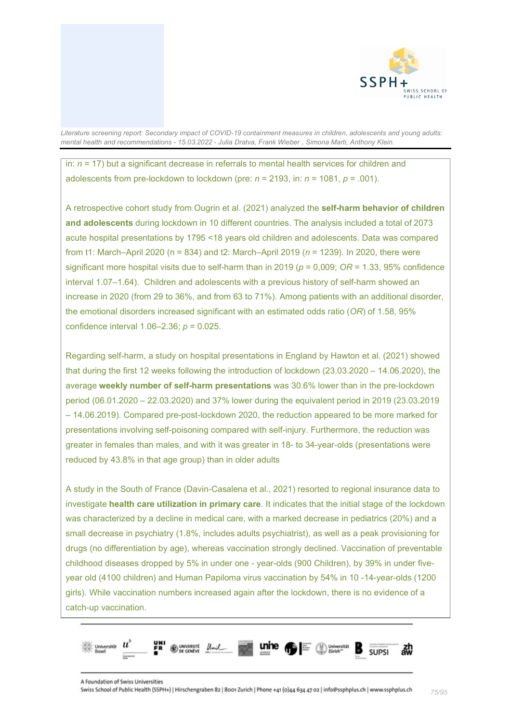

in: *n* = 17) but a significant decrease in referrals to mental health services for children and adolescents from pre-lockdown to lockdown (pre: *n* = 2193, in: *n* = 1081, *p* = .001).

A retrospective cohort study from Ougrin et al. (2021) analyzed the **self-harm behavior of children and adolescents** during lockdown in 10 different countries. The analysis included a total of 2073 acute hospital presentations by 1795 <18 years old children and adolescents. Data was compared from t1: March–April 2020 (n = 834) and t2: March–April 2019 (*n* = 1239). In 2020, there were significant more hospital visits due to self-harm than in 2019 (*p* = 0,009; *OR* = 1.33, 95% confidence interval 1.07–1.64). Children and adolescents with a previous history of self-harm showed an increase in 2020 (from 29 to 36%, and from 63 to 71%). Among patients with an additional disorder, the emotional disorders increased significant with an estimated odds ratio (*OR*) of 1.58, 95% confidence interval 1.06–2.36; *p* = 0.025.

Regarding self-harm, a study on hospital presentations in England by Hawton et al. (2021) showed that during the first 12 weeks following the introduction of lockdown (23.03.2020 – 14.06.2020), the average **weekly number of self-harm presentations** was 30.6% lower than in the pre-lockdown period (06.01.2020 – 22.03.2020) and 37% lower during the equivalent period in 2019 (23.03.2019 – 14.06.2019). Compared pre-post-lockdown 2020, the reduction appeared to be more marked for presentations involving self-poisoning compared with self-injury. Furthermore, the reduction was greater in females than males, and with it was greater in 18- to 34-year-olds (presentations were reduced by 43.8% in that age group) than in older adults

A study in the South of France (Davin-Casalena et al., 2021) resorted to regional insurance data to investigate **health care utilization in primary care**. It indicates that the initial stage of the lockdown was characterized by a decline in medical care, with a marked decrease in pediatrics (20%) and a small decrease in psychiatry (1.8%, includes adults psychiatrist), as well as a peak provisioning for drugs (no differentiation by age), whereas vaccination strongly declined. Vaccination of preventable childhood diseases dropped by 5% in under one - year-olds (900 Children), by 39% in under fiveyear old (4100 children) and Human Papiloma virus vaccination by 54% in 10 -14-year-olds (1200 girls). While vaccination numbers increased again after the lockdown, there is no evidence of a catch-up vaccination.

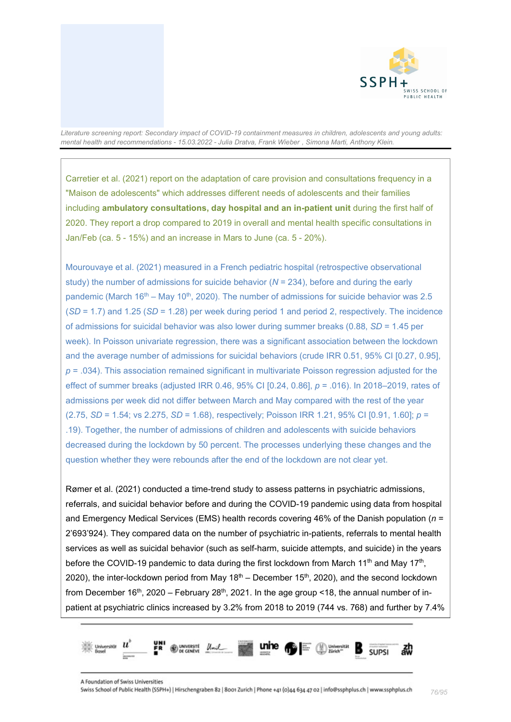

Carretier et al. (2021) report on the adaptation of care provision and consultations frequency in a "Maison de adolescents" which addresses different needs of adolescents and their families including **ambulatory consultations, day hospital and an in-patient unit** during the first half of 2020. They report a drop compared to 2019 in overall and mental health specific consultations in Jan/Feb (ca. 5 - 15%) and an increase in Mars to June (ca. 5 - 20%).

Mourouvaye et al. (2021) measured in a French pediatric hospital (retrospective observational study) the number of admissions for suicide behavior (*N* = 234), before and during the early pandemic (March  $16<sup>th</sup> -$  May  $10<sup>th</sup>$ , 2020). The number of admissions for suicide behavior was 2.5 (*SD* = 1.7) and 1.25 (*SD* = 1.28) per week during period 1 and period 2, respectively. The incidence of admissions for suicidal behavior was also lower during summer breaks (0.88, *SD* = 1.45 per week). In Poisson univariate regression, there was a significant association between the lockdown and the average number of admissions for suicidal behaviors (crude IRR 0.51, 95% CI [0.27, 0.95], *p* = .034). This association remained significant in multivariate Poisson regression adjusted for the effect of summer breaks (adjusted IRR 0.46, 95% CI [0.24, 0.86], *p* = .016). In 2018–2019, rates of admissions per week did not differ between March and May compared with the rest of the year (2.75, *SD* = 1.54; vs 2.275, *SD* = 1.68), respectively; Poisson IRR 1.21, 95% CI [0.91, 1.60]; *p* = .19). Together, the number of admissions of children and adolescents with suicide behaviors decreased during the lockdown by 50 percent. The processes underlying these changes and the question whether they were rebounds after the end of the lockdown are not clear yet.

Rømer et al. (2021) conducted a time-trend study to assess patterns in psychiatric admissions, referrals, and suicidal behavior before and during the COVID-19 pandemic using data from hospital and Emergency Medical Services (EMS) health records covering 46% of the Danish population (*n* = 2'693'924). They compared data on the number of psychiatric in-patients, referrals to mental health services as well as suicidal behavior (such as self-harm, suicide attempts, and suicide) in the years before the COVID-19 pandemic to data during the first lockdown from March 11<sup>th</sup> and May 17<sup>th</sup>, 2020), the inter-lockdown period from May  $18<sup>th</sup>$  – December 15<sup>th</sup>, 2020), and the second lockdown from December 16<sup>th</sup>, 2020 – February 28<sup>th</sup>, 2021. In the age group <18, the annual number of inpatient at psychiatric clinics increased by 3.2% from 2018 to 2019 (744 vs. 768) and further by 7.4%

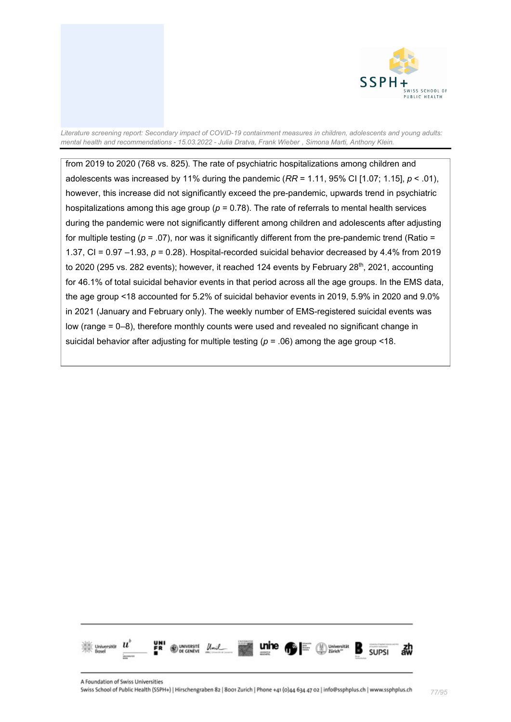

from 2019 to 2020 (768 vs. 825). The rate of psychiatric hospitalizations among children and adolescents was increased by 11% during the pandemic (*RR* = 1.11, 95% CI [1.07; 1.15], *p* < .01), however, this increase did not significantly exceed the pre-pandemic, upwards trend in psychiatric hospitalizations among this age group (*p* = 0.78). The rate of referrals to mental health services during the pandemic were not significantly different among children and adolescents after adjusting for multiple testing  $(p = .07)$ , nor was it significantly different from the pre-pandemic trend (Ratio = 1.37, CI = 0.97 –1.93, *p* = 0.28). Hospital-recorded suicidal behavior decreased by 4.4% from 2019 to 2020 (295 vs. 282 events); however, it reached 124 events by February 28<sup>th</sup>, 2021, accounting for 46.1% of total suicidal behavior events in that period across all the age groups. In the EMS data, the age group <18 accounted for 5.2% of suicidal behavior events in 2019, 5.9% in 2020 and 9.0% in 2021 (January and February only). The weekly number of EMS-registered suicidal events was low (range = 0–8), therefore monthly counts were used and revealed no significant change in suicidal behavior after adjusting for multiple testing  $(p = .06)$  among the age group <18.

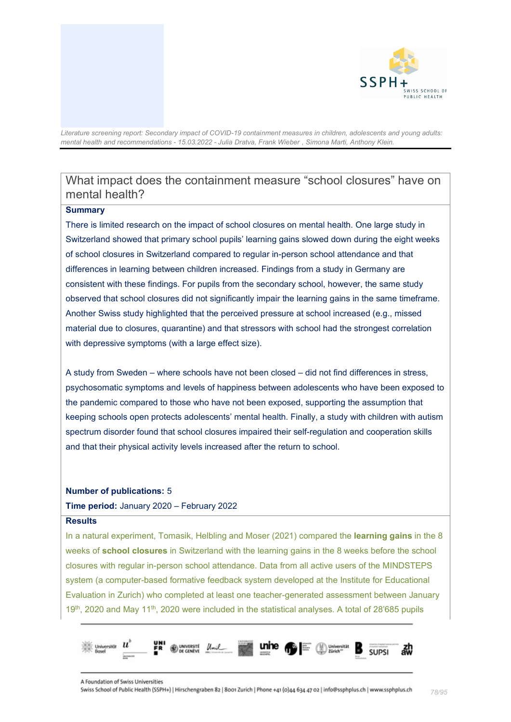

# What impact does the containment measure "school closures" have on mental health?

#### **Summary**

There is limited research on the impact of school closures on mental health. One large study in Switzerland showed that primary school pupils' learning gains slowed down during the eight weeks of school closures in Switzerland compared to regular in-person school attendance and that differences in learning between children increased. Findings from a study in Germany are consistent with these findings. For pupils from the secondary school, however, the same study observed that school closures did not significantly impair the learning gains in the same timeframe. Another Swiss study highlighted that the perceived pressure at school increased (e.g., missed material due to closures, quarantine) and that stressors with school had the strongest correlation with depressive symptoms (with a large effect size).

A study from Sweden – where schools have not been closed – did not find differences in stress, psychosomatic symptoms and levels of happiness between adolescents who have been exposed to the pandemic compared to those who have not been exposed, supporting the assumption that keeping schools open protects adolescents' mental health. Finally, a study with children with autism spectrum disorder found that school closures impaired their self-regulation and cooperation skills and that their physical activity levels increased after the return to school.

#### **Number of publications:** 5

#### **Time period:** January 2020 – February 2022

#### **Results**

In a natural experiment, Tomasik, Helbling and Moser (2021) compared the **learning gains** in the 8 weeks of **school closures** in Switzerland with the learning gains in the 8 weeks before the school closures with regular in-person school attendance. Data from all active users of the MINDSTEPS system (a computer-based formative feedback system developed at the Institute for Educational Evaluation in Zurich) who completed at least one teacher-generated assessment between January 19<sup>th</sup>, 2020 and May 11<sup>th</sup>, 2020 were included in the statistical analyses. A total of 28'685 pupils

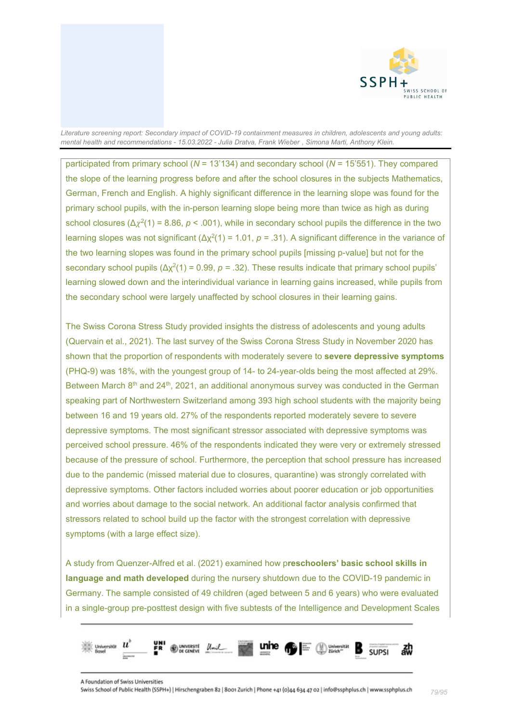

participated from primary school (*N* = 13'134) and secondary school (*N* = 15'551). They compared the slope of the learning progress before and after the school closures in the subjects Mathematics, German, French and English. A highly significant difference in the learning slope was found for the primary school pupils, with the in-person learning slope being more than twice as high as during school closures ( $\Delta \chi^2(1) = 8.86$ ,  $\rho < .001$ ), while in secondary school pupils the difference in the two learning slopes was not significant (Δχ<sup>2</sup> (1) = 1.01, *p =* .31). A significant difference in the variance of the two learning slopes was found in the primary school pupils [missing p-value] but not for the secondary school pupils  $(\Delta x^2(1) = 0.99, p = .32)$ . These results indicate that primary school pupils' learning slowed down and the interindividual variance in learning gains increased, while pupils from the secondary school were largely unaffected by school closures in their learning gains.

The Swiss Corona Stress Study provided insights the distress of adolescents and young adults (Quervain et al., 2021). The last survey of the Swiss Corona Stress Study in November 2020 has shown that the proportion of respondents with moderately severe to **severe depressive symptoms** (PHQ-9) was 18%, with the youngest group of 14- to 24-year-olds being the most affected at 29%. Between March 8<sup>th</sup> and 24<sup>th</sup>, 2021, an additional anonymous survey was conducted in the German speaking part of Northwestern Switzerland among 393 high school students with the majority being between 16 and 19 years old. 27% of the respondents reported moderately severe to severe depressive symptoms. The most significant stressor associated with depressive symptoms was perceived school pressure. 46% of the respondents indicated they were very or extremely stressed because of the pressure of school. Furthermore, the perception that school pressure has increased due to the pandemic (missed material due to closures, quarantine) was strongly correlated with depressive symptoms. Other factors included worries about poorer education or job opportunities and worries about damage to the social network. An additional factor analysis confirmed that stressors related to school build up the factor with the strongest correlation with depressive symptoms (with a large effect size).

A study from Quenzer-Alfred et al. (2021) examined how p**reschoolers' basic school skills in language and math developed** during the nursery shutdown due to the COVID-19 pandemic in Germany. The sample consisted of 49 children (aged between 5 and 6 years) who were evaluated in a single-group pre-posttest design with five subtests of the Intelligence and Development Scales

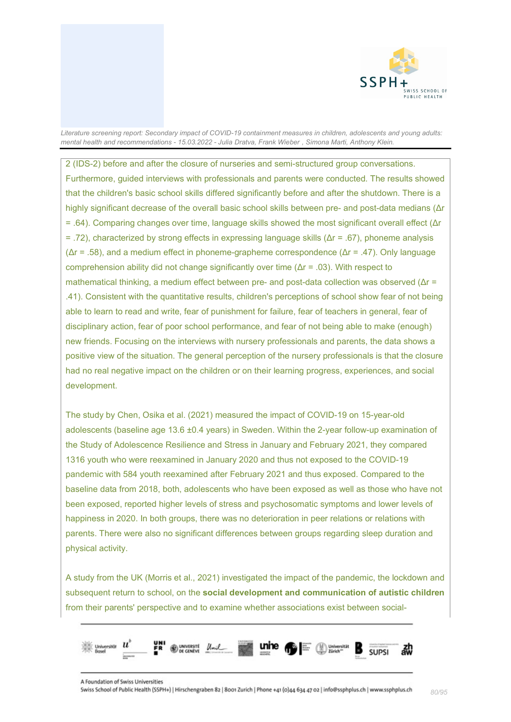

2 (IDS-2) before and after the closure of nurseries and semi-structured group conversations. Furthermore, guided interviews with professionals and parents were conducted. The results showed that the children's basic school skills differed significantly before and after the shutdown. There is a highly significant decrease of the overall basic school skills between pre- and post-data medians (Δr = .64). Comparing changes over time, language skills showed the most significant overall effect (Δr = .72), characterized by strong effects in expressing language skills (Δr = .67), phoneme analysis ( $\Delta r = .58$ ), and a medium effect in phoneme-grapheme correspondence ( $\Delta r = .47$ ). Only language comprehension ability did not change significantly over time (Δr = .03). With respect to mathematical thinking, a medium effect between pre- and post-data collection was observed (Δr = .41). Consistent with the quantitative results, children's perceptions of school show fear of not being able to learn to read and write, fear of punishment for failure, fear of teachers in general, fear of disciplinary action, fear of poor school performance, and fear of not being able to make (enough) new friends. Focusing on the interviews with nursery professionals and parents, the data shows a positive view of the situation. The general perception of the nursery professionals is that the closure had no real negative impact on the children or on their learning progress, experiences, and social development.

The study by Chen, Osika et al. (2021) measured the impact of COVID-19 on 15-year-old adolescents (baseline age 13.6 ±0.4 years) in Sweden. Within the 2-year follow-up examination of the Study of Adolescence Resilience and Stress in January and February 2021, they compared 1316 youth who were reexamined in January 2020 and thus not exposed to the COVID-19 pandemic with 584 youth reexamined after February 2021 and thus exposed. Compared to the baseline data from 2018, both, adolescents who have been exposed as well as those who have not been exposed, reported higher levels of stress and psychosomatic symptoms and lower levels of happiness in 2020. In both groups, there was no deterioration in peer relations or relations with parents. There were also no significant differences between groups regarding sleep duration and physical activity.

A study from the UK (Morris et al., 2021) investigated the impact of the pandemic, the lockdown and subsequent return to school, on the **social development and communication of autistic children** from their parents' perspective and to examine whether associations exist between social-

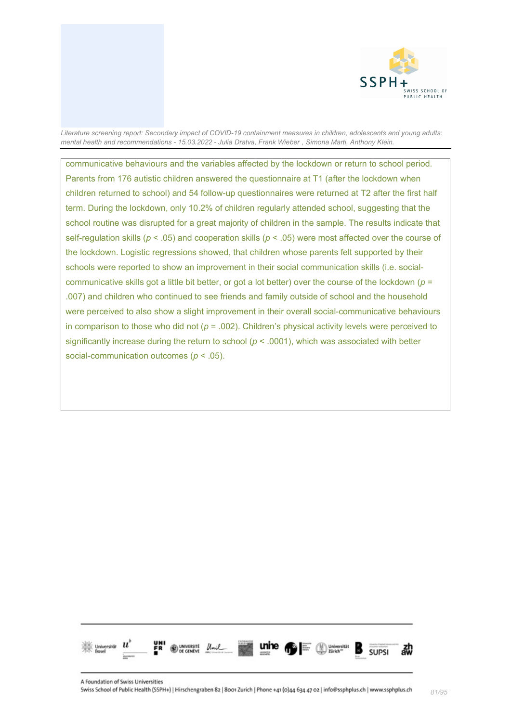

communicative behaviours and the variables affected by the lockdown or return to school period. Parents from 176 autistic children answered the questionnaire at T1 (after the lockdown when children returned to school) and 54 follow-up questionnaires were returned at T2 after the first half term. During the lockdown, only 10.2% of children regularly attended school, suggesting that the school routine was disrupted for a great majority of children in the sample. The results indicate that self-regulation skills (*p* < .05) and cooperation skills (*p* < .05) were most affected over the course of the lockdown. Logistic regressions showed, that children whose parents felt supported by their schools were reported to show an improvement in their social communication skills (i.e. socialcommunicative skills got a little bit better, or got a lot better) over the course of the lockdown (*p* = .007) and children who continued to see friends and family outside of school and the household were perceived to also show a slight improvement in their overall social-communicative behaviours in comparison to those who did not (*p* = .002). Children's physical activity levels were perceived to significantly increase during the return to school (*p* < .0001), which was associated with better social-communication outcomes (*p* < .05).

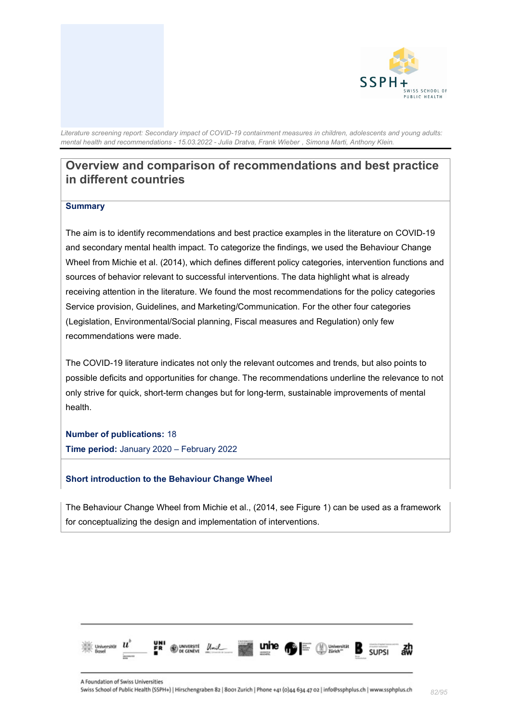

# **Overview and comparison of recommendations and best practice in different countries**

#### **Summary**

The aim is to identify recommendations and best practice examples in the literature on COVID-19 and secondary mental health impact. To categorize the findings, we used the Behaviour Change Wheel from Michie et al. (2014), which defines different policy categories, intervention functions and sources of behavior relevant to successful interventions. The data highlight what is already receiving attention in the literature. We found the most recommendations for the policy categories Service provision, Guidelines, and Marketing/Communication. For the other four categories (Legislation, Environmental/Social planning, Fiscal measures and Regulation) only few recommendations were made.

The COVID-19 literature indicates not only the relevant outcomes and trends, but also points to possible deficits and opportunities for change. The recommendations underline the relevance to not only strive for quick, short-term changes but for long-term, sustainable improvements of mental health.

**Number of publications:** 18 **Time period:** January 2020 – February 2022

#### **Short introduction to the Behaviour Change Wheel**

The Behaviour Change Wheel from Michie et al., (2014, see Figure 1) can be used as a framework for conceptualizing the design and implementation of interventions.

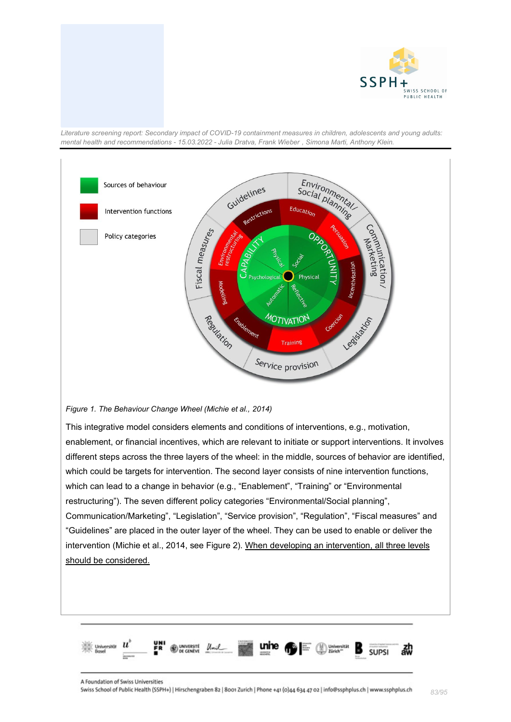



*Figure 1. The Behaviour Change Wheel (Michie et al., 2014)*

This integrative model considers elements and conditions of interventions, e.g., motivation, enablement, or financial incentives, which are relevant to initiate or support interventions. It involves different steps across the three layers of the wheel: in the middle, sources of behavior are identified, which could be targets for intervention. The second layer consists of nine intervention functions, which can lead to a change in behavior (e.g., "Enablement", "Training" or "Environmental restructuring"). The seven different policy categories "Environmental/Social planning", Communication/Marketing", "Legislation", "Service provision", "Regulation", "Fiscal measures" and "Guidelines" are placed in the outer layer of the wheel. They can be used to enable or deliver the intervention (Michie et al., 2014, see Figure 2). When developing an intervention, all three levels should be considered.

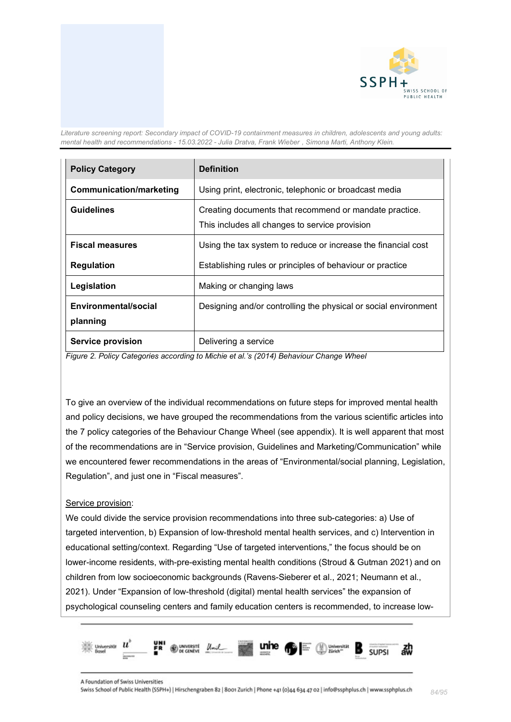

| <b>Policy Category</b>           | <b>Definition</b>                                                                                        |
|----------------------------------|----------------------------------------------------------------------------------------------------------|
| <b>Communication/marketing</b>   | Using print, electronic, telephonic or broadcast media                                                   |
| <b>Guidelines</b>                | Creating documents that recommend or mandate practice.<br>This includes all changes to service provision |
| <b>Fiscal measures</b>           | Using the tax system to reduce or increase the financial cost                                            |
| <b>Regulation</b>                | Establishing rules or principles of behaviour or practice                                                |
| Legislation                      | Making or changing laws                                                                                  |
| Environmental/social<br>planning | Designing and/or controlling the physical or social environment                                          |
| <b>Service provision</b>         | Delivering a service                                                                                     |

*Figure 2. Policy Categories according to Michie et al.'s (2014) Behaviour Change Wheel*

To give an overview of the individual recommendations on future steps for improved mental health and policy decisions, we have grouped the recommendations from the various scientific articles into the 7 policy categories of the Behaviour Change Wheel (see appendix). It is well apparent that most of the recommendations are in "Service provision, Guidelines and Marketing/Communication" while we encountered fewer recommendations in the areas of "Environmental/social planning, Legislation, Regulation", and just one in "Fiscal measures".

#### Service provision:

We could divide the service provision recommendations into three sub-categories: a) Use of targeted intervention, b) Expansion of low-threshold mental health services, and c) Intervention in educational setting/context. Regarding "Use of targeted interventions," the focus should be on lower-income residents, with-pre-existing mental health conditions (Stroud & Gutman 2021) and on children from low socioeconomic backgrounds (Ravens-Sieberer et al., 2021; Neumann et al., 2021). Under "Expansion of low-threshold (digital) mental health services" the expansion of psychological counseling centers and family education centers is recommended, to increase low-

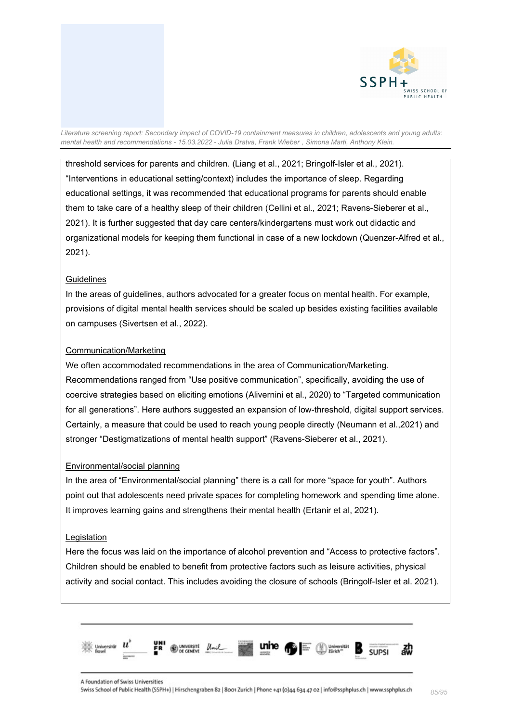

threshold services for parents and children. (Liang et al., 2021; Bringolf-Isler et al., 2021). "Interventions in educational setting/context) includes the importance of sleep. Regarding educational settings, it was recommended that educational programs for parents should enable them to take care of a healthy sleep of their children (Cellini et al., 2021; Ravens-Sieberer et al., 2021). It is further suggested that day care centers/kindergartens must work out didactic and organizational models for keeping them functional in case of a new lockdown (Quenzer-Alfred et al., 2021).

## **Guidelines**

In the areas of guidelines, authors advocated for a greater focus on mental health. For example, provisions of digital mental health services should be scaled up besides existing facilities available on campuses (Sivertsen et al., 2022).

## Communication/Marketing

We often accommodated recommendations in the area of Communication/Marketing. Recommendations ranged from "Use positive communication", specifically, avoiding the use of coercive strategies based on eliciting emotions (Alivernini et al., 2020) to "Targeted communication for all generations". Here authors suggested an expansion of low-threshold, digital support services. Certainly, a measure that could be used to reach young people directly (Neumann et al.,2021) and stronger "Destigmatizations of mental health support" (Ravens-Sieberer et al., 2021).

#### Environmental/social planning

In the area of "Environmental/social planning" there is a call for more "space for youth". Authors point out that adolescents need private spaces for completing homework and spending time alone. It improves learning gains and strengthens their mental health (Ertanir et al, 2021).

#### **Legislation**

Here the focus was laid on the importance of alcohol prevention and "Access to protective factors". Children should be enabled to benefit from protective factors such as leisure activities, physical activity and social contact. This includes avoiding the closure of schools (Bringolf-Isler et al. 2021).

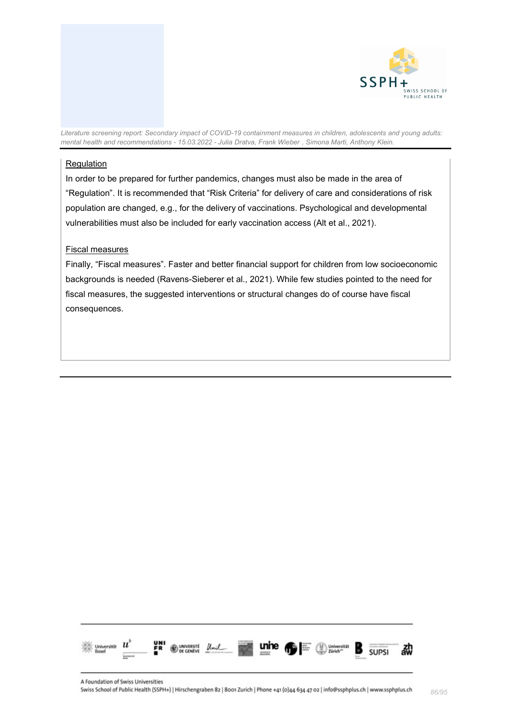

### Regulation

In order to be prepared for further pandemics, changes must also be made in the area of "Regulation". It is recommended that "Risk Criteria" for delivery of care and considerations of risk population are changed, e.g., for the delivery of vaccinations. Psychological and developmental vulnerabilities must also be included for early vaccination access (Alt et al., 2021).

## Fiscal measures

Finally, "Fiscal measures". Faster and better financial support for children from low socioeconomic backgrounds is needed (Ravens-Sieberer et al., 2021). While few studies pointed to the need for fiscal measures, the suggested interventions or structural changes do of course have fiscal consequences.

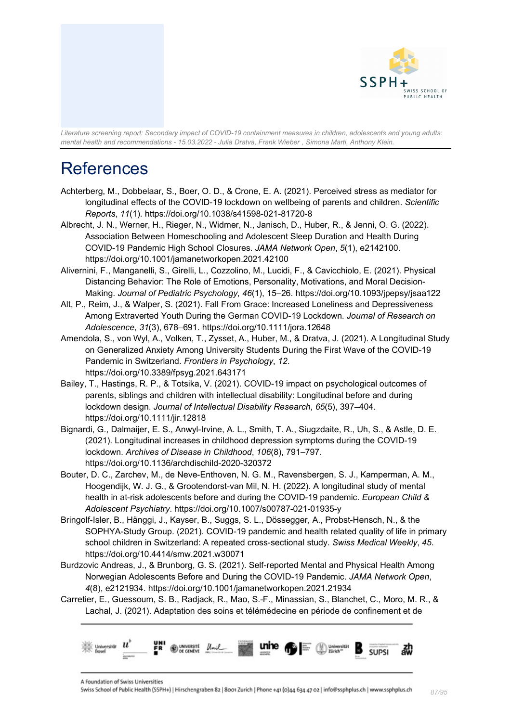

# References

- Achterberg, M., Dobbelaar, S., Boer, O. D., & Crone, E. A. (2021). Perceived stress as mediator for longitudinal effects of the COVID-19 lockdown on wellbeing of parents and children. *Scientific Reports*, *11*(1). https://doi.org/10.1038/s41598-021-81720-8
- Albrecht, J. N., Werner, H., Rieger, N., Widmer, N., Janisch, D., Huber, R., & Jenni, O. G. (2022). Association Between Homeschooling and Adolescent Sleep Duration and Health During COVID-19 Pandemic High School Closures. *JAMA Network Open*, *5*(1), e2142100. https://doi.org/10.1001/jamanetworkopen.2021.42100
- Alivernini, F., Manganelli, S., Girelli, L., Cozzolino, M., Lucidi, F., & Cavicchiolo, E. (2021). Physical Distancing Behavior: The Role of Emotions, Personality, Motivations, and Moral Decision-Making. *Journal of Pediatric Psychology*, *46*(1), 15–26. https://doi.org/10.1093/jpepsy/jsaa122
- Alt, P., Reim, J., & Walper, S. (2021). Fall From Grace: Increased Loneliness and Depressiveness Among Extraverted Youth During the German COVID-19 Lockdown. *Journal of Research on Adolescence*, *31*(3), 678–691. https://doi.org/10.1111/jora.12648
- Amendola, S., von Wyl, A., Volken, T., Zysset, A., Huber, M., & Dratva, J. (2021). A Longitudinal Study on Generalized Anxiety Among University Students During the First Wave of the COVID-19 Pandemic in Switzerland. *Frontiers in Psychology*, *12*. https://doi.org/10.3389/fpsyg.2021.643171
- Bailey, T., Hastings, R. P., & Totsika, V. (2021). COVID-19 impact on psychological outcomes of parents, siblings and children with intellectual disability: Longitudinal before and during lockdown design. *Journal of Intellectual Disability Research*, *65*(5), 397–404. https://doi.org/10.1111/jir.12818
- Bignardi, G., Dalmaijer, E. S., Anwyl-Irvine, A. L., Smith, T. A., Siugzdaite, R., Uh, S., & Astle, D. E. (2021). Longitudinal increases in childhood depression symptoms during the COVID-19 lockdown. *Archives of Disease in Childhood*, *106*(8), 791–797. https://doi.org/10.1136/archdischild-2020-320372
- Bouter, D. C., Zarchev, M., de Neve-Enthoven, N. G. M., Ravensbergen, S. J., Kamperman, A. M., Hoogendijk, W. J. G., & Grootendorst-van Mil, N. H. (2022). A longitudinal study of mental health in at-risk adolescents before and during the COVID-19 pandemic. *European Child & Adolescent Psychiatry*. https://doi.org/10.1007/s00787-021-01935-y
- Bringolf-Isler, B., Hänggi, J., Kayser, B., Suggs, S. L., Dössegger, A., Probst-Hensch, N., & the SOPHYA-Study Group. (2021). COVID-19 pandemic and health related quality of life in primary school children in Switzerland: A repeated cross-sectional study. *Swiss Medical Weekly*, *45*. https://doi.org/10.4414/smw.2021.w30071
- Burdzovic Andreas, J., & Brunborg, G. S. (2021). Self-reported Mental and Physical Health Among Norwegian Adolescents Before and During the COVID-19 Pandemic. *JAMA Network Open*, *4*(8), e2121934. https://doi.org/10.1001/jamanetworkopen.2021.21934
- Carretier, E., Guessoum, S. B., Radjack, R., Mao, S.-F., Minassian, S., Blanchet, C., Moro, M. R., & Lachal, J. (2021). Adaptation des soins et télémédecine en période de confinement et de

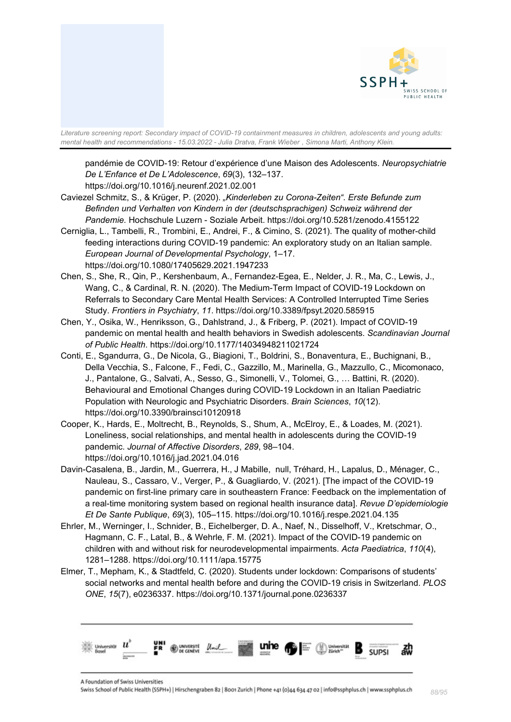

pandémie de COVID-19: Retour d'expérience d'une Maison des Adolescents. *Neuropsychiatrie De L'Enfance et De L'Adolescence*, *69*(3), 132–137.

https://doi.org/10.1016/j.neurenf.2021.02.001

- Caviezel Schmitz, S., & Krüger, P. (2020). *"Kinderleben zu Corona-Zeiten". Erste Befunde zum Befinden und Verhalten von Kindern in der (deutschsprachigen) Schweiz während der Pandemie.* Hochschule Luzern - Soziale Arbeit. https://doi.org/10.5281/zenodo.4155122
- Cerniglia, L., Tambelli, R., Trombini, E., Andrei, F., & Cimino, S. (2021). The quality of mother-child feeding interactions during COVID-19 pandemic: An exploratory study on an Italian sample. *European Journal of Developmental Psychology*, 1–17. https://doi.org/10.1080/17405629.2021.1947233
- Chen, S., She, R., Qin, P., Kershenbaum, A., Fernandez-Egea, E., Nelder, J. R., Ma, C., Lewis, J., Wang, C., & Cardinal, R. N. (2020). The Medium-Term Impact of COVID-19 Lockdown on Referrals to Secondary Care Mental Health Services: A Controlled Interrupted Time Series Study. *Frontiers in Psychiatry*, *11*. https://doi.org/10.3389/fpsyt.2020.585915
- Chen, Y., Osika, W., Henriksson, G., Dahlstrand, J., & Friberg, P. (2021). Impact of COVID-19 pandemic on mental health and health behaviors in Swedish adolescents. *Scandinavian Journal of Public Health*. https://doi.org/10.1177/14034948211021724
- Conti, E., Sgandurra, G., De Nicola, G., Biagioni, T., Boldrini, S., Bonaventura, E., Buchignani, B., Della Vecchia, S., Falcone, F., Fedi, C., Gazzillo, M., Marinella, G., Mazzullo, C., Micomonaco, J., Pantalone, G., Salvati, A., Sesso, G., Simonelli, V., Tolomei, G., … Battini, R. (2020). Behavioural and Emotional Changes during COVID-19 Lockdown in an Italian Paediatric Population with Neurologic and Psychiatric Disorders. *Brain Sciences*, *10*(12). https://doi.org/10.3390/brainsci10120918
- Cooper, K., Hards, E., Moltrecht, B., Reynolds, S., Shum, A., McElroy, E., & Loades, M. (2021). Loneliness, social relationships, and mental health in adolescents during the COVID-19 pandemic. *Journal of Affective Disorders*, *289*, 98–104. https://doi.org/10.1016/j.jad.2021.04.016
- Davin-Casalena, B., Jardin, M., Guerrera, H., J Mabille, null, Tréhard, H., Lapalus, D., Ménager, C., Nauleau, S., Cassaro, V., Verger, P., & Guagliardo, V. (2021). [The impact of the COVID-19 pandemic on first-line primary care in southeastern France: Feedback on the implementation of a real-time monitoring system based on regional health insurance data]. *Revue D'epidemiologie Et De Sante Publique*, *69*(3), 105–115. https://doi.org/10.1016/j.respe.2021.04.135
- Ehrler, M., Werninger, I., Schnider, B., Eichelberger, D. A., Naef, N., Disselhoff, V., Kretschmar, O., Hagmann, C. F., Latal, B., & Wehrle, F. M. (2021). Impact of the COVID-19 pandemic on children with and without risk for neurodevelopmental impairments. *Acta Paediatrica*, *110*(4), 1281–1288. https://doi.org/10.1111/apa.15775
- Elmer, T., Mepham, K., & Stadtfeld, C. (2020). Students under lockdown: Comparisons of students' social networks and mental health before and during the COVID-19 crisis in Switzerland. *PLOS ONE*, *15*(7), e0236337. https://doi.org/10.1371/journal.pone.0236337



A Foundation of Swiss Universities

Swiss School of Public Health (SSPH+) | Hirschengraben 82 | 8001 Zurich | Phone +41 (0)44 634 47 02 | info@ssphplus.ch | www.ssphplus.ch *88/95*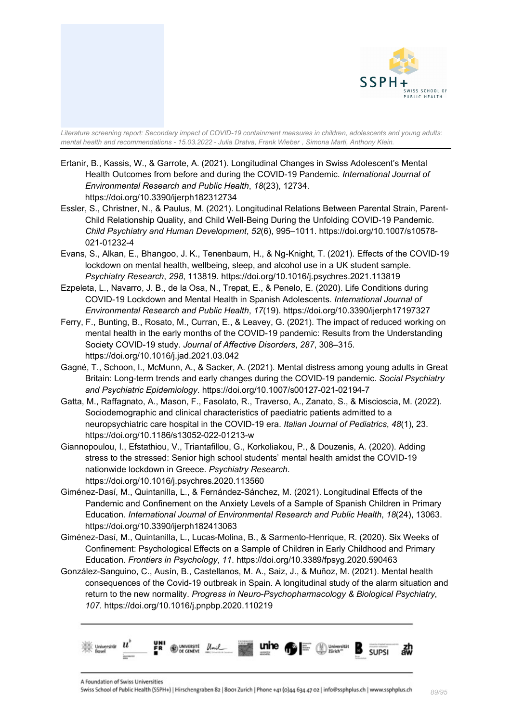

- Ertanir, B., Kassis, W., & Garrote, A. (2021). Longitudinal Changes in Swiss Adolescent's Mental Health Outcomes from before and during the COVID-19 Pandemic. *International Journal of Environmental Research and Public Health*, *18*(23), 12734. https://doi.org/10.3390/ijerph182312734
- Essler, S., Christner, N., & Paulus, M. (2021). Longitudinal Relations Between Parental Strain, Parent-Child Relationship Quality, and Child Well-Being During the Unfolding COVID-19 Pandemic. *Child Psychiatry and Human Development*, *52*(6), 995–1011. https://doi.org/10.1007/s10578- 021-01232-4
- Evans, S., Alkan, E., Bhangoo, J. K., Tenenbaum, H., & Ng-Knight, T. (2021). Effects of the COVID-19 lockdown on mental health, wellbeing, sleep, and alcohol use in a UK student sample. *Psychiatry Research*, *298*, 113819. https://doi.org/10.1016/j.psychres.2021.113819
- Ezpeleta, L., Navarro, J. B., de la Osa, N., Trepat, E., & Penelo, E. (2020). Life Conditions during COVID-19 Lockdown and Mental Health in Spanish Adolescents. *International Journal of Environmental Research and Public Health*, *17*(19). https://doi.org/10.3390/ijerph17197327
- Ferry, F., Bunting, B., Rosato, M., Curran, E., & Leavey, G. (2021). The impact of reduced working on mental health in the early months of the COVID-19 pandemic: Results from the Understanding Society COVID-19 study. *Journal of Affective Disorders*, *287*, 308–315. https://doi.org/10.1016/j.jad.2021.03.042
- Gagné, T., Schoon, I., McMunn, A., & Sacker, A. (2021). Mental distress among young adults in Great Britain: Long-term trends and early changes during the COVID-19 pandemic. *Social Psychiatry and Psychiatric Epidemiology*. https://doi.org/10.1007/s00127-021-02194-7
- Gatta, M., Raffagnato, A., Mason, F., Fasolato, R., Traverso, A., Zanato, S., & Miscioscia, M. (2022). Sociodemographic and clinical characteristics of paediatric patients admitted to a neuropsychiatric care hospital in the COVID-19 era. *Italian Journal of Pediatrics*, *48*(1), 23. https://doi.org/10.1186/s13052-022-01213-w
- Giannopoulou, I., Efstathiou, V., Triantafillou, G., Korkoliakou, P., & Douzenis, A. (2020). Adding stress to the stressed: Senior high school students' mental health amidst the COVID-19 nationwide lockdown in Greece. *Psychiatry Research*. https://doi.org/10.1016/j.psychres.2020.113560
- Giménez-Dasí, M., Quintanilla, L., & Fernández-Sánchez, M. (2021). Longitudinal Effects of the Pandemic and Confinement on the Anxiety Levels of a Sample of Spanish Children in Primary Education. *International Journal of Environmental Research and Public Health*, *18*(24), 13063. https://doi.org/10.3390/ijerph182413063
- Giménez-Dasí, M., Quintanilla, L., Lucas-Molina, B., & Sarmento-Henrique, R. (2020). Six Weeks of Confinement: Psychological Effects on a Sample of Children in Early Childhood and Primary Education. *Frontiers in Psychology*, *11*. https://doi.org/10.3389/fpsyg.2020.590463
- González-Sanguino, C., Ausín, B., Castellanos, M. A., Saiz, J., & Muñoz, M. (2021). Mental health consequences of the Covid-19 outbreak in Spain. A longitudinal study of the alarm situation and return to the new normality. *Progress in Neuro-Psychopharmacology & Biological Psychiatry*, *107*. https://doi.org/10.1016/j.pnpbp.2020.110219

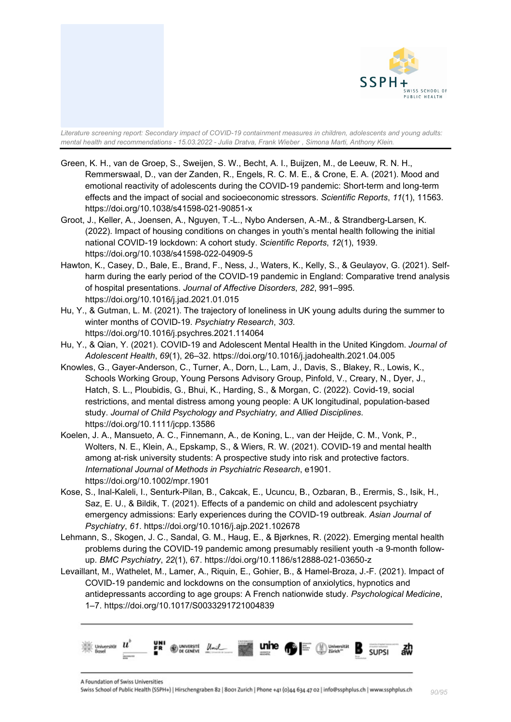

- Green, K. H., van de Groep, S., Sweijen, S. W., Becht, A. I., Buijzen, M., de Leeuw, R. N. H., Remmerswaal, D., van der Zanden, R., Engels, R. C. M. E., & Crone, E. A. (2021). Mood and emotional reactivity of adolescents during the COVID-19 pandemic: Short-term and long-term effects and the impact of social and socioeconomic stressors. *Scientific Reports*, *11*(1), 11563. https://doi.org/10.1038/s41598-021-90851-x
- Groot, J., Keller, A., Joensen, A., Nguyen, T.-L., Nybo Andersen, A.-M., & Strandberg-Larsen, K. (2022). Impact of housing conditions on changes in youth's mental health following the initial national COVID-19 lockdown: A cohort study. *Scientific Reports*, *12*(1), 1939. https://doi.org/10.1038/s41598-022-04909-5
- Hawton, K., Casey, D., Bale, E., Brand, F., Ness, J., Waters, K., Kelly, S., & Geulayov, G. (2021). Selfharm during the early period of the COVID-19 pandemic in England: Comparative trend analysis of hospital presentations. *Journal of Affective Disorders*, *282*, 991–995. https://doi.org/10.1016/j.jad.2021.01.015
- Hu, Y., & Gutman, L. M. (2021). The trajectory of loneliness in UK young adults during the summer to winter months of COVID-19. *Psychiatry Research*, *303*. https://doi.org/10.1016/j.psychres.2021.114064
- Hu, Y., & Qian, Y. (2021). COVID-19 and Adolescent Mental Health in the United Kingdom. *Journal of Adolescent Health*, *69*(1), 26–32. https://doi.org/10.1016/j.jadohealth.2021.04.005
- Knowles, G., Gayer-Anderson, C., Turner, A., Dorn, L., Lam, J., Davis, S., Blakey, R., Lowis, K., Schools Working Group, Young Persons Advisory Group, Pinfold, V., Creary, N., Dyer, J., Hatch, S. L., Ploubidis, G., Bhui, K., Harding, S., & Morgan, C. (2022). Covid-19, social restrictions, and mental distress among young people: A UK longitudinal, population-based study. *Journal of Child Psychology and Psychiatry, and Allied Disciplines*. https://doi.org/10.1111/jcpp.13586
- Koelen, J. A., Mansueto, A. C., Finnemann, A., de Koning, L., van der Heijde, C. M., Vonk, P., Wolters, N. E., Klein, A., Epskamp, S., & Wiers, R. W. (2021). COVID-19 and mental health among at-risk university students: A prospective study into risk and protective factors. *International Journal of Methods in Psychiatric Research*, e1901. https://doi.org/10.1002/mpr.1901
- Kose, S., Inal-Kaleli, I., Senturk-Pilan, B., Cakcak, E., Ucuncu, B., Ozbaran, B., Erermis, S., Isik, H., Saz, E. U., & Bildik, T. (2021). Effects of a pandemic on child and adolescent psychiatry emergency admissions: Early experiences during the COVID-19 outbreak. *Asian Journal of Psychiatry*, *61*. https://doi.org/10.1016/j.ajp.2021.102678
- Lehmann, S., Skogen, J. C., Sandal, G. M., Haug, E., & Bjørknes, R. (2022). Emerging mental health problems during the COVID-19 pandemic among presumably resilient youth -a 9-month followup. *BMC Psychiatry*, *22*(1), 67. https://doi.org/10.1186/s12888-021-03650-z
- Levaillant, M., Wathelet, M., Lamer, A., Riquin, E., Gohier, B., & Hamel-Broza, J.-F. (2021). Impact of COVID-19 pandemic and lockdowns on the consumption of anxiolytics, hypnotics and antidepressants according to age groups: A French nationwide study. *Psychological Medicine*, 1–7. https://doi.org/10.1017/S0033291721004839

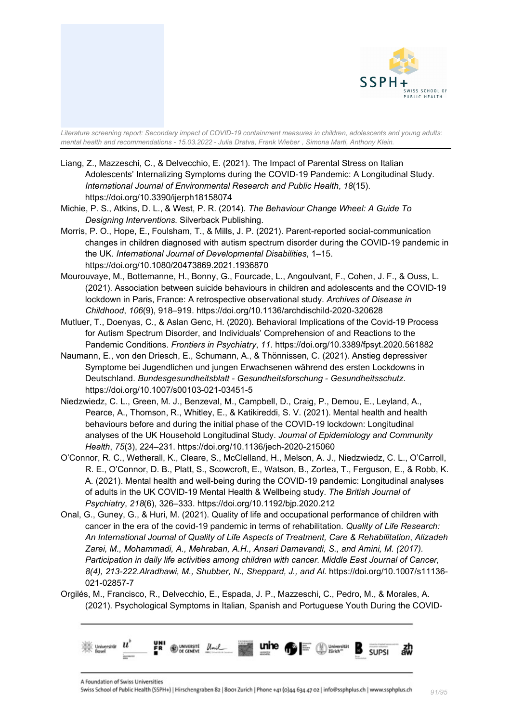

- Liang, Z., Mazzeschi, C., & Delvecchio, E. (2021). The Impact of Parental Stress on Italian Adolescents' Internalizing Symptoms during the COVID-19 Pandemic: A Longitudinal Study. *International Journal of Environmental Research and Public Health*, *18*(15). https://doi.org/10.3390/ijerph18158074
- Michie, P. S., Atkins, D. L., & West, P. R. (2014). *The Behaviour Change Wheel: A Guide To Designing Interventions*. Silverback Publishing.
- Morris, P. O., Hope, E., Foulsham, T., & Mills, J. P. (2021). Parent-reported social-communication changes in children diagnosed with autism spectrum disorder during the COVID-19 pandemic in the UK. *International Journal of Developmental Disabilities*, 1–15. https://doi.org/10.1080/20473869.2021.1936870
- Mourouvaye, M., Bottemanne, H., Bonny, G., Fourcade, L., Angoulvant, F., Cohen, J. F., & Ouss, L. (2021). Association between suicide behaviours in children and adolescents and the COVID-19 lockdown in Paris, France: A retrospective observational study. *Archives of Disease in Childhood*, *106*(9), 918–919. https://doi.org/10.1136/archdischild-2020-320628
- Mutluer, T., Doenyas, C., & Aslan Genc, H. (2020). Behavioral Implications of the Covid-19 Process for Autism Spectrum Disorder, and Individuals' Comprehension of and Reactions to the Pandemic Conditions. *Frontiers in Psychiatry*, *11*. https://doi.org/10.3389/fpsyt.2020.561882
- Naumann, E., von den Driesch, E., Schumann, A., & Thönnissen, C. (2021). Anstieg depressiver Symptome bei Jugendlichen und jungen Erwachsenen während des ersten Lockdowns in Deutschland. *Bundesgesundheitsblatt - Gesundheitsforschung - Gesundheitsschutz*. https://doi.org/10.1007/s00103-021-03451-5
- Niedzwiedz, C. L., Green, M. J., Benzeval, M., Campbell, D., Craig, P., Demou, E., Leyland, A., Pearce, A., Thomson, R., Whitley, E., & Katikireddi, S. V. (2021). Mental health and health behaviours before and during the initial phase of the COVID-19 lockdown: Longitudinal analyses of the UK Household Longitudinal Study. *Journal of Epidemiology and Community Health*, *75*(3), 224–231. https://doi.org/10.1136/jech-2020-215060
- O'Connor, R. C., Wetherall, K., Cleare, S., McClelland, H., Melson, A. J., Niedzwiedz, C. L., O'Carroll, R. E., O'Connor, D. B., Platt, S., Scowcroft, E., Watson, B., Zortea, T., Ferguson, E., & Robb, K. A. (2021). Mental health and well-being during the COVID-19 pandemic: Longitudinal analyses of adults in the UK COVID-19 Mental Health & Wellbeing study. *The British Journal of Psychiatry*, *218*(6), 326–333. https://doi.org/10.1192/bjp.2020.212
- Onal, G., Guney, G., & Huri, M. (2021). Quality of life and occupational performance of children with cancer in the era of the covid-19 pandemic in terms of rehabilitation. *Quality of Life Research: An International Journal of Quality of Life Aspects of Treatment, Care & Rehabilitation*, *Alizadeh Zarei, M., Mohammadi, A., Mehraban, A.H., Ansari Damavandi, S., and Amini, M. (2017). Participation in daily life activities among children with cancer. Middle East Journal of Cancer, 8(4), 213-222.Alradhawi, M., Shubber, N., Sheppard, J., and Al*. https://doi.org/10.1007/s11136- 021-02857-7
- Orgilés, M., Francisco, R., Delvecchio, E., Espada, J. P., Mazzeschi, C., Pedro, M., & Morales, A. (2021). Psychological Symptoms in Italian, Spanish and Portuguese Youth During the COVID-

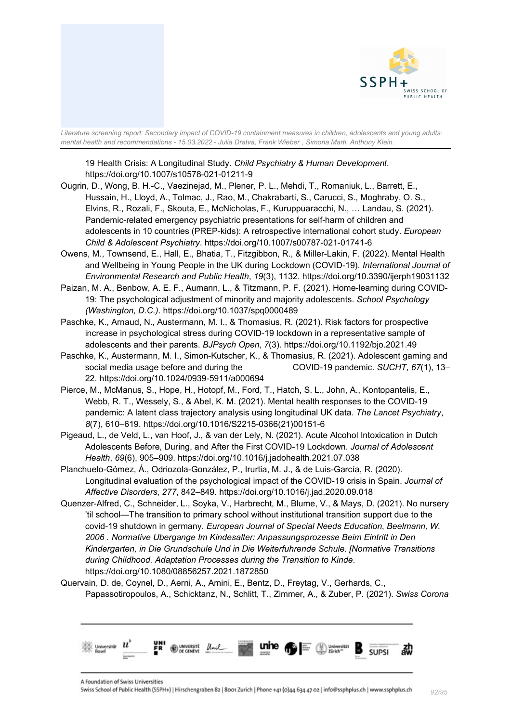

19 Health Crisis: A Longitudinal Study. *Child Psychiatry & Human Development*. https://doi.org/10.1007/s10578-021-01211-9

- Ougrin, D., Wong, B. H.-C., Vaezinejad, M., Plener, P. L., Mehdi, T., Romaniuk, L., Barrett, E., Hussain, H., Lloyd, A., Tolmac, J., Rao, M., Chakrabarti, S., Carucci, S., Moghraby, O. S., Elvins, R., Rozali, F., Skouta, E., McNicholas, F., Kuruppuaracchi, N., … Landau, S. (2021). Pandemic-related emergency psychiatric presentations for self-harm of children and adolescents in 10 countries (PREP-kids): A retrospective international cohort study. *European Child & Adolescent Psychiatry*. https://doi.org/10.1007/s00787-021-01741-6
- Owens, M., Townsend, E., Hall, E., Bhatia, T., Fitzgibbon, R., & Miller-Lakin, F. (2022). Mental Health and Wellbeing in Young People in the UK during Lockdown (COVID-19). *International Journal of Environmental Research and Public Health*, *19*(3), 1132. https://doi.org/10.3390/ijerph19031132
- Paizan, M. A., Benbow, A. E. F., Aumann, L., & Titzmann, P. F. (2021). Home-learning during COVID-19: The psychological adjustment of minority and majority adolescents. *School Psychology (Washington, D.C.)*. https://doi.org/10.1037/spq0000489
- Paschke, K., Arnaud, N., Austermann, M. I., & Thomasius, R. (2021). Risk factors for prospective increase in psychological stress during COVID-19 lockdown in a representative sample of adolescents and their parents. *BJPsych Open*, *7*(3). https://doi.org/10.1192/bjo.2021.49
- Paschke, K., Austermann, M. I., Simon-Kutscher, K., & Thomasius, R. (2021). Adolescent gaming and social media usage before and during the COVID-19 pandemic. *SUCHT*, *67*(1), 13– 22. https://doi.org/10.1024/0939-5911/a000694
- Pierce, M., McManus, S., Hope, H., Hotopf, M., Ford, T., Hatch, S. L., John, A., Kontopantelis, E., Webb, R. T., Wessely, S., & Abel, K. M. (2021). Mental health responses to the COVID-19 pandemic: A latent class trajectory analysis using longitudinal UK data. *The Lancet Psychiatry*, *8*(7), 610–619. https://doi.org/10.1016/S2215-0366(21)00151-6
- Pigeaud, L., de Veld, L., van Hoof, J., & van der Lely, N. (2021). Acute Alcohol Intoxication in Dutch Adolescents Before, During, and After the First COVID-19 Lockdown. *Journal of Adolescent Health*, *69*(6), 905–909. https://doi.org/10.1016/j.jadohealth.2021.07.038
- Planchuelo-Gómez, Á., Odriozola-González, P., Irurtia, M. J., & de Luis-García, R. (2020). Longitudinal evaluation of the psychological impact of the COVID-19 crisis in Spain. *Journal of Affective Disorders*, *277*, 842–849. https://doi.org/10.1016/j.jad.2020.09.018
- Quenzer-Alfred, C., Schneider, L., Soyka, V., Harbrecht, M., Blume, V., & Mays, D. (2021). No nursery 'til school—The transition to primary school without institutional transition support due to the covid-19 shutdown in germany. *European Journal of Special Needs Education*, *Beelmann, W. 2006 . Normative Ubergange Im Kindesalter: Anpassungsprozesse Beim Eintritt in Den Kindergarten, in Die Grundschule Und in Die Weiterfuhrende Schule. [Normative Transitions during Childhood. Adaptation Processes during the Transition to Kinde*. https://doi.org/10.1080/08856257.2021.1872850
- Quervain, D. de, Coynel, D., Aerni, A., Amini, E., Bentz, D., Freytag, V., Gerhards, C., Papassotiropoulos, A., Schicktanz, N., Schlitt, T., Zimmer, A., & Zuber, P. (2021). *Swiss Corona*



A Foundation of Swiss Universities Swiss School of Public Health (SSPH+) | Hirschengraben 82 | 8001 Zurich | Phone +41 (0)44 634 47 02 | info@ssphplus.ch | www.ssphplus.ch *92/95*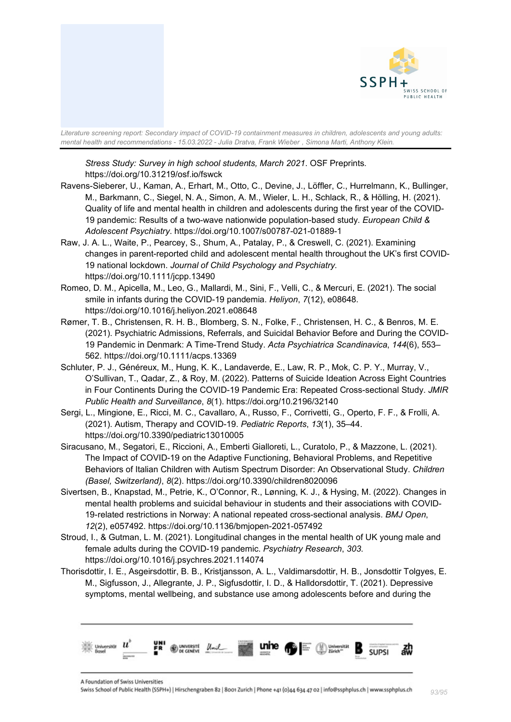

*Stress Study: Survey in high school students, March 2021*. OSF Preprints. https://doi.org/10.31219/osf.io/fswck

- Ravens-Sieberer, U., Kaman, A., Erhart, M., Otto, C., Devine, J., Löffler, C., Hurrelmann, K., Bullinger, M., Barkmann, C., Siegel, N. A., Simon, A. M., Wieler, L. H., Schlack, R., & Hölling, H. (2021). Quality of life and mental health in children and adolescents during the first year of the COVID-19 pandemic: Results of a two-wave nationwide population-based study. *European Child & Adolescent Psychiatry*. https://doi.org/10.1007/s00787-021-01889-1
- Raw, J. A. L., Waite, P., Pearcey, S., Shum, A., Patalay, P., & Creswell, C. (2021). Examining changes in parent-reported child and adolescent mental health throughout the UK's first COVID-19 national lockdown. *Journal of Child Psychology and Psychiatry*. https://doi.org/10.1111/jcpp.13490
- Romeo, D. M., Apicella, M., Leo, G., Mallardi, M., Sini, F., Velli, C., & Mercuri, E. (2021). The social smile in infants during the COVID-19 pandemia. *Heliyon*, *7*(12), e08648. https://doi.org/10.1016/j.heliyon.2021.e08648
- Rømer, T. B., Christensen, R. H. B., Blomberg, S. N., Folke, F., Christensen, H. C., & Benros, M. E. (2021). Psychiatric Admissions, Referrals, and Suicidal Behavior Before and During the COVID-19 Pandemic in Denmark: A Time-Trend Study. *Acta Psychiatrica Scandinavica*, *144*(6), 553– 562. https://doi.org/10.1111/acps.13369
- Schluter, P. J., Généreux, M., Hung, K. K., Landaverde, E., Law, R. P., Mok, C. P. Y., Murray, V., O'Sullivan, T., Qadar, Z., & Roy, M. (2022). Patterns of Suicide Ideation Across Eight Countries in Four Continents During the COVID-19 Pandemic Era: Repeated Cross-sectional Study. *JMIR Public Health and Surveillance*, *8*(1). https://doi.org/10.2196/32140
- Sergi, L., Mingione, E., Ricci, M. C., Cavallaro, A., Russo, F., Corrivetti, G., Operto, F. F., & Frolli, A. (2021). Autism, Therapy and COVID-19. *Pediatric Reports*, *13*(1), 35–44. https://doi.org/10.3390/pediatric13010005
- Siracusano, M., Segatori, E., Riccioni, A., Emberti Gialloreti, L., Curatolo, P., & Mazzone, L. (2021). The Impact of COVID-19 on the Adaptive Functioning, Behavioral Problems, and Repetitive Behaviors of Italian Children with Autism Spectrum Disorder: An Observational Study. *Children (Basel, Switzerland)*, *8*(2). https://doi.org/10.3390/children8020096
- Sivertsen, B., Knapstad, M., Petrie, K., O'Connor, R., Lønning, K. J., & Hysing, M. (2022). Changes in mental health problems and suicidal behaviour in students and their associations with COVID-19-related restrictions in Norway: A national repeated cross-sectional analysis. *BMJ Open*, *12*(2), e057492. https://doi.org/10.1136/bmjopen-2021-057492
- Stroud, I., & Gutman, L. M. (2021). Longitudinal changes in the mental health of UK young male and female adults during the COVID-19 pandemic. *Psychiatry Research*, *303*. https://doi.org/10.1016/j.psychres.2021.114074
- Thorisdottir, I. E., Asgeirsdottir, B. B., Kristjansson, A. L., Valdimarsdottir, H. B., Jonsdottir Tolgyes, E. M., Sigfusson, J., Allegrante, J. P., Sigfusdottir, I. D., & Halldorsdottir, T. (2021). Depressive symptoms, mental wellbeing, and substance use among adolescents before and during the



A Foundation of Swiss Universities

Swiss School of Public Health (SSPH+) | Hirschengraben 82 | 8001 Zurich | Phone +41 (0)44 634 47 02 | info@ssphplus.ch | www.ssphplus.ch *93/95*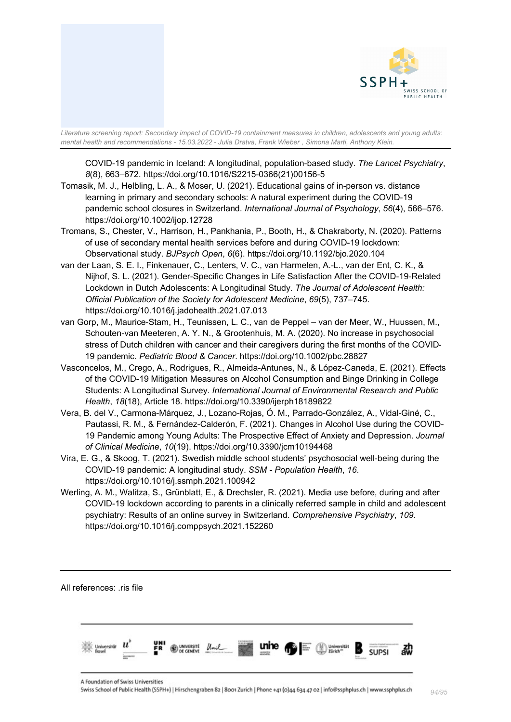

COVID-19 pandemic in Iceland: A longitudinal, population-based study. *The Lancet Psychiatry*, *8*(8), 663–672. https://doi.org/10.1016/S2215-0366(21)00156-5

- Tomasik, M. J., Helbling, L. A., & Moser, U. (2021). Educational gains of in-person vs. distance learning in primary and secondary schools: A natural experiment during the COVID-19 pandemic school closures in Switzerland. *International Journal of Psychology*, *56*(4), 566–576. https://doi.org/10.1002/ijop.12728
- Tromans, S., Chester, V., Harrison, H., Pankhania, P., Booth, H., & Chakraborty, N. (2020). Patterns of use of secondary mental health services before and during COVID-19 lockdown: Observational study. *BJPsych Open*, *6*(6). https://doi.org/10.1192/bjo.2020.104
- van der Laan, S. E. I., Finkenauer, C., Lenters, V. C., van Harmelen, A.-L., van der Ent, C. K., & Nijhof, S. L. (2021). Gender-Specific Changes in Life Satisfaction After the COVID-19-Related Lockdown in Dutch Adolescents: A Longitudinal Study. *The Journal of Adolescent Health: Official Publication of the Society for Adolescent Medicine*, *69*(5), 737–745. https://doi.org/10.1016/j.jadohealth.2021.07.013
- van Gorp, M., Maurice-Stam, H., Teunissen, L. C., van de Peppel van der Meer, W., Huussen, M., Schouten-van Meeteren, A. Y. N., & Grootenhuis, M. A. (2020). No increase in psychosocial stress of Dutch children with cancer and their caregivers during the first months of the COVID‐ 19 pandemic. *Pediatric Blood & Cancer*. https://doi.org/10.1002/pbc.28827
- Vasconcelos, M., Crego, A., Rodrigues, R., Almeida-Antunes, N., & López-Caneda, E. (2021). Effects of the COVID-19 Mitigation Measures on Alcohol Consumption and Binge Drinking in College Students: A Longitudinal Survey. *International Journal of Environmental Research and Public Health*, *18*(18), Article 18. https://doi.org/10.3390/ijerph18189822
- Vera, B. del V., Carmona-Márquez, J., Lozano-Rojas, Ó. M., Parrado-González, A., Vidal-Giné, C., Pautassi, R. M., & Fernández-Calderón, F. (2021). Changes in Alcohol Use during the COVID-19 Pandemic among Young Adults: The Prospective Effect of Anxiety and Depression. *Journal of Clinical Medicine*, *10*(19). https://doi.org/10.3390/jcm10194468
- Vira, E. G., & Skoog, T. (2021). Swedish middle school students' psychosocial well-being during the COVID-19 pandemic: A longitudinal study. *SSM - Population Health*, *16*. https://doi.org/10.1016/j.ssmph.2021.100942
- Werling, A. M., Walitza, S., Grünblatt, E., & Drechsler, R. (2021). Media use before, during and after COVID-19 lockdown according to parents in a clinically referred sample in child and adolescent psychiatry: Results of an online survey in Switzerland. *Comprehensive Psychiatry*, *109*. https://doi.org/10.1016/j.comppsych.2021.152260

All references: .ris file